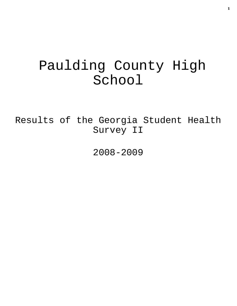# Paulding County High School

Results of the Georgia Student Health Survey II

2008-2009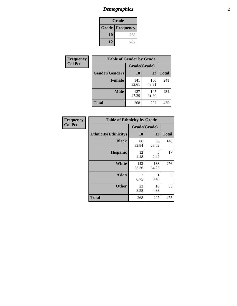# *Demographics* **2**

| Grade                    |     |  |  |  |
|--------------------------|-----|--|--|--|
| <b>Grade   Frequency</b> |     |  |  |  |
| 10                       | 268 |  |  |  |
| 12                       | 207 |  |  |  |

| <b>Frequency</b> |                | <b>Table of Gender by Grade</b> |              |              |  |
|------------------|----------------|---------------------------------|--------------|--------------|--|
| <b>Col Pct</b>   |                | Grade(Grade)                    |              |              |  |
|                  | Gender(Gender) | 10                              | 12           | <b>Total</b> |  |
|                  | <b>Female</b>  | 141<br>52.61                    | 100<br>48.31 | 241          |  |
|                  | <b>Male</b>    | 127<br>47.39                    | 107<br>51.69 | 234          |  |
|                  | <b>Total</b>   | 268                             | 207          | 475          |  |

| Frequency<br>Col Pct |
|----------------------|

| <b>Table of Ethnicity by Grade</b> |              |              |              |  |  |  |
|------------------------------------|--------------|--------------|--------------|--|--|--|
|                                    | Grade(Grade) |              |              |  |  |  |
| <b>Ethnicity</b> (Ethnicity)       | 10           | 12           | <b>Total</b> |  |  |  |
| <b>Black</b>                       | 88<br>32.84  | 58<br>28.02  | 146          |  |  |  |
| <b>Hispanic</b>                    | 12<br>4.48   | 5<br>2.42    | 17           |  |  |  |
| <b>White</b>                       | 143<br>53.36 | 133<br>64.25 | 276          |  |  |  |
| <b>Asian</b>                       | 2<br>0.75    | 1<br>0.48    | 3            |  |  |  |
| <b>Other</b>                       | 23<br>8.58   | 10<br>4.83   | 33           |  |  |  |
| <b>Total</b>                       | 268          | 207          | 475          |  |  |  |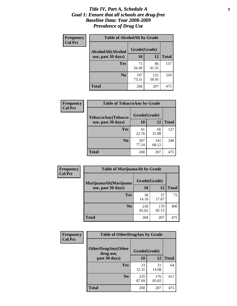#### *Title IV, Part A, Schedule A* **3** *Goal 1: Ensure that all schools are drug-free Baseline Data: Year 2008-2009 Prevalence of Drug Use*

| Frequency<br><b>Col Pct</b> | <b>Table of AlcoholAlt by Grade</b> |              |              |              |  |
|-----------------------------|-------------------------------------|--------------|--------------|--------------|--|
|                             | AlcoholAlt(Alcohol                  | Grade(Grade) |              |              |  |
|                             | use, past 30 days)                  | 10           | 12           | <b>Total</b> |  |
|                             | Yes                                 | 71<br>26.49  | 86<br>41.55  | 157          |  |
|                             | N <sub>0</sub>                      | 197<br>73.51 | 121<br>58.45 | 318          |  |
|                             | <b>Total</b>                        | 268          | 207          | 475          |  |

| Frequency      | <b>Table of TobaccoAny by Grade</b> |              |              |              |  |  |
|----------------|-------------------------------------|--------------|--------------|--------------|--|--|
| <b>Col Pct</b> | <b>TobaccoAny(Tobacco</b>           | Grade(Grade) |              |              |  |  |
|                | use, past 30 days)                  | 10           | 12           | <b>Total</b> |  |  |
|                | Yes                                 | 61<br>22.76  | 66<br>31.88  | 127          |  |  |
|                | N <sub>0</sub>                      | 207<br>77.24 | 141<br>68.12 | 348          |  |  |
|                | <b>Total</b>                        | 268          | 207          | 475          |  |  |

| Frequency<br><b>Col Pct</b> | <b>Table of MarijuanaAlt by Grade</b> |              |              |     |  |
|-----------------------------|---------------------------------------|--------------|--------------|-----|--|
|                             | MarijuanaAlt(Marijuana                | Grade(Grade) |              |     |  |
| use, past 30 days)          | 10                                    | 12           | <b>Total</b> |     |  |
|                             | <b>Yes</b>                            | 38<br>14.18  | 37<br>17.87  | 75  |  |
|                             | N <sub>0</sub>                        | 230<br>85.82 | 170<br>82.13 | 400 |  |
|                             | <b>Total</b>                          | 268          | 207          | 475 |  |

| Frequency<br><b>Col Pct</b> | <b>Table of OtherDrugAny by Grade</b>  |              |              |              |  |
|-----------------------------|----------------------------------------|--------------|--------------|--------------|--|
|                             | <b>OtherDrugAny(Other</b><br>drug use, | Grade(Grade) |              |              |  |
|                             | past 30 days)                          | 10           | 12           | <b>Total</b> |  |
|                             | <b>Yes</b>                             | 33<br>12.31  | 31<br>14.98  | 64           |  |
|                             | N <sub>0</sub>                         | 235<br>87.69 | 176<br>85.02 | 411          |  |
|                             | <b>Total</b>                           | 268          | 207          | 475          |  |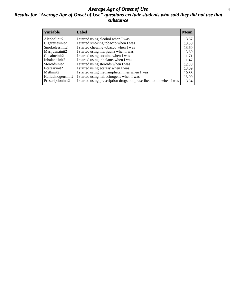#### *Average Age of Onset of Use* **4** *Results for "Average Age of Onset of Use" questions exclude students who said they did not use that substance*

| <b>Variable</b>    | Label                                                              | <b>Mean</b> |
|--------------------|--------------------------------------------------------------------|-------------|
| Alcoholinit2       | I started using alcohol when I was                                 | 13.67       |
| Cigarettesinit2    | I started smoking tobacco when I was                               | 13.50       |
| Smokelessinit2     | I started chewing tobacco when I was                               | 13.60       |
| Marijuanainit2     | I started using marijuana when I was                               | 13.69       |
| Cocaineinit2       | I started using cocaine when I was                                 | 11.71       |
| Inhalantsinit2     | I started using inhalants when I was                               | 11.47       |
| Steroidsinit2      | I started using steroids when I was                                | 12.38       |
| Ecstasyinit2       | I started using ecstasy when I was                                 | 13.09       |
| Methinit2          | I started using methamphetamines when I was                        | 10.83       |
| Hallucinogensinit2 | I started using hallucinogens when I was                           | 13.00       |
| Prescriptioninit2  | I started using prescription drugs not prescribed to me when I was | 13.34       |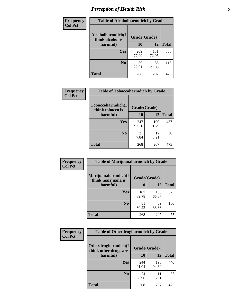# *Perception of Health Risk* **5**

| Frequency      | <b>Table of Alcoholharmdich by Grade</b>          |              |             |              |  |
|----------------|---------------------------------------------------|--------------|-------------|--------------|--|
| <b>Col Pct</b> | Alcoholharmdich(I<br>think alcohol is<br>harmful) | Grade(Grade) |             |              |  |
|                |                                                   | 10           | 12          | <b>Total</b> |  |
|                | <b>Yes</b>                                        | 209          | 151         | 360          |  |
|                |                                                   | 77.99        | 72.95       |              |  |
|                | N <sub>0</sub>                                    | 59<br>22.01  | 56<br>27.05 | 115          |  |
|                | <b>Total</b>                                      | 268          | 207         | 475          |  |

| <b>Frequency</b> | <b>Table of Tobaccoharmdich by Grade</b>          |              |              |              |  |
|------------------|---------------------------------------------------|--------------|--------------|--------------|--|
| <b>Col Pct</b>   | Tobaccoharmdich(I<br>think tobacco is<br>harmful) | Grade(Grade) |              |              |  |
|                  |                                                   | 10           | 12           | <b>Total</b> |  |
|                  | Yes                                               | 247<br>92.16 | 190<br>91.79 | 437          |  |
|                  | N <sub>0</sub>                                    | 21<br>7.84   | 17<br>8.21   | 38           |  |
|                  | <b>Total</b>                                      | 268          | 207          | 475          |  |

| <b>Frequency</b> | <b>Table of Marijuanaharmdich by Grade</b> |              |              |              |  |  |
|------------------|--------------------------------------------|--------------|--------------|--------------|--|--|
| <b>Col Pct</b>   | Marijuanaharmdich(I<br>think marijuana is  | Grade(Grade) |              |              |  |  |
|                  | harmful)                                   | 10           | 12           | <b>Total</b> |  |  |
|                  | <b>Yes</b>                                 | 187<br>69.78 | 138<br>66.67 | 325          |  |  |
|                  | N <sub>0</sub>                             | 81<br>30.22  | 69<br>33.33  | 150          |  |  |
|                  | <b>Total</b>                               | 268          | 207          | 475          |  |  |

| Frequency      | <b>Table of Otherdrugharmdich by Grade</b>   |              |              |              |  |  |  |  |
|----------------|----------------------------------------------|--------------|--------------|--------------|--|--|--|--|
| <b>Col Pct</b> | Otherdrugharmdich(I<br>think other drugs are | Grade(Grade) |              |              |  |  |  |  |
|                | harmful)                                     | <b>10</b>    | 12           | <b>Total</b> |  |  |  |  |
|                | <b>Yes</b>                                   | 244<br>91.04 | 196<br>94.69 | 440          |  |  |  |  |
|                | N <sub>0</sub>                               | 24<br>8.96   | 11<br>5.31   | 35           |  |  |  |  |
|                | <b>Total</b>                                 | 268          | 207          | 475          |  |  |  |  |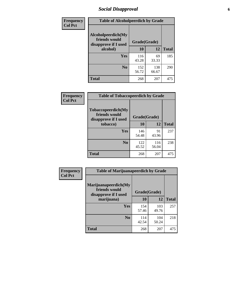# *Social Disapproval* **6**

| Frequency      | <b>Table of Alcoholpeerdich by Grade</b>                    |              |              |              |
|----------------|-------------------------------------------------------------|--------------|--------------|--------------|
| <b>Col Pct</b> | Alcoholpeerdich(My<br>friends would<br>disapprove if I used | Grade(Grade) |              |              |
|                | alcohol)                                                    | 10           | 12           | <b>Total</b> |
|                | <b>Yes</b>                                                  | 116<br>43.28 | 69<br>33.33  | 185          |
|                | N <sub>0</sub>                                              | 152<br>56.72 | 138<br>66.67 | 290          |
|                | <b>Total</b>                                                | 268          | 207          | 475          |

| <b>Frequency</b> |
|------------------|
| <b>Col Pct</b>   |

| <b>Table of Tobaccopeerdich by Grade</b>                    |              |              |              |  |  |  |  |
|-------------------------------------------------------------|--------------|--------------|--------------|--|--|--|--|
| Tobaccopeerdich(My<br>friends would<br>disapprove if I used |              | Grade(Grade) |              |  |  |  |  |
| tobacco)                                                    | 10           | 12           | <b>Total</b> |  |  |  |  |
| Yes                                                         | 146<br>54.48 | 91<br>43.96  | 237          |  |  |  |  |
| N <sub>0</sub>                                              | 122<br>45.52 | 116<br>56.04 | 238          |  |  |  |  |
| <b>Total</b>                                                | 268          | 207          | 475          |  |  |  |  |

| <b>Frequency</b> | <b>Table of Marijuanapeerdich by Grade</b>                    |              |              |              |  |  |  |  |
|------------------|---------------------------------------------------------------|--------------|--------------|--------------|--|--|--|--|
| <b>Col Pct</b>   | Marijuanapeerdich(My<br>friends would<br>disapprove if I used | Grade(Grade) |              |              |  |  |  |  |
|                  | marijuana)                                                    | 10           | 12           | <b>Total</b> |  |  |  |  |
|                  | <b>Yes</b>                                                    | 154<br>57.46 | 103<br>49.76 | 257          |  |  |  |  |
|                  | N <sub>0</sub>                                                | 114<br>42.54 | 104<br>50.24 | 218          |  |  |  |  |
|                  | <b>Total</b>                                                  | 268          | 207          | 475          |  |  |  |  |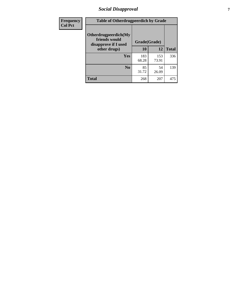# *Social Disapproval* **7**

| Frequency      | <b>Table of Otherdrugpeerdich by Grade</b>                    |              |              |     |  |  |  |  |
|----------------|---------------------------------------------------------------|--------------|--------------|-----|--|--|--|--|
| <b>Col Pct</b> | Otherdrugpeerdich(My<br>friends would<br>disapprove if I used | Grade(Grade) |              |     |  |  |  |  |
|                | other drugs)                                                  | 10           | <b>Total</b> |     |  |  |  |  |
|                | Yes                                                           | 183<br>68.28 | 153<br>73.91 | 336 |  |  |  |  |
|                | N <sub>0</sub>                                                | 85<br>31.72  | 54<br>26.09  | 139 |  |  |  |  |
|                | <b>Total</b>                                                  | 268          | 207          | 475 |  |  |  |  |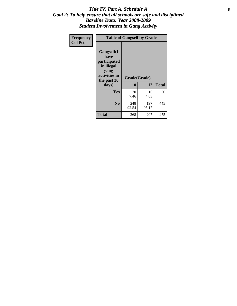### Title IV, Part A, Schedule A **8** *Goal 2: To help ensure that all schools are safe and disciplined Baseline Data: Year 2008-2009 Student Involvement in Gang Activity*

| Frequency      | <b>Table of Gangself by Grade</b>                                                                         |                    |              |              |
|----------------|-----------------------------------------------------------------------------------------------------------|--------------------|--------------|--------------|
| <b>Col Pct</b> | <b>Gangself</b> (I<br>have<br>participated<br>in illegal<br>gang<br>activities in<br>the past 30<br>days) | Grade(Grade)<br>10 | 12           | <b>Total</b> |
|                | Yes                                                                                                       | 20<br>7.46         | 10<br>4.83   | 30           |
|                | N <sub>0</sub>                                                                                            | 248<br>92.54       | 197<br>95.17 | 445          |
|                | <b>Total</b>                                                                                              | 268                | 207          | 475          |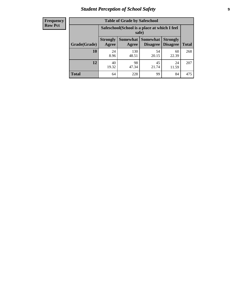# *Student Perception of School Safety* **9**

| <b>Frequency</b><br>Row Pct |
|-----------------------------|
|                             |

| <b>Table of Grade by Safeschool</b> |                                                        |                     |                             |                                    |              |  |  |
|-------------------------------------|--------------------------------------------------------|---------------------|-----------------------------|------------------------------------|--------------|--|--|
|                                     | Safeschool (School is a place at which I feel<br>safe) |                     |                             |                                    |              |  |  |
| Grade(Grade)                        | <b>Strongly</b><br>Agree                               | Somewhat  <br>Agree | <b>Somewhat</b><br>Disagree | <b>Strongly</b><br><b>Disagree</b> | <b>Total</b> |  |  |
| <b>10</b>                           | 24<br>8.96                                             | 130<br>48.51        | 54<br>20.15                 | 60<br>22.39                        | 268          |  |  |
| 12                                  | 40<br>19.32                                            | 98<br>47.34         | 45<br>21.74                 | 24<br>11.59                        | 207          |  |  |
| <b>Total</b>                        | 64                                                     | 228                 | 99                          | 84                                 | 475          |  |  |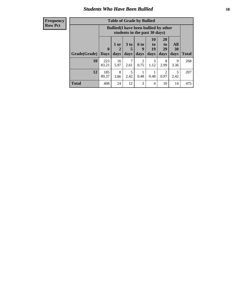### *Students Who Have Been Bullied* **10**

| <b>Frequency</b> |
|------------------|
| Row Pct          |

| <b>Table of Grade by Bullied</b> |                  |                                                                               |                              |                        |                        |                        |                          |              |
|----------------------------------|------------------|-------------------------------------------------------------------------------|------------------------------|------------------------|------------------------|------------------------|--------------------------|--------------|
|                                  |                  | <b>Bullied</b> (I have been bullied by other<br>students in the past 30 days) |                              |                        |                        |                        |                          |              |
| Grade(Grade)                     | 0<br><b>Days</b> | 1 or<br>days                                                                  | 3 <sub>to</sub><br>5<br>days | 6 to<br>9<br>days      | 10<br>to<br>19<br>days | 20<br>to<br>29<br>days | All<br><b>30</b><br>days | <b>Total</b> |
| 10                               | 223<br>83.21     | 16<br>5.97                                                                    | 7<br>2.61                    | $\overline{2}$<br>0.75 | 3<br>1.12              | 8<br>2.99              | 9<br>3.36                | 268          |
| 12                               | 185<br>89.37     | 8<br>3.86                                                                     | 5<br>2.42                    | 0.48                   | 0.48                   | 2<br>0.97              | 5<br>2.42                | 207          |
| <b>Total</b>                     | 408              | 24                                                                            | 12                           | 3                      | 4                      | 10                     | 14                       | 475          |

 $\blacksquare$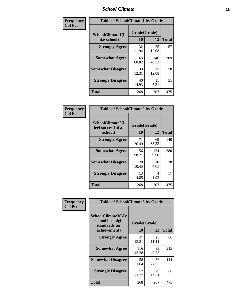### *School Climate* **11**

| <b>Frequency</b> | <b>Table of SchoolClimate1 by Grade</b> |                    |              |              |  |  |
|------------------|-----------------------------------------|--------------------|--------------|--------------|--|--|
| <b>Col Pct</b>   | SchoolClimate1(I<br>like school)        | Grade(Grade)<br>10 | 12           | <b>Total</b> |  |  |
|                  | <b>Strongly Agree</b>                   | 32<br>11.94        | 25<br>12.08  | 57           |  |  |
|                  | <b>Somewhat Agree</b>                   | 163<br>60.82       | 146<br>70.53 | 309          |  |  |
|                  | <b>Somewhat Disagree</b>                | 33<br>12.31        | 25<br>12.08  | 58           |  |  |
|                  | <b>Strongly Disagree</b>                | 40<br>14.93        | 11<br>5.31   | 51           |  |  |
|                  | <b>Total</b>                            | 268                | 207          | 475          |  |  |

| <b>Frequency</b> |
|------------------|
| <b>Col Pct</b>   |

| <b>Table of SchoolClimate2 by Grade</b>           |                    |              |              |  |  |
|---------------------------------------------------|--------------------|--------------|--------------|--|--|
| SchoolClimate2(I<br>feel successful at<br>school) | Grade(Grade)<br>10 | 12           | <b>Total</b> |  |  |
| <b>Strongly Agree</b>                             | 71<br>26.49        | 69<br>33.33  | 140          |  |  |
| <b>Somewhat Agree</b>                             | 156<br>58.21       | 124<br>59.90 | 280          |  |  |
| <b>Somewhat Disagree</b>                          | 28<br>10.45        | 10<br>4.83   | 38           |  |  |
| <b>Strongly Disagree</b>                          | 13<br>4.85         | 4<br>1.93    | 17           |  |  |
| <b>Total</b>                                      | 268                | 207          | 475          |  |  |

| Frequency      | <b>Table of SchoolClimate3 by Grade</b>                                      |                    |             |              |
|----------------|------------------------------------------------------------------------------|--------------------|-------------|--------------|
| <b>Col Pct</b> | <b>SchoolClimate3(My</b><br>school has high<br>standards for<br>achievement) | Grade(Grade)<br>10 | 12          | <b>Total</b> |
|                | <b>Strongly Agree</b>                                                        | 37                 | 23          | 60           |
|                |                                                                              | 13.81              | 11.11       |              |
|                | <b>Somewhat Agree</b>                                                        | 116<br>43.28       | 99<br>47.83 | 215          |
|                | <b>Somewhat Disagree</b>                                                     | 58<br>21.64        | 56<br>27.05 | 114          |
|                | <b>Strongly Disagree</b>                                                     | 57<br>21.27        | 29<br>14.01 | 86           |
|                | Total                                                                        | 268                | 207         | 475          |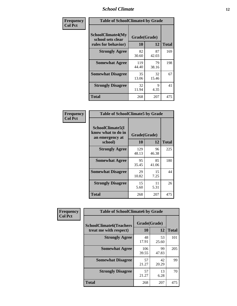### *School Climate* **12**

| Frequency      | <b>Table of SchoolClimate4 by Grade</b>                              |                    |             |              |  |
|----------------|----------------------------------------------------------------------|--------------------|-------------|--------------|--|
| <b>Col Pct</b> | <b>SchoolClimate4(My</b><br>school sets clear<br>rules for behavior) | Grade(Grade)<br>10 | 12          | <b>Total</b> |  |
|                | <b>Strongly Agree</b>                                                | 82<br>30.60        | 87<br>42.03 | 169          |  |
|                | <b>Somewhat Agree</b>                                                | 119<br>44.40       | 79<br>38.16 | 198          |  |
|                | <b>Somewhat Disagree</b>                                             | 35<br>13.06        | 32<br>15.46 | 67           |  |
|                | <b>Strongly Disagree</b>                                             | 32<br>11.94        | 9<br>4.35   | 41           |  |
|                | <b>Total</b>                                                         | 268                | 207         | 475          |  |

| <b>Table of SchoolClimate5 by Grade</b>                              |                    |              |     |  |  |
|----------------------------------------------------------------------|--------------------|--------------|-----|--|--|
| SchoolClimate5(I<br>know what to do in<br>an emergency at<br>school) | Grade(Grade)<br>10 | <b>Total</b> |     |  |  |
|                                                                      |                    | 12           |     |  |  |
| <b>Strongly Agree</b>                                                | 129<br>48.13       | 96<br>46.38  | 225 |  |  |
| <b>Somewhat Agree</b>                                                | 95<br>35.45        | 85<br>41.06  | 180 |  |  |
| <b>Somewhat Disagree</b>                                             | 29<br>10.82        | 15<br>7.25   | 44  |  |  |
| <b>Strongly Disagree</b>                                             | 15<br>5.60         | 11<br>5.31   | 26  |  |  |
| Total                                                                | 268                | 207          | 475 |  |  |

| Frequency      | <b>Table of SchoolClimate6 by Grade</b>                  |                    |             |              |  |  |
|----------------|----------------------------------------------------------|--------------------|-------------|--------------|--|--|
| <b>Col Pct</b> | <b>SchoolClimate6(Teachers</b><br>treat me with respect) | Grade(Grade)<br>10 | 12          | <b>Total</b> |  |  |
|                | <b>Strongly Agree</b>                                    | 48<br>17.91        | 53<br>25.60 | 101          |  |  |
|                | <b>Somewhat Agree</b>                                    | 106<br>39.55       | 99<br>47.83 | 205          |  |  |
|                | <b>Somewhat Disagree</b>                                 | 57<br>21.27        | 42<br>20.29 | 99           |  |  |
|                | <b>Strongly Disagree</b>                                 | 57<br>21.27        | 13<br>6.28  | 70           |  |  |
|                | <b>Total</b>                                             | 268                | 207         | 475          |  |  |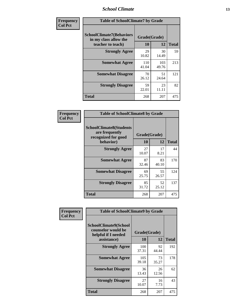### *School Climate* **13**

| Frequency      | <b>Table of SchoolClimate7 by Grade</b>                                       |                           |              |              |  |
|----------------|-------------------------------------------------------------------------------|---------------------------|--------------|--------------|--|
| <b>Col Pct</b> | <b>SchoolClimate7(Behaviors</b><br>in my class allow the<br>teacher to teach) | Grade(Grade)<br><b>10</b> | 12           | <b>Total</b> |  |
|                | <b>Strongly Agree</b>                                                         | 29<br>10.82               | 30<br>14.49  | 59           |  |
|                | <b>Somewhat Agree</b>                                                         | 110<br>41.04              | 103<br>49.76 | 213          |  |
|                | <b>Somewhat Disagree</b>                                                      | 70<br>26.12               | 51<br>24.64  | 121          |  |
|                | <b>Strongly Disagree</b>                                                      | 59<br>22.01               | 23<br>11.11  | 82           |  |
|                | <b>Total</b>                                                                  | 268                       | 207          | 475          |  |

| Frequency      | <b>Table of SchoolClimate8 by Grade</b>                                 |                    |             |              |  |
|----------------|-------------------------------------------------------------------------|--------------------|-------------|--------------|--|
| <b>Col Pct</b> | <b>SchoolClimate8(Students</b><br>are frequently<br>recognized for good | Grade(Grade)<br>10 | 12          |              |  |
|                | behavior)                                                               |                    |             | <b>Total</b> |  |
|                | <b>Strongly Agree</b>                                                   | 27<br>10.07        | 17<br>8.21  | 44           |  |
|                | <b>Somewhat Agree</b>                                                   | 87<br>32.46        | 83<br>40.10 | 170          |  |
|                | <b>Somewhat Disagree</b>                                                | 69<br>25.75        | 55<br>26.57 | 124          |  |
|                | <b>Strongly Disagree</b>                                                | 85<br>31.72        | 52<br>25.12 | 137          |  |
|                | <b>Total</b>                                                            | 268                | 207         | 475          |  |

| Frequency      | <b>Table of SchoolClimate9 by Grade</b>                                           |                    |             |              |  |
|----------------|-----------------------------------------------------------------------------------|--------------------|-------------|--------------|--|
| <b>Col Pct</b> | SchoolClimate9(School<br>counselor would be<br>helpful if I needed<br>assistance) | Grade(Grade)<br>10 | 12          | <b>Total</b> |  |
|                | <b>Strongly Agree</b>                                                             | 100<br>37.31       | 92<br>44.44 | 192          |  |
|                | <b>Somewhat Agree</b>                                                             | 105<br>39.18       | 73<br>35.27 | 178          |  |
|                | <b>Somewhat Disagree</b>                                                          | 36<br>13.43        | 26<br>12.56 | 62           |  |
|                | <b>Strongly Disagree</b>                                                          | 27<br>10.07        | 16<br>7.73  | 43           |  |
|                | Total                                                                             | 268                | 207         | 475          |  |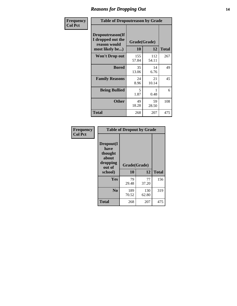### *Reasons for Dropping Out* **14**

| Frequency      | <b>Table of Dropoutreason by Grade</b>                                   |                    |              |              |  |
|----------------|--------------------------------------------------------------------------|--------------------|--------------|--------------|--|
| <b>Col Pct</b> | Dropoutreason(If<br>I dropped out the<br>reason would<br>most likely be) | Grade(Grade)<br>10 | 12           | <b>Total</b> |  |
|                | Won't Drop out                                                           | 155<br>57.84       | 112<br>54.11 | 267          |  |
|                | <b>Bored</b>                                                             | 35<br>13.06        | 14<br>6.76   | 49           |  |
|                | <b>Family Reasons</b>                                                    | 24<br>8.96         | 21<br>10.14  | 45           |  |
|                | <b>Being Bullied</b>                                                     | 5<br>1.87          | 0.48         | 6            |  |
|                | <b>Other</b>                                                             | 49<br>18.28        | 59<br>28.50  | 108          |  |
|                | Total                                                                    | 268                | 207          | 475          |  |

| Frequency<br><b>Col Pct</b> |                                                                        | <b>Table of Dropout by Grade</b> |              |     |  |
|-----------------------------|------------------------------------------------------------------------|----------------------------------|--------------|-----|--|
|                             | Dropout(I<br>have<br>thought<br>about<br>dropping<br>out of<br>school) | Grade(Grade)<br>10               | <b>Total</b> |     |  |
|                             |                                                                        |                                  | 12           |     |  |
|                             | Yes                                                                    | 79<br>29.48                      | 77<br>37.20  | 156 |  |
|                             | N <sub>0</sub>                                                         | 189<br>70.52                     | 130<br>62.80 | 319 |  |
|                             | <b>Total</b>                                                           | 268                              | 207          | 475 |  |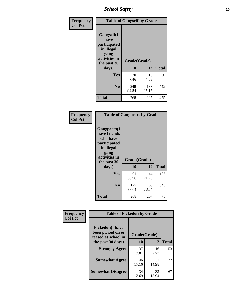*School Safety* **15**

| Frequency      | <b>Table of Gangself by Grade</b>                                                                 |                    |              |              |  |
|----------------|---------------------------------------------------------------------------------------------------|--------------------|--------------|--------------|--|
| <b>Col Pct</b> | Gangself(I<br>have<br>participated<br>in illegal<br>gang<br>activities in<br>the past 30<br>days) | Grade(Grade)<br>10 | 12           | <b>Total</b> |  |
|                | Yes                                                                                               | 20<br>7.46         | 10<br>4.83   | 30           |  |
|                | N <sub>0</sub>                                                                                    | 248<br>92.54       | 197<br>95.17 | 445          |  |
|                | <b>Total</b>                                                                                      | 268                | 207          | 475          |  |

| Frequency<br><b>Col Pct</b> | <b>Table of Gangpeers by Grade</b>                                                                                             |                    |              |              |  |  |  |  |  |  |
|-----------------------------|--------------------------------------------------------------------------------------------------------------------------------|--------------------|--------------|--------------|--|--|--|--|--|--|
|                             | <b>Gangpeers</b> (I<br>have friends<br>who have<br>participated<br>in illegal<br>gang<br>activities in<br>the past 30<br>days) | Grade(Grade)<br>10 | 12           | <b>Total</b> |  |  |  |  |  |  |
|                             | <b>Yes</b>                                                                                                                     | 91<br>33.96        | 44<br>21.26  | 135          |  |  |  |  |  |  |
|                             | N <sub>0</sub>                                                                                                                 | 177<br>66.04       | 163<br>78.74 | 340          |  |  |  |  |  |  |
|                             | <b>Total</b>                                                                                                                   | 268                | 207          | 475          |  |  |  |  |  |  |

| Frequency      | <b>Table of Pickedon by Grade</b>                                  |              |             |              |
|----------------|--------------------------------------------------------------------|--------------|-------------|--------------|
| <b>Col Pct</b> | <b>Pickedon(I have</b><br>been picked on or<br>teased at school in | Grade(Grade) |             |              |
|                | the past 30 days)                                                  | 10           | 12          | <b>Total</b> |
|                | <b>Strongly Agree</b>                                              | 37<br>13.81  | 16<br>7.73  | 53           |
|                | <b>Somewhat Agree</b>                                              | 46<br>17.16  | 31<br>14.98 | 77           |
|                | <b>Somewhat Disagree</b>                                           | 34<br>12.69  | 33<br>15.94 | 67           |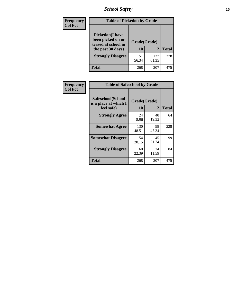# *School Safety* **16**

| <b>Frequency</b> | <b>Table of Pickedon by Grade</b>                                                        |                    |              |              |
|------------------|------------------------------------------------------------------------------------------|--------------------|--------------|--------------|
| <b>Col Pct</b>   | <b>Pickedon</b> (I have<br>been picked on or<br>teased at school in<br>the past 30 days) | Grade(Grade)<br>10 | 12           | <b>Total</b> |
|                  | <b>Strongly Disagree</b>                                                                 | 151<br>56.34       | 127<br>61.35 | 278          |
|                  | Total                                                                                    | 268                | 207          | 475          |

| Frequency      | <b>Table of Safeschool by Grade</b>                      |                    |              |     |
|----------------|----------------------------------------------------------|--------------------|--------------|-----|
| <b>Col Pct</b> | Safeschool(School<br>is a place at which I<br>feel safe) | Grade(Grade)<br>10 | <b>Total</b> |     |
|                | <b>Strongly Agree</b>                                    | 24<br>8.96         | 40<br>19.32  | 64  |
|                | <b>Somewhat Agree</b>                                    | 130<br>48.51       | 98<br>47.34  | 228 |
|                | <b>Somewhat Disagree</b>                                 | 54<br>20.15        | 45<br>21.74  | 99  |
|                | <b>Strongly Disagree</b>                                 | 60<br>22.39        | 24<br>11.59  | 84  |
|                | <b>Total</b>                                             | 268                | 207          | 475 |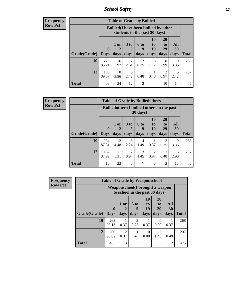*School Safety* **17**

| Frequency      |
|----------------|
| <b>Row Pct</b> |

| <b>Table of Grade by Bullied</b> |              |                                                                               |                      |                        |                |                |           |              |  |  |
|----------------------------------|--------------|-------------------------------------------------------------------------------|----------------------|------------------------|----------------|----------------|-----------|--------------|--|--|
|                                  |              | <b>Bullied</b> (I have been bullied by other<br>students in the past 30 days) |                      |                        |                |                |           |              |  |  |
|                                  | $\mathbf 0$  | $1$ or                                                                        | 3 <sub>to</sub><br>5 | <b>6 to</b><br>9       | 10<br>to<br>19 | 20<br>to<br>29 | All<br>30 |              |  |  |
| <b>Grade</b> (Grade)   Days      |              | days                                                                          | days                 | days                   | days           | days           | days      | <b>Total</b> |  |  |
| 10                               | 223<br>83.21 | 16<br>5.97                                                                    | 7<br>2.61            | $\mathfrak{D}$<br>0.75 | 3<br>1.12      | 8<br>2.99      | 9<br>3.36 | 268          |  |  |
| 12                               | 185<br>89.37 | 8<br>3.86                                                                     | 5<br>2.42            | 0.48                   | 0.48           | 2<br>0.97      | 5<br>2.42 | 207          |  |  |
| Total                            | 408          | 24                                                                            | 12                   | 3                      | 4              | 10             | 14        | 475          |  |  |

| <b>Frequency</b> | <b>Table of Grade by Bulliedothers</b> |                                                    |                   |                      |                          |                |                        |           |              |  |
|------------------|----------------------------------------|----------------------------------------------------|-------------------|----------------------|--------------------------|----------------|------------------------|-----------|--------------|--|
| <b>Row Pct</b>   |                                        | <b>Bulliedothers</b> (I bullied others in the past |                   |                      |                          |                |                        |           |              |  |
|                  |                                        | $\mathbf{0}$                                       | 1 or<br>2<br>days | 3 <sub>to</sub><br>5 | <b>6 to</b><br>q<br>days | 10<br>to<br>19 | 20<br>to<br>29         | All<br>30 | <b>Total</b> |  |
|                  | Grade(Grade)                           | <b>Days</b>                                        |                   | days                 |                          | days           | days                   | days      |              |  |
|                  | 10                                     | 234<br>87.31                                       | 12<br>4.48        | 6<br>2.24            | $\overline{4}$<br>1.49   | 0.37           | $\overline{2}$<br>0.75 | 9<br>3.36 | 268          |  |
|                  | 12                                     | 182<br>87.92                                       | 11<br>5.31        | 2<br>0.97            | 3<br>1.45                | 2<br>0.97      | 0.48                   | 6<br>2.90 | 207          |  |
|                  | <b>Total</b>                           | 416                                                | 23                | 8                    | 7                        | 3              | 3                      | 15        | 475          |  |

| <b>Frequency</b> | <b>Table of Grade by Weaponschool</b> |                                                                    |                        |                        |                        |                                    |                   |              |
|------------------|---------------------------------------|--------------------------------------------------------------------|------------------------|------------------------|------------------------|------------------------------------|-------------------|--------------|
| <b>Row Pct</b>   |                                       | Weaponschool (I brought a weapon<br>to school in the past 30 days) |                        |                        |                        |                                    |                   |              |
|                  | Grade(Grade)                          | $\mathbf 0$<br><b>Days</b>                                         | 1 or<br>days           | 3 to<br>days           | 10<br>to<br>19<br>days | 20<br>t <sub>0</sub><br>29<br>days | All<br>30<br>days | <b>Total</b> |
|                  |                                       |                                                                    |                        |                        |                        |                                    |                   |              |
|                  | 10                                    | 263<br>98.13                                                       | 0.37                   | $\mathfrak{D}$<br>0.75 | 0.37                   | $\theta$<br>0.00                   | 0.37              | 268          |
|                  | 12                                    | 200<br>96.62                                                       | $\overline{2}$<br>0.97 | 0.48                   | 0<br>0.00              | 3<br>1.45                          | 0.48              | 207          |
|                  | <b>Total</b>                          | 463                                                                | 3                      | 3                      |                        | 3                                  | $\overline{2}$    | 475          |

h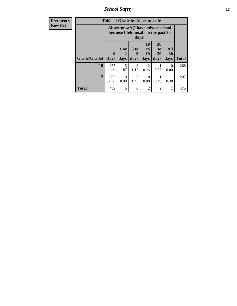*School Safety* **18**

| <b>Frequency</b> | <b>Table of Grade by Absentunsafe</b> |              |                                                                                    |                   |                               |                                           |                   |              |  |
|------------------|---------------------------------------|--------------|------------------------------------------------------------------------------------|-------------------|-------------------------------|-------------------------------------------|-------------------|--------------|--|
| <b>Row Pct</b>   |                                       |              | Absentunsafe(I have missed school<br>because I felt unsafe in the past 30<br>days) |                   |                               |                                           |                   |              |  |
|                  | Grade(Grade)   Days                   | $\mathbf 0$  | 1 or<br>$\mathbf 2$<br>days                                                        | 3 to<br>5<br>days | <b>10</b><br>to<br>19<br>days | <b>20</b><br>t <sub>0</sub><br>29<br>days | All<br>30<br>days | <b>Total</b> |  |
|                  | 10                                    | 257<br>95.90 | 5<br>1.87                                                                          | 3<br>1.12         | 0.75                          | 0.37                                      | 0<br>0.00         | 268          |  |
|                  | 12                                    | 202<br>97.58 | $\Omega$<br>0.00                                                                   | 3<br>1.45         | 0<br>0.00                     | 0.48                                      | 0.48              | 207          |  |
|                  | <b>Total</b>                          | 459          | 5                                                                                  | 6                 | $\mathfrak{D}$                | 2                                         | 1                 | 475          |  |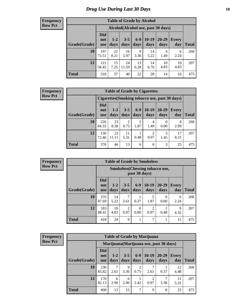# *Drug Use During Last 30 Days* **19**

#### **Frequency Row Pct**

| <b>Table of Grade by Alcohol</b> |                                 |                                     |                 |               |                 |               |              |       |  |  |  |  |
|----------------------------------|---------------------------------|-------------------------------------|-----------------|---------------|-----------------|---------------|--------------|-------|--|--|--|--|
|                                  |                                 | Alcohol (Alcohol use, past 30 days) |                 |               |                 |               |              |       |  |  |  |  |
| Grade(Grade)                     | <b>Did</b><br>not<br><b>use</b> | $1 - 2$<br>days                     | $3 - 5$<br>days | $6-9$<br>days | $10-19$<br>days | 20-29<br>days | Every<br>day | Total |  |  |  |  |
| 10                               | 197<br>73.51                    | 22<br>8.21                          | 16<br>5.97      | 9<br>3.36     | 14<br>5.22      | 4<br>1.49     | 6<br>2.24    | 268   |  |  |  |  |
| 12                               | 121<br>58.45                    | 15<br>7.25                          | 24<br>11.59     | 13<br>6.28    | 14<br>6.76      | 10<br>4.83    | 10<br>4.83   | 207   |  |  |  |  |
| <b>Total</b>                     | 318                             | 37                                  | 40              | 22            | 28              | 14            | 16           | 475   |  |  |  |  |

#### **Frequency Row Pct**

| <b>Table of Grade by Cigarettes</b> |                                 |                                                |                 |                 |                 |                   |                     |              |  |  |  |  |
|-------------------------------------|---------------------------------|------------------------------------------------|-----------------|-----------------|-----------------|-------------------|---------------------|--------------|--|--|--|--|
|                                     |                                 | Cigarettes (Smoking tobacco use, past 30 days) |                 |                 |                 |                   |                     |              |  |  |  |  |
| Grade(Grade)                        | <b>Did</b><br>not<br><b>use</b> | $1 - 2$<br>days                                | $3 - 5$<br>days | $6 - 9$<br>days | $10-19$<br>days | $20 - 29$<br>days | <b>Every</b><br>day | <b>Total</b> |  |  |  |  |
| 10                                  | 226<br>84.33                    | 23<br>8.58                                     | 2<br>0.75       | 5<br>1.87       | 4<br>1.49       | 0.00              | 8<br>2.99           | 268          |  |  |  |  |
| 12                                  | 150<br>72.46                    | 23<br>11.11                                    | 11<br>5.31      | 0.48            | 2<br>0.97       | 3<br>1.45         | 17<br>8.21          | 207          |  |  |  |  |
| <b>Total</b>                        | 376                             | 46                                             | 13              | 6               | 6               | 3                 | 25                  | 475          |  |  |  |  |

**Frequency Row Pct**

|              | <b>Table of Grade by Smokeless</b> |                                                        |                        |                  |                        |                   |              |       |  |  |  |
|--------------|------------------------------------|--------------------------------------------------------|------------------------|------------------|------------------------|-------------------|--------------|-------|--|--|--|
|              |                                    | <b>Smokeless</b> (Chewing tobaccouse,<br>past 30 days) |                        |                  |                        |                   |              |       |  |  |  |
| Grade(Grade) | <b>Did</b><br>not<br><b>use</b>    | $1 - 2$<br>days                                        | $3 - 5$<br>days        | $6-9$<br>days    | $10-19$<br>days        | $20 - 29$<br>days | Every<br>day | Total |  |  |  |
| 10           | 235<br>87.69                       | 14<br>5.22                                             | 7<br>2.61              | 0.37             | 5<br>1.87              | 0.00              | 6<br>2.24    | 268   |  |  |  |
| 12           | 183<br>88.41                       | 10<br>4.83                                             | $\overline{2}$<br>0.97 | $\Omega$<br>0.00 | $\overline{2}$<br>0.97 | 0.48              | 9<br>4.35    | 207   |  |  |  |
| <b>Total</b> | 418                                | 24                                                     | 9                      |                  | 7                      |                   | 15           | 475   |  |  |  |

**Frequency Row Pct**

| <b>Table of Grade by Marijuana</b> |                                 |                                         |                 |                        |                 |                   |              |              |  |  |
|------------------------------------|---------------------------------|-----------------------------------------|-----------------|------------------------|-----------------|-------------------|--------------|--------------|--|--|
|                                    |                                 | Marijuana (Marijuana use, past 30 days) |                 |                        |                 |                   |              |              |  |  |
| Grade(Grade)                       | <b>Did</b><br>not<br><b>use</b> | $1 - 2$<br>days                         | $3 - 5$<br>days | $6-9$<br>days          | $10-19$<br>days | $20 - 29$<br>days | Every<br>day | <b>Total</b> |  |  |
| 10                                 | 230<br>85.82                    | 2.61                                    | 9<br>3.36       | $\overline{2}$<br>0.75 | 7<br>2.61       | 0.37              | 12<br>4.48   | 268          |  |  |
| 12                                 | 170<br>82.13                    | 6<br>2.90                               | 6<br>2.90       | 5<br>2.42              | 2<br>0.97       | 3.38              | 11<br>5.31   | 207          |  |  |
| <b>Total</b>                       | 400                             | 13                                      | 15              | 7                      | 9               | 8                 | 23           | 475          |  |  |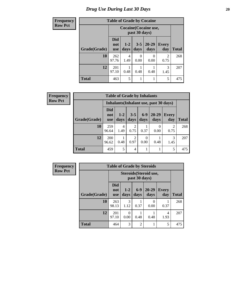# *Drug Use During Last 30 Days* 20

| <b>Frequency</b> | <b>Table of Grade by Cocaine</b> |                                 |                 |                 |                       |                        |              |  |  |  |
|------------------|----------------------------------|---------------------------------|-----------------|-----------------|-----------------------|------------------------|--------------|--|--|--|
| <b>Row Pct</b>   |                                  |                                 |                 | past 30 days)   | Cocaine (Cocaine use, |                        |              |  |  |  |
|                  | Grade(Grade)                     | <b>Did</b><br>not<br><b>use</b> | $1 - 2$<br>days | $3 - 5$<br>days | $20 - 29$<br>days     | <b>Every</b><br>day    | <b>Total</b> |  |  |  |
|                  | 10                               | 262<br>97.76                    | 4<br>1.49       | 0<br>0.00       | 0<br>0.00             | $\mathfrak{D}$<br>0.75 | 268          |  |  |  |
|                  | 12                               | 201<br>97.10                    | 0.48            | 0.48            | 0.48                  | 3<br>1.45              | 207          |  |  |  |
|                  | <b>Total</b>                     | 463                             | 5               |                 |                       | 5                      | 475          |  |  |  |

| Frequency      | <b>Table of Grade by Inhalants</b> |                                 |               |                        |                  |                                        |                     |              |
|----------------|------------------------------------|---------------------------------|---------------|------------------------|------------------|----------------------------------------|---------------------|--------------|
| <b>Row Pct</b> |                                    |                                 |               |                        |                  | Inhalants (Inhalant use, past 30 days) |                     |              |
|                | Grade(Grade)                       | <b>Did</b><br>not<br><b>use</b> | $1-2$<br>days | $3 - 5$<br>days        | $6-9$<br>days    | $20 - 29$<br>days                      | <b>Every</b><br>day | <b>Total</b> |
|                | 10                                 | 259<br>96.64                    | 4<br>1.49     | 0.75                   | 0.37             | $\Omega$<br>0.00                       | 2<br>0.75           | 268          |
|                | 12                                 | 200<br>96.62                    | 0.48          | $\mathfrak{D}$<br>0.97 | $\Omega$<br>0.00 | 0.48                                   | 3<br>1.45           | 207          |
|                | <b>Total</b>                       | 459                             | 5             | $\overline{4}$         |                  |                                        | 5                   | 475          |

| Frequency      |              | <b>Table of Grade by Steroids</b> |                        |                |                   |              |              |  |  |
|----------------|--------------|-----------------------------------|------------------------|----------------|-------------------|--------------|--------------|--|--|
| <b>Row Pct</b> |              |                                   | Steroids (Steroid use, |                |                   |              |              |  |  |
|                | Grade(Grade) | <b>Did</b><br>not<br><b>use</b>   | $1 - 2$<br>days        | $6-9$<br>days  | $20 - 29$<br>days | Every<br>day | <b>Total</b> |  |  |
|                | 10           | 263<br>98.13                      | 3<br>1.12              | 0.37           | 0<br>0.00         | 0.37         | 268          |  |  |
|                | 12           | 201<br>97.10                      | $\theta$<br>0.00       | 0.48           | 0.48              | 4<br>1.93    | 207          |  |  |
|                | <b>Total</b> | 464                               | 3                      | $\overline{2}$ |                   | 5            | 475          |  |  |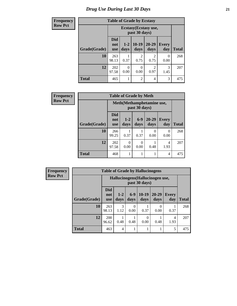#### **Frequency Row Pct Table of Grade by Ecstasy Grade(Grade) Ecstasy(Ecstasy use, past 30 days) Total Did not use 1-2 days 10-19 days 20-29 days Every day 10** 263 98.13 1 0.37 2 0.75 2 0.75 0 0.00 268 **12** 202 97.58 0 0.00 0 0.00 2 0.97 3 1.45 207 **Total** | 465 | 1 | 2 | 4 | 3 | 475

| <b>Frequency</b> |              | <b>Table of Grade by Meth</b> |               |                 |                                            |                     |              |  |
|------------------|--------------|-------------------------------|---------------|-----------------|--------------------------------------------|---------------------|--------------|--|
| <b>Row Pct</b>   |              |                               |               |                 | Meth(Methamphetamine use,<br>past 30 days) |                     |              |  |
|                  | Grade(Grade) | <b>Did</b><br>not<br>use      | $1-2$<br>days | $6 - 9$<br>days | $20 - 29$<br>days                          | <b>Every</b><br>day | <b>Total</b> |  |
|                  | 10           | 266<br>99.25                  | 0.37          | 0.37            | 0<br>0.00                                  | $\Omega$<br>0.00    | 268          |  |
|                  | 12           | 202<br>97.58                  | 0.00          | 0<br>0.00       | 0.48                                       | 4<br>1.93           | 207          |  |
|                  | <b>Total</b> | 468                           |               |                 |                                            | 4                   | 475          |  |

| <b>Frequency</b> | <b>Table of Grade by Hallucinogens</b> |                                 |                 |                  |                                                   |                   |                     |              |
|------------------|----------------------------------------|---------------------------------|-----------------|------------------|---------------------------------------------------|-------------------|---------------------|--------------|
| <b>Row Pct</b>   |                                        |                                 |                 |                  | Hallucinogens (Hallucinogen use,<br>past 30 days) |                   |                     |              |
|                  | Grade(Grade)                           | <b>Did</b><br>not<br><b>use</b> | $1 - 2$<br>days | $6-9$<br>days    | $10-19$<br>days                                   | $20 - 29$<br>days | <b>Every</b><br>day | <b>Total</b> |
|                  | 10                                     | 263<br>98.13                    | 3<br>1.12       | $\Omega$<br>0.00 | 0.37                                              | 0.00              | 0.37                | 268          |
|                  | 12                                     | 200<br>96.62                    | 0.48            | 0.48             | $\Omega$<br>0.00                                  | 0.48              | 4<br>1.93           | 207          |
|                  | <b>Total</b>                           | 463                             | 4               |                  |                                                   |                   | 5                   | 475          |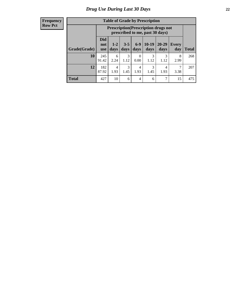#### **Frequency Row Pct**

| <b>Table of Grade by Prescription</b> |                                 |                                                                                |                 |                |                 |                   |              |       |  |  |  |
|---------------------------------------|---------------------------------|--------------------------------------------------------------------------------|-----------------|----------------|-----------------|-------------------|--------------|-------|--|--|--|
|                                       |                                 | <b>Prescription</b> (Prescription drugs not<br>prescribed to me, past 30 days) |                 |                |                 |                   |              |       |  |  |  |
| Grade(Grade)                          | <b>Did</b><br>not<br><b>use</b> | $1 - 2$<br>days                                                                | $3 - 5$<br>days | $6-9$<br>days  | $10-19$<br>days | $20 - 29$<br>days | Every<br>day | Total |  |  |  |
| 10                                    | 245<br>91.42                    | 6<br>2.24                                                                      | 3<br>1.12       | 0<br>0.00      | 3<br>1.12       | 3<br>1.12         | 8<br>2.99    | 268   |  |  |  |
| 12                                    | 182<br>87.92                    | 4<br>1.93                                                                      | 3<br>1.45       | 4<br>1.93      | 3<br>1.45       | 4<br>1.93         | 3.38         | 207   |  |  |  |
| <b>Total</b>                          | 427                             | 10                                                                             | 6               | $\overline{4}$ | 6               | $\mathcal{I}$     | 15           | 475   |  |  |  |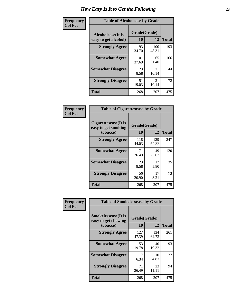| Frequency      | <b>Table of Alcoholease by Grade</b>       |                    |              |              |  |  |  |
|----------------|--------------------------------------------|--------------------|--------------|--------------|--|--|--|
| <b>Col Pct</b> | Alcoholease (It is<br>easy to get alcohol) | Grade(Grade)<br>10 | 12           | <b>Total</b> |  |  |  |
|                | <b>Strongly Agree</b>                      | 93<br>34.70        | 100<br>48.31 | 193          |  |  |  |
|                | <b>Somewhat Agree</b>                      | 101<br>37.69       | 65<br>31.40  | 166          |  |  |  |
|                | <b>Somewhat Disagree</b>                   | 23<br>8.58         | 21<br>10.14  | 44           |  |  |  |
|                | <b>Strongly Disagree</b>                   | 51<br>19.03        | 21<br>10.14  | 72           |  |  |  |
|                | <b>Total</b>                               | 268                | 207          | 475          |  |  |  |

| <b>Frequency</b> |  |
|------------------|--|
| <b>Col Pct</b>   |  |

|                                                         | <b>Table of Cigarettesease by Grade</b> |              |              |  |  |  |  |
|---------------------------------------------------------|-----------------------------------------|--------------|--------------|--|--|--|--|
| Cigarettesease(It is<br>easy to get smoking<br>tobacco) | Grade(Grade)<br>10                      | 12           | <b>Total</b> |  |  |  |  |
| <b>Strongly Agree</b>                                   | 118<br>44.03                            | 129<br>62.32 | 247          |  |  |  |  |
| <b>Somewhat Agree</b>                                   | 71<br>26.49                             | 49<br>23.67  | 120          |  |  |  |  |
| <b>Somewhat Disagree</b>                                | 23<br>8.58                              | 12<br>5.80   | 35           |  |  |  |  |
| <b>Strongly Disagree</b>                                | 56<br>20.90                             | 17<br>8.21   | 73           |  |  |  |  |
| <b>Total</b>                                            | 268                                     | 207          | 475          |  |  |  |  |

| Frequency      | <b>Table of Smokelessease by Grade</b>                         |                    |              |              |
|----------------|----------------------------------------------------------------|--------------------|--------------|--------------|
| <b>Col Pct</b> | <b>Smokelessease</b> (It is<br>easy to get chewing<br>tobacco) | Grade(Grade)<br>10 | 12           | <b>Total</b> |
|                | <b>Strongly Agree</b>                                          | 127<br>47.39       | 134<br>64.73 | 261          |
|                | <b>Somewhat Agree</b>                                          | 53<br>19.78        | 40<br>19.32  | 93           |
|                | <b>Somewhat Disagree</b>                                       | 17<br>6.34         | 10<br>4.83   | 27           |
|                | <b>Strongly Disagree</b>                                       | 71<br>26.49        | 23<br>11.11  | 94           |
|                | <b>Total</b>                                                   | 268                | 207          | 475          |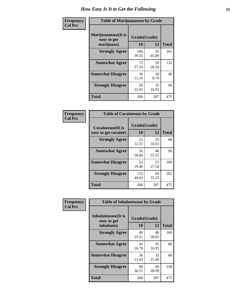| Frequency      | <b>Table of Marijuanaease by Grade</b>           |                    |             |              |
|----------------|--------------------------------------------------|--------------------|-------------|--------------|
| <b>Col Pct</b> | Marijuanaease(It is<br>easy to get<br>marijuana) | Grade(Grade)<br>10 | 12          | <b>Total</b> |
|                | <b>Strongly Agree</b>                            | 106<br>39.55       | 95<br>45.89 | 201          |
|                | <b>Somewhat Agree</b>                            | 73<br>27.24        | 59<br>28.50 | 132          |
|                | <b>Somewhat Disagree</b>                         | 30<br>11.19        | 18<br>8.70  | 48           |
|                | <b>Strongly Disagree</b>                         | 59<br>22.01        | 35<br>16.91 | 94           |
|                | <b>Total</b>                                     | 268                | 207         | 475          |

|                                                   | <b>Table of Cocaineease by Grade</b> |              |     |  |  |  |  |  |  |  |  |  |  |
|---------------------------------------------------|--------------------------------------|--------------|-----|--|--|--|--|--|--|--|--|--|--|
| <b>Cocaineease</b> (It is<br>easy to get cocaine) | Grade(Grade)<br>10                   | <b>Total</b> |     |  |  |  |  |  |  |  |  |  |  |
| <b>Strongly Agree</b>                             | 33<br>12.31                          | 35<br>16.91  | 68  |  |  |  |  |  |  |  |  |  |  |
| <b>Somewhat Agree</b>                             | 50<br>18.66                          | 46<br>22.22  | 96  |  |  |  |  |  |  |  |  |  |  |
| <b>Somewhat Disagree</b>                          | 52<br>19.40                          | 57<br>27.54  | 109 |  |  |  |  |  |  |  |  |  |  |
| <b>Strongly Disagree</b>                          | 133<br>49.63                         | 69<br>33.33  | 202 |  |  |  |  |  |  |  |  |  |  |
| <b>Total</b>                                      | 268                                  | 207          | 475 |  |  |  |  |  |  |  |  |  |  |

| Frequency      | <b>Table of Inhalantsease by Grade</b>                   |                    |             |              |  |  |  |  |  |  |  |  |  |
|----------------|----------------------------------------------------------|--------------------|-------------|--------------|--|--|--|--|--|--|--|--|--|
| <b>Col Pct</b> | <b>Inhalantsease</b> (It is<br>easy to get<br>inhalants) | Grade(Grade)<br>10 | 12          | <b>Total</b> |  |  |  |  |  |  |  |  |  |
|                | <b>Strongly Agree</b>                                    | 89<br>33.21        | 80<br>38.65 | 169          |  |  |  |  |  |  |  |  |  |
|                | <b>Somewhat Agree</b>                                    | 45<br>16.79        | 35<br>16.91 | 80           |  |  |  |  |  |  |  |  |  |
|                | <b>Somewhat Disagree</b>                                 | 36<br>13.43        | 32<br>15.46 | 68           |  |  |  |  |  |  |  |  |  |
|                | <b>Strongly Disagree</b>                                 | 98<br>36.57        | 60<br>28.99 | 158          |  |  |  |  |  |  |  |  |  |
|                | <b>Total</b>                                             | 268                | 207         | 475          |  |  |  |  |  |  |  |  |  |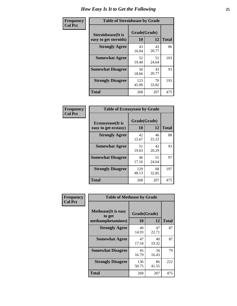| Frequency      | <b>Table of Steroidsease by Grade</b>               |                    |             |              |
|----------------|-----------------------------------------------------|--------------------|-------------|--------------|
| <b>Col Pct</b> | <b>Steroidsease</b> (It is<br>easy to get steroids) | Grade(Grade)<br>10 | 12          | <b>Total</b> |
|                | <b>Strongly Agree</b>                               | 43<br>16.04        | 43<br>20.77 | 86           |
|                | <b>Somewhat Agree</b>                               | 52<br>19.40        | 51<br>24.64 | 103          |
|                | <b>Somewhat Disagree</b>                            | 50<br>18.66        | 43<br>20.77 | 93           |
|                | <b>Strongly Disagree</b>                            | 123<br>45.90       | 70<br>33.82 | 193          |
|                | <b>Total</b>                                        | 268                | 207         | 475          |

| Frequency      | <b>Table of Ecstasyease by Grade</b>              |                    |             |              |  |  |
|----------------|---------------------------------------------------|--------------------|-------------|--------------|--|--|
| <b>Col Pct</b> | <b>Ecstasyease</b> (It is<br>easy to get ecstasy) | Grade(Grade)<br>10 | 12          | <b>Total</b> |  |  |
|                | <b>Strongly Agree</b>                             | 42<br>15.67        | 46<br>22.22 | 88           |  |  |
|                | <b>Somewhat Agree</b>                             | 51<br>19.03        | 42<br>20.29 | 93           |  |  |
|                | <b>Somewhat Disagree</b>                          | 46<br>17.16        | 51<br>24.64 | 97           |  |  |
|                | <b>Strongly Disagree</b>                          | 129<br>48.13       | 68<br>32.85 | 197          |  |  |
|                | Total                                             | 268                | 207         | 475          |  |  |

| Frequency      | <b>Table of Methease by Grade</b>                          |                    |              |     |
|----------------|------------------------------------------------------------|--------------------|--------------|-----|
| <b>Col Pct</b> | <b>Methease</b> (It is easy<br>to get<br>methamphetamines) | Grade(Grade)<br>10 | <b>Total</b> |     |
|                | <b>Strongly Agree</b>                                      | 40<br>14.93        | 47<br>22.71  | 87  |
|                | <b>Somewhat Agree</b>                                      | 47<br>17.54        | 40<br>19.32  | 87  |
|                | <b>Somewhat Disagree</b>                                   | 45<br>16.79        | 34<br>16.43  | 79  |
|                | <b>Strongly Disagree</b>                                   | 136<br>50.75       | 86<br>41.55  | 222 |
|                | Total                                                      | 268                | 207          | 475 |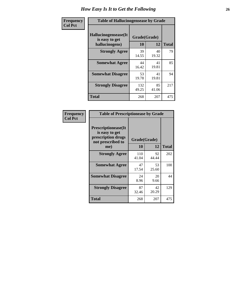| <b>Frequency</b> | <b>Table of Hallucinogensease by Grade</b>               |                    |             |              |
|------------------|----------------------------------------------------------|--------------------|-------------|--------------|
| <b>Col Pct</b>   | Hallucinogensease(It<br>is easy to get<br>hallucinogens) | Grade(Grade)<br>10 | 12          | <b>Total</b> |
|                  | <b>Strongly Agree</b>                                    | 39<br>14.55        | 40<br>19.32 | 79           |
|                  | <b>Somewhat Agree</b>                                    | 44<br>16.42        | 41<br>19.81 | 85           |
|                  | <b>Somewhat Disagree</b>                                 | 53<br>19.78        | 41<br>19.81 | 94           |
|                  | <b>Strongly Disagree</b>                                 | 132<br>49.25       | 85<br>41.06 | 217          |
|                  | <b>Total</b>                                             | 268                | 207         | 475          |

| Frequency<br>  Col Pct |
|------------------------|
|                        |

| <b>Table of Prescriptionease by Grade</b>                                                |              |              |              |  |  |  |  |
|------------------------------------------------------------------------------------------|--------------|--------------|--------------|--|--|--|--|
| <b>Prescriptionease</b> (It<br>is easy to get<br>prescription drugs<br>not prescribed to |              | Grade(Grade) |              |  |  |  |  |
| me)                                                                                      | 10           | 12           | <b>Total</b> |  |  |  |  |
| <b>Strongly Agree</b>                                                                    | 110<br>41.04 | 92<br>44.44  | 202          |  |  |  |  |
| <b>Somewhat Agree</b>                                                                    | 47<br>17.54  | 53<br>25.60  | 100          |  |  |  |  |
| <b>Somewhat Disagree</b>                                                                 | 24<br>8.96   | 20<br>9.66   | 44           |  |  |  |  |
| <b>Strongly Disagree</b>                                                                 | 87<br>32.46  | 42<br>20.29  | 129          |  |  |  |  |
| <b>Total</b>                                                                             | 268          | 207          | 475          |  |  |  |  |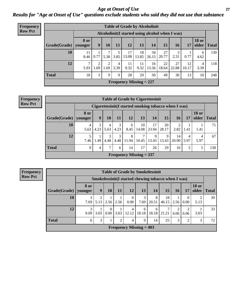*Age at Onset of Use* **27** *Results for "Age at Onset of Use" questions exclude students who said they did not use that substance*

| Frequency      |              |                        |                        |           |           |                                |             | <b>Table of Grade by Alcoholinit</b>             |             |             |             |                       |              |
|----------------|--------------|------------------------|------------------------|-----------|-----------|--------------------------------|-------------|--------------------------------------------------|-------------|-------------|-------------|-----------------------|--------------|
| <b>Row Pct</b> |              |                        |                        |           |           |                                |             | Alcoholinit (I started using alcohol when I was) |             |             |             |                       |              |
|                | Grade(Grade) | <b>8 or</b><br>younger | 9                      | <b>10</b> | 11        | <b>12</b>                      | 13          | 14                                               | 15          | <b>16</b>   | 17          | <b>18 or</b><br>older | <b>Total</b> |
|                | 10           | 11<br>8.46             | 0.77                   | 7<br>5.38 | 5<br>3.85 | 17<br>13.08                    | 18<br>13.85 | 34<br>26.15                                      | 27<br>20.77 | 2.31        | 0.77        | 6<br>4.62             | 130          |
|                | 12           | $\mathcal{I}$<br>5.93  | $\overline{2}$<br>1.69 | 2<br>1.69 | 4<br>3.39 | 11<br>9.32                     | 11<br>9.32  | 16<br>13.56                                      | 22<br>18.64 | 27<br>22.88 | 12<br>10.17 | 4<br>3.39             | 118          |
|                | <b>Total</b> | 18                     | 3                      | 9         | 9         | 28                             | 29          | 50                                               | 49          | 30          | 13          | 10                    | 248          |
|                |              |                        |                        |           |           | <b>Frequency Missing = 227</b> |             |                                                  |             |             |             |                       |              |

| <b>Frequency</b> | <b>Table of Grade by Cigarettesinit</b> |                        |           |                 |           |            |                           |             |                  |                                                       |           |                       |              |
|------------------|-----------------------------------------|------------------------|-----------|-----------------|-----------|------------|---------------------------|-------------|------------------|-------------------------------------------------------|-----------|-----------------------|--------------|
| <b>Row Pct</b>   |                                         |                        |           |                 |           |            |                           |             |                  | Cigarettesinit (I started smoking tobacco when I was) |           |                       |              |
|                  | Grade(Grade)                            | <b>8</b> or<br>younger | 9         | 10 <sup>1</sup> | 11        | 12         | 13                        | 14          | 15 <sup>15</sup> | 16                                                    | 17        | <b>18 or</b><br>older | <b>Total</b> |
|                  | 10                                      | 4<br>5.63              | 3<br>4.23 | 4<br>5.63       | 3<br>4.23 | 6<br>8.45  | 10<br>14.08               | 17<br>23.94 | 20<br>28.17      | 2<br>2.82                                             | 1.41      | 1.41                  | 71           |
|                  | 12                                      | 5<br>7.46              | .49       | 3<br>4.48       | 3<br>4.48 | 8<br>11.94 | $\mathcal{I}$<br>10.45    | Q<br>13.43  | 9<br>13.43       | 14<br>20.90                                           | 4<br>5.97 | 5.97                  | 67           |
|                  | <b>Total</b>                            | 9                      | 4         | 7               | 6         | 14         | 17                        | 26          | 29               | 16                                                    | 5         |                       | 138          |
|                  |                                         |                        |           |                 |           |            | Frequency Missing $= 337$ |             |                  |                                                       |           |                       |              |

**Frequency Row Pct**

| <b>Table of Grade by Smokelessinit</b> |                 |           |                               |                |                                                      |            |            |             |                        |                  |                       |              |  |
|----------------------------------------|-----------------|-----------|-------------------------------|----------------|------------------------------------------------------|------------|------------|-------------|------------------------|------------------|-----------------------|--------------|--|
|                                        |                 |           |                               |                | Smokelessinit (I started chewing tobacco when I was) |            |            |             |                        |                  |                       |              |  |
| Grade(Grade)                           | 8 or<br>younger | 9         | 10                            | 11             | 12                                                   | 13         | 14         | 15          | 16                     | 17               | <b>18 or</b><br>older | <b>Total</b> |  |
| <b>10</b>                              | 3<br>7.69       | 2<br>5.13 | 2.56                          | 2.56           | $\theta$<br>0.00                                     | 3<br>7.69  | 8<br>20.51 | 18<br>46.15 | 2.56                   | $\theta$<br>0.00 | 2<br>5.13             | 39           |  |
| 12                                     | 3<br>9.09       | 3.03      | $\theta$<br>0.00 <sub>1</sub> | 3.03           | 4<br>12.12                                           | 6<br>18.18 | 6<br>18.18 | ⇁<br>21.21  | $\overline{2}$<br>6.06 | 2<br>6.06        | 3.03                  | 33           |  |
| <b>Total</b>                           | 6               | 3         |                               | $\overline{2}$ | 4                                                    | 9          | 14         | 25          | 3                      | 2                | 3                     | 72           |  |
|                                        |                 |           |                               |                | Frequency Missing $= 403$                            |            |            |             |                        |                  |                       |              |  |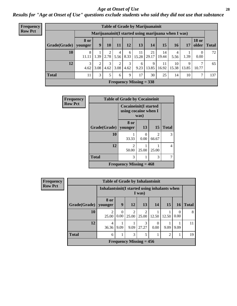#### *Age at Onset of Use* **28**

*Results for "Age at Onset of Use" questions exclude students who said they did not use that substance*

| <b>Frequency</b> |              |                        |                        |           |           |           |                           | <b>Table of Grade by Marijuanainit</b>               |             |             |            |                                |              |
|------------------|--------------|------------------------|------------------------|-----------|-----------|-----------|---------------------------|------------------------------------------------------|-------------|-------------|------------|--------------------------------|--------------|
| <b>Row Pct</b>   |              |                        |                        |           |           |           |                           | Marijuanainit (I started using marijuana when I was) |             |             |            |                                |              |
|                  | Grade(Grade) | <b>8 or</b><br>younger | 9 <sup>°</sup>         | 10        | 11        | 12        | 13                        | 14                                                   | 15          | 16          | 17         | <b>18 or</b><br>$\Omega$ older | <b>Total</b> |
|                  | 10           | 8<br>11.11             | 1.39                   | 2.78      | 4<br>5.56 | 6<br>8.33 | 11<br>15.28               | 21<br>29.17                                          | 14<br>19.44 | 4<br>5.56   | 1.39       | $\Omega$<br>0.00               | 72           |
|                  | 12           | 3<br>4.62              | $\overline{2}$<br>3.08 | 3<br>4.62 | ∍<br>3.08 | 3<br>4.62 | 6<br>9.23                 | 9<br>13.85                                           | 11<br>16.92 | 10<br>15.38 | 9<br>13.85 | 7<br>10.77                     | 65           |
|                  | <b>Total</b> | 11                     | 3                      | 5         | 6         | 9         | 17                        | 30                                                   | 25          | 14          | 10         | 7                              | 137          |
|                  |              |                        |                        |           |           |           | Frequency Missing $=$ 338 |                                                      |             |             |            |                                |              |

| <b>Frequency</b> | <b>Table of Grade by Cocaineinit</b> |                                                              |           |                         |              |  |  |  |  |
|------------------|--------------------------------------|--------------------------------------------------------------|-----------|-------------------------|--------------|--|--|--|--|
| <b>Row Pct</b>   |                                      | <b>Cocaineinit(I started</b><br>using cocaine when I<br>was) |           |                         |              |  |  |  |  |
|                  | Grade(Grade)   younger               | 8 or                                                         | 13        | 15                      | <b>Total</b> |  |  |  |  |
|                  | 10                                   | 33.33                                                        | 0<br>0.00 | $\mathfrak{D}$<br>66.67 | 3            |  |  |  |  |
|                  | 12                                   | $\mathfrak{D}$<br>50.00                                      | 25.00     | 25.00                   | 4            |  |  |  |  |
|                  | <b>Total</b>                         | 3                                                            | 7         |                         |              |  |  |  |  |
|                  |                                      | <b>Frequency Missing = 468</b>                               |           |                         |              |  |  |  |  |

| <b>Frequency</b> |
|------------------|
| <b>Row Pct</b>   |

| <b>Table of Grade by Inhalantsinit</b> |                               |                                                                |                         |                           |       |       |      |   |  |  |
|----------------------------------------|-------------------------------|----------------------------------------------------------------|-------------------------|---------------------------|-------|-------|------|---|--|--|
|                                        |                               | Inhalantsinit (I started using inhalants when<br>I was)        |                         |                           |       |       |      |   |  |  |
| Grade(Grade)                           | 8 or<br>vounger               | 9<br>15 <sup>1</sup><br>13<br>12<br>14<br><b>16</b>            |                         |                           |       |       |      |   |  |  |
| 10                                     | 2<br>25.00                    | $\Omega$<br>0.00                                               | $\overline{2}$<br>25.00 | $\mathfrak{D}$<br>25.00   | 12.50 | 12.50 | 0.00 | 8 |  |  |
| 12                                     | 4<br>36.36                    | 3<br>$\theta$<br>9.09<br>27.27<br>9.09<br>0.00<br>9.09<br>9.09 |                         |                           |       |       |      |   |  |  |
| <b>Total</b>                           | 3<br>5<br>$\overline{2}$<br>6 |                                                                |                         |                           |       |       |      |   |  |  |
|                                        |                               |                                                                |                         | Frequency Missing $= 456$ |       |       |      |   |  |  |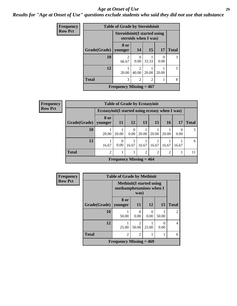#### *Age at Onset of Use* **29**

*Results for "Age at Onset of Use" questions exclude students who said they did not use that substance*

| Frequency      | <b>Table of Grade by Steroidsinit</b> |                           |                                                              |       |           |              |  |  |  |  |
|----------------|---------------------------------------|---------------------------|--------------------------------------------------------------|-------|-----------|--------------|--|--|--|--|
| <b>Row Pct</b> |                                       |                           | <b>Steroidsinit (I started using</b><br>steroids when I was) |       |           |              |  |  |  |  |
|                | Grade(Grade)                          | 8 or<br>vounger           | 14                                                           | 15    | 17        | <b>Total</b> |  |  |  |  |
|                | 10                                    | 2<br>66.67                | $\left( \right)$<br>0.00                                     | 33.33 | 0<br>0.00 | 3            |  |  |  |  |
|                | 12                                    | 20.00                     | 2<br>40.00                                                   | 20.00 | 20.00     | 5            |  |  |  |  |
|                | <b>Total</b>                          | 3                         | 8                                                            |       |           |              |  |  |  |  |
|                |                                       | Frequency Missing $= 467$ |                                                              |       |           |              |  |  |  |  |

| <b>Frequency</b> | <b>Table of Grade by Ecstasyinit</b> |                             |                                                  |                  |                           |                 |           |       |              |  |  |
|------------------|--------------------------------------|-----------------------------|--------------------------------------------------|------------------|---------------------------|-----------------|-----------|-------|--------------|--|--|
| <b>Row Pct</b>   |                                      |                             | Ecstasyinit (I started using ecstasy when I was) |                  |                           |                 |           |       |              |  |  |
|                  | Grade(Grade)   younger               | 8 or                        | <b>11</b>                                        | 12               | 13                        | 15 <sup>7</sup> | <b>16</b> | 17    | <b>Total</b> |  |  |
|                  | 10                                   | 20.00                       | 20.00                                            | $\theta$<br>0.00 | 20.00                     | 20.00           | 20.00     | 0.00  |              |  |  |
|                  | 12                                   | 16.67                       | $\Omega$<br>$0.00^{\circ}$                       | 16.67            | 16.67                     | 16.67           | 16.67     | 16.67 | 6            |  |  |
|                  | <b>Total</b>                         | $\mathcal{D}_{\mathcal{A}}$ |                                                  | 1                | 2                         | $\overline{2}$  | റ         |       | 11           |  |  |
|                  |                                      |                             |                                                  |                  | Frequency Missing $= 464$ |                 |           |       |              |  |  |

| Frequency      | <b>Table of Grade by Methinit</b>                                   |                           |           |       |           |                |  |  |
|----------------|---------------------------------------------------------------------|---------------------------|-----------|-------|-----------|----------------|--|--|
| <b>Row Pct</b> | <b>Methinit</b> (I started using<br>methamphetamines when I<br>was) |                           |           |       |           |                |  |  |
|                | Grade(Grade)                                                        | 8 or<br>vounger           | 11        | 12    | <b>15</b> | <b>Total</b>   |  |  |
|                | 10                                                                  | 50.00                     | 0<br>0.00 | 0.00  | 50.00     | $\overline{c}$ |  |  |
|                | 12                                                                  | 25.00                     | 50.00     | 25.00 | 0.00      | $\overline{4}$ |  |  |
|                | <b>Total</b><br>2<br>2                                              |                           |           |       |           |                |  |  |
|                |                                                                     | Frequency Missing $= 469$ |           |       |           |                |  |  |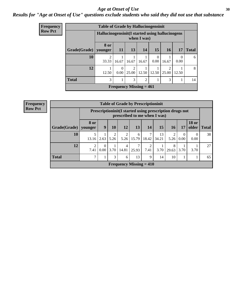#### Age at Onset of Use **30**

### *Results for "Age at Onset of Use" questions exclude students who said they did not use that substance*

| Frequency      | <b>Table of Grade by Hallucinogensinit</b> |                         |                                                                 |                         |       |                  |            |                  |              |  |  |  |
|----------------|--------------------------------------------|-------------------------|-----------------------------------------------------------------|-------------------------|-------|------------------|------------|------------------|--------------|--|--|--|
| <b>Row Pct</b> |                                            |                         | Hallucinogensinit (I started using hallucinogens<br>when I was) |                         |       |                  |            |                  |              |  |  |  |
|                | Grade(Grade)                               | 8 or<br>younger         | <b>11</b>                                                       | 13                      | 14    | 15 <sup>1</sup>  | 16         | 17               | <b>Total</b> |  |  |  |
|                | 10                                         | $\overline{2}$<br>33.33 | 16.67                                                           | 16.67                   | 16.67 | $\Omega$<br>0.00 | 16.67      | $\theta$<br>0.00 | 6            |  |  |  |
|                | 12                                         | 12.50                   | $\Omega$<br>$0.00\,$                                            | $\mathfrak{D}$<br>25.00 | 12.50 | 12.50            | ∍<br>25.00 | 12.50            | 8            |  |  |  |
|                | <b>Total</b>                               | 3                       | 3<br>$\overline{2}$<br>3                                        |                         |       |                  |            |                  |              |  |  |  |
|                |                                            |                         | Frequency Missing $= 461$                                       |                         |       |                  |            |                  |              |  |  |  |

| <b>Frequency</b> |
|------------------|
| <b>Row Pct</b>   |

| <b>Table of Grade by Prescriptioninit</b> |                                                                                                                                           |      |      |      |                           |            |             |           |      |                       |       |
|-------------------------------------------|-------------------------------------------------------------------------------------------------------------------------------------------|------|------|------|---------------------------|------------|-------------|-----------|------|-----------------------|-------|
|                                           | Prescription in it (I started using prescription drugs not<br>prescribed to me when I was)                                                |      |      |      |                           |            |             |           |      |                       |       |
| Grade(Grade)                              | 8 or<br>vounger                                                                                                                           | 9    | 10   | 12   | 13                        | 14         | 15          | 16        | 17   | <b>18 or</b><br>older | Total |
| 10                                        | 13.16                                                                                                                                     | 2.63 | 5.26 | 5.26 | 6<br>15.79                | 7<br>18.42 | 13<br>34.21 | 2<br>5.26 | 0.00 | $\theta$<br>0.00      | 38    |
| 12                                        | 2<br>$\overline{2}$<br>8<br>$\Omega$<br>$\overline{4}$<br>0.00<br>3.70<br>14.81<br>3.70<br>3.70<br>7.41<br>25.93<br>7.41<br>29.63<br>3.70 |      |      |      |                           |            |             |           |      | 27                    |       |
| <b>Total</b>                              | 7<br>3<br>13<br>10<br>9<br>14<br>6                                                                                                        |      |      |      |                           |            |             |           |      | 65                    |       |
|                                           |                                                                                                                                           |      |      |      | Frequency Missing $= 410$ |            |             |           |      |                       |       |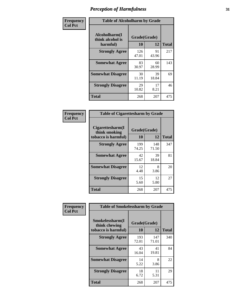| Frequency      | <b>Table of Alcoholharm by Grade</b>          |                    |             |              |  |  |  |  |  |
|----------------|-----------------------------------------------|--------------------|-------------|--------------|--|--|--|--|--|
| <b>Col Pct</b> | Alcoholharm(I<br>think alcohol is<br>harmful) | Grade(Grade)<br>10 | 12          | <b>Total</b> |  |  |  |  |  |
|                | <b>Strongly Agree</b>                         | 126<br>47.01       | 91<br>43.96 | 217          |  |  |  |  |  |
|                | <b>Somewhat Agree</b>                         | 83<br>30.97        | 60<br>28.99 | 143          |  |  |  |  |  |
|                | <b>Somewhat Disagree</b>                      | 30<br>11.19        | 39<br>18.84 | 69           |  |  |  |  |  |
|                | <b>Strongly Disagree</b>                      | 29<br>10.82        | 17<br>8.21  | 46           |  |  |  |  |  |
|                | <b>Total</b>                                  | 268                | 207         | 475          |  |  |  |  |  |

| <b>Table of Cigarettesharm by Grade</b>                  |                    |              |              |  |  |  |  |
|----------------------------------------------------------|--------------------|--------------|--------------|--|--|--|--|
| Cigarettesharm(I<br>think smoking<br>tobacco is harmful) | Grade(Grade)<br>10 | 12           | <b>Total</b> |  |  |  |  |
| <b>Strongly Agree</b>                                    | 199<br>74.25       | 148<br>71.50 | 347          |  |  |  |  |
| <b>Somewhat Agree</b>                                    | 42<br>15.67        | 39<br>18.84  | 81           |  |  |  |  |
| <b>Somewhat Disagree</b>                                 | 12<br>4.48         | 8<br>3.86    | 20           |  |  |  |  |
| <b>Strongly Disagree</b>                                 | 15<br>5.60         | 12<br>5.80   | 27           |  |  |  |  |
| <b>Total</b>                                             | 268                | 207          | 475          |  |  |  |  |

| Frequency      | <b>Table of Smokelessharm by Grade</b>                  |                    |              |              |
|----------------|---------------------------------------------------------|--------------------|--------------|--------------|
| <b>Col Pct</b> | Smokelessharm(I<br>think chewing<br>tobacco is harmful) | Grade(Grade)<br>10 | 12           | <b>Total</b> |
|                | <b>Strongly Agree</b>                                   | 193<br>72.01       | 147<br>71.01 | 340          |
|                | <b>Somewhat Agree</b>                                   | 43<br>16.04        | 41<br>19.81  | 84           |
|                | <b>Somewhat Disagree</b>                                | 14<br>5.22         | 8<br>3.86    | 22           |
|                | <b>Strongly Disagree</b>                                | 18<br>6.72         | 11<br>5.31   | 29           |
|                | <b>Total</b>                                            | 268                | 207          | 475          |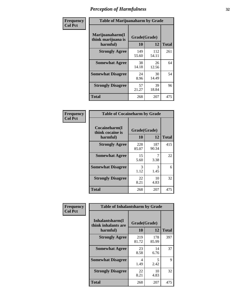| Frequency      | <b>Table of Marijuanaharm by Grade</b>            |                    |              |              |
|----------------|---------------------------------------------------|--------------------|--------------|--------------|
| <b>Col Pct</b> | Marijuanaharm(I<br>think marijuana is<br>harmful) | Grade(Grade)<br>10 | 12           | <b>Total</b> |
|                | <b>Strongly Agree</b>                             | 149<br>55.60       | 112<br>54.11 | 261          |
|                | <b>Somewhat Agree</b>                             | 38<br>14.18        | 26<br>12.56  | 64           |
|                | <b>Somewhat Disagree</b>                          | 24<br>8.96         | 30<br>14.49  | 54           |
|                | <b>Strongly Disagree</b>                          | 57<br>21.27        | 39<br>18.84  | 96           |
|                | <b>Total</b>                                      | 268                | 207          | 475          |

| <b>Table of Cocaineharm by Grade</b>          |                    |              |              |  |
|-----------------------------------------------|--------------------|--------------|--------------|--|
| Cocaineharm(I<br>think cocaine is<br>harmful) | Grade(Grade)<br>10 | 12           | <b>Total</b> |  |
| <b>Strongly Agree</b>                         | 228<br>85.07       | 187<br>90.34 | 415          |  |
| <b>Somewhat Agree</b>                         | 15<br>5.60         | 7<br>3.38    | 22           |  |
| <b>Somewhat Disagree</b>                      | 3<br>1.12          | 3<br>1.45    | 6            |  |
| <b>Strongly Disagree</b>                      | 22<br>8.21         | 10<br>4.83   | 32           |  |
| Total                                         | 268                | 207          | 475          |  |

| Frequency      | <b>Table of Inhalantsharm by Grade</b>              |                           |              |              |
|----------------|-----------------------------------------------------|---------------------------|--------------|--------------|
| <b>Col Pct</b> | Inhalantsharm(I)<br>think inhalants are<br>harmful) | Grade(Grade)<br><b>10</b> | 12           | <b>Total</b> |
|                | <b>Strongly Agree</b>                               | 219<br>81.72              | 178<br>85.99 | 397          |
|                | <b>Somewhat Agree</b>                               | 23<br>8.58                | 14<br>6.76   | 37           |
|                | <b>Somewhat Disagree</b>                            | 4<br>1.49                 | 5<br>2.42    | 9            |
|                | <b>Strongly Disagree</b>                            | 22<br>8.21                | 10<br>4.83   | 32           |
|                | <b>Total</b>                                        | 268                       | 207          | 475          |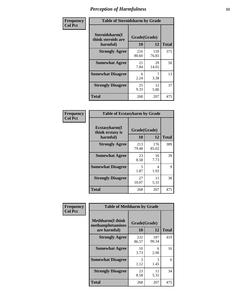| Frequency      | <b>Table of Steroidsharm by Grade</b>            |                    |              |              |
|----------------|--------------------------------------------------|--------------------|--------------|--------------|
| <b>Col Pct</b> | Steroidsharm(I<br>think steroids are<br>harmful) | Grade(Grade)<br>10 | 12           | <b>Total</b> |
|                | <b>Strongly Agree</b>                            | 216<br>80.60       | 159<br>76.81 | 375          |
|                | <b>Somewhat Agree</b>                            | 21<br>7.84         | 29<br>14.01  | 50           |
|                | <b>Somewhat Disagree</b>                         | 6<br>2.24          | 7<br>3.38    | 13           |
|                | <b>Strongly Disagree</b>                         | 25<br>9.33         | 12<br>5.80   | 37           |
|                | <b>Total</b>                                     | 268                | 207          | 475          |

| <b>Table of Ecstasyharm by Grade</b>          |                    |              |     |  |  |
|-----------------------------------------------|--------------------|--------------|-----|--|--|
| Ecstasyharm(I<br>think ecstasy is<br>harmful) | Grade(Grade)<br>10 | <b>Total</b> |     |  |  |
| <b>Strongly Agree</b>                         | 213<br>79.48       | 176<br>85.02 | 389 |  |  |
| <b>Somewhat Agree</b>                         | 23<br>8.58         | 16<br>7.73   | 39  |  |  |
| <b>Somewhat Disagree</b>                      | 5<br>1.87          | 4<br>1.93    | 9   |  |  |
| <b>Strongly Disagree</b>                      | 27<br>10.07        | 11<br>5.31   | 38  |  |  |
| <b>Total</b>                                  | 268                | 207          | 475 |  |  |

| Frequency      | <b>Table of Methharm by Grade</b>                            |                           |              |              |
|----------------|--------------------------------------------------------------|---------------------------|--------------|--------------|
| <b>Col Pct</b> | <b>Methharm</b> (I think<br>methamphetamines<br>are harmful) | Grade(Grade)<br><b>10</b> | 12           | <b>Total</b> |
|                | <b>Strongly Agree</b>                                        | 232<br>86.57              | 187<br>90.34 | 419          |
|                | <b>Somewhat Agree</b>                                        | 10<br>3.73                | 6<br>2.90    | 16           |
|                | <b>Somewhat Disagree</b>                                     | 3<br>1.12                 | 3<br>1.45    | 6            |
|                | <b>Strongly Disagree</b>                                     | 23<br>8.58                | 11<br>5.31   | 34           |
|                | <b>Total</b>                                                 | 268                       | 207          | 475          |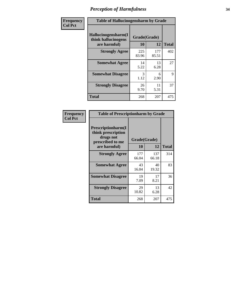| Frequency      | <b>Table of Hallucinogensharm by Grade</b>                 |                    |              |              |
|----------------|------------------------------------------------------------|--------------------|--------------|--------------|
| <b>Col Pct</b> | Hallucinogensharm(I<br>think hallucinogens<br>are harmful) | Grade(Grade)<br>10 | 12           | <b>Total</b> |
|                | <b>Strongly Agree</b>                                      | 225<br>83.96       | 177<br>85.51 | 402          |
|                | <b>Somewhat Agree</b>                                      | 14<br>5.22         | 13<br>6.28   | 27           |
|                | <b>Somewhat Disagree</b>                                   | 3<br>1.12          | 6<br>2.90    | 9            |
|                | <b>Strongly Disagree</b>                                   | 26<br>9.70         | 11<br>5.31   | 37           |
|                | <b>Total</b>                                               | 268                | 207          | 475          |

| <b>Table of Prescriptionharm by Grade</b>                                         |              |              |              |  |
|-----------------------------------------------------------------------------------|--------------|--------------|--------------|--|
| <b>Prescriptionharm</b> (I<br>think prescription<br>drugs not<br>prescribed to me | Grade(Grade) |              |              |  |
| are harmful)                                                                      | 10           | 12           | <b>Total</b> |  |
| <b>Strongly Agree</b>                                                             | 177<br>66.04 | 137<br>66.18 | 314          |  |
| <b>Somewhat Agree</b>                                                             | 43<br>16.04  | 40<br>19.32  | 83           |  |
| <b>Somewhat Disagree</b>                                                          | 19<br>7.09   | 17<br>8.21   | 36           |  |
| <b>Strongly Disagree</b>                                                          | 29<br>10.82  | 13<br>6.28   | 42           |  |
| Total                                                                             | 268          | 207          | 475          |  |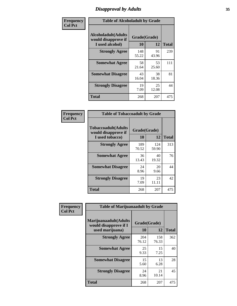# *Disapproval by Adults* **35**

| Frequency      | <b>Table of Alcoholadult by Grade</b>                                 |                    |             |              |
|----------------|-----------------------------------------------------------------------|--------------------|-------------|--------------|
| <b>Col Pct</b> | <b>Alcoholadult</b> (Adults<br>would disapprove if<br>I used alcohol) | Grade(Grade)<br>10 | 12          | <b>Total</b> |
|                | <b>Strongly Agree</b>                                                 | 148<br>55.22       | 91<br>43.96 | 239          |
|                | <b>Somewhat Agree</b>                                                 | 58<br>21.64        | 53<br>25.60 | 111          |
|                | <b>Somewhat Disagree</b>                                              | 43<br>16.04        | 38<br>18.36 | 81           |
|                | <b>Strongly Disagree</b>                                              | 19<br>7.09         | 25<br>12.08 | 44           |
|                | <b>Total</b>                                                          | 268                | 207         | 475          |

| <b>Table of Tobaccoadult by Grade</b>                                 |                    |              |              |  |
|-----------------------------------------------------------------------|--------------------|--------------|--------------|--|
| <b>Tobaccoadult</b> (Adults<br>would disapprove if<br>I used tobacco) | Grade(Grade)<br>10 | 12           | <b>Total</b> |  |
| <b>Strongly Agree</b>                                                 | 189<br>70.52       | 124<br>59.90 | 313          |  |
| <b>Somewhat Agree</b>                                                 | 36<br>13.43        | 40<br>19.32  | 76           |  |
| <b>Somewhat Disagree</b>                                              | 24<br>8.96         | 20<br>9.66   | 44           |  |
| <b>Strongly Disagree</b>                                              | 19<br>7.09         | 23<br>11.11  | 42           |  |
| Total                                                                 | 268                | 207          | 475          |  |

| Frequency<br><b>Col Pct</b> | <b>Table of Marijuanaadult by Grade</b>                           |                    |              |              |
|-----------------------------|-------------------------------------------------------------------|--------------------|--------------|--------------|
|                             | Marijuanaadult(Adults<br>would disapprove if I<br>used marijuana) | Grade(Grade)<br>10 | 12           | <b>Total</b> |
|                             | <b>Strongly Agree</b>                                             | 204<br>76.12       | 158<br>76.33 | 362          |
|                             | <b>Somewhat Agree</b>                                             | 25<br>9.33         | 15<br>7.25   | 40           |
|                             | <b>Somewhat Disagree</b>                                          | 15<br>5.60         | 13<br>6.28   | 28           |
|                             | <b>Strongly Disagree</b>                                          | 24<br>8.96         | 21<br>10.14  | 45           |
|                             | <b>Total</b>                                                      | 268                | 207          | 475          |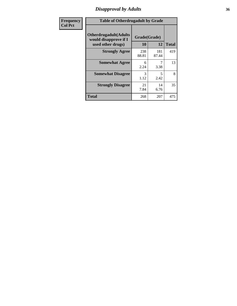# *Disapproval by Adults* **36**

| <b>Frequency</b> | <b>Table of Otherdrugadult by Grade</b>                                     |                    |              |              |
|------------------|-----------------------------------------------------------------------------|--------------------|--------------|--------------|
| <b>Col Pct</b>   | <b>Otherdrugadult</b> (Adults<br>would disapprove if I<br>used other drugs) | Grade(Grade)<br>10 | 12           | <b>Total</b> |
|                  | <b>Strongly Agree</b>                                                       | 238<br>88.81       | 181<br>87.44 | 419          |
|                  | <b>Somewhat Agree</b>                                                       | 6<br>2.24          | 3.38         | 13           |
|                  | <b>Somewhat Disagree</b>                                                    | 3<br>1.12          | 5<br>2.42    | 8            |
|                  | <b>Strongly Disagree</b>                                                    | 21<br>7.84         | 14<br>6.76   | 35           |
|                  | <b>Total</b>                                                                | 268                | 207          | 475          |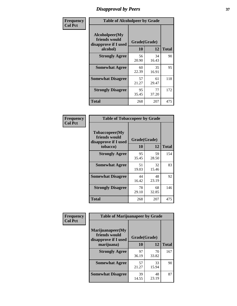## *Disapproval by Peers* **37**

| Frequency      | <b>Table of Alcoholpeer by Grade</b>                    |              |             |              |  |
|----------------|---------------------------------------------------------|--------------|-------------|--------------|--|
| <b>Col Pct</b> | Alcoholpeer(My<br>friends would<br>disapprove if I used | Grade(Grade) |             |              |  |
|                | alcohol)                                                | 10           | 12          | <b>Total</b> |  |
|                | <b>Strongly Agree</b>                                   | 56<br>20.90  | 34<br>16.43 | 90           |  |
|                | <b>Somewhat Agree</b>                                   | 60<br>22.39  | 35<br>16.91 | 95           |  |
|                | <b>Somewhat Disagree</b>                                | 57<br>21.27  | 61<br>29.47 | 118          |  |
|                | <b>Strongly Disagree</b>                                | 95<br>35.45  | 77<br>37.20 | 172          |  |
|                | Total                                                   | 268          | 207         | 475          |  |

| Frequency      | <b>Table of Tobaccopeer by Grade</b>                    |              |             |              |
|----------------|---------------------------------------------------------|--------------|-------------|--------------|
| <b>Col Pct</b> | Tobaccopeer(My<br>friends would<br>disapprove if I used | Grade(Grade) |             |              |
|                | tobacco)                                                | 10           | 12          | <b>Total</b> |
|                | <b>Strongly Agree</b>                                   | 95<br>35.45  | 59<br>28.50 | 154          |
|                | <b>Somewhat Agree</b>                                   | 51<br>19.03  | 32<br>15.46 | 83           |
|                | <b>Somewhat Disagree</b>                                | 44<br>16.42  | 48<br>23.19 | 92           |
|                | <b>Strongly Disagree</b>                                | 78<br>29.10  | 68<br>32.85 | 146          |
|                | <b>Total</b>                                            | 268          | 207         | 475          |

| Frequency      | <b>Table of Marijuanapeer by Grade</b>                    |              |             |              |
|----------------|-----------------------------------------------------------|--------------|-------------|--------------|
| <b>Col Pct</b> | Marijuanapeer(My<br>friends would<br>disapprove if I used | Grade(Grade) |             |              |
|                | marijuana)                                                | 10           | 12          | <b>Total</b> |
|                | <b>Strongly Agree</b>                                     | 97<br>36.19  | 70<br>33.82 | 167          |
|                | <b>Somewhat Agree</b>                                     | 57<br>21.27  | 33<br>15.94 | 90           |
|                | <b>Somewhat Disagree</b>                                  | 39<br>14.55  | 48<br>23.19 | 87           |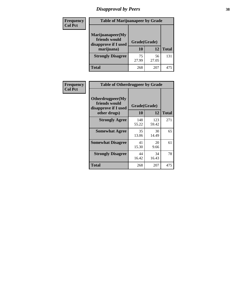# *Disapproval by Peers* **38**

| <b>Frequency</b> | <b>Table of Marijuanapeer by Grade</b>                                  |                           |             |              |  |
|------------------|-------------------------------------------------------------------------|---------------------------|-------------|--------------|--|
| <b>Col Pct</b>   | Marijuanapeer(My<br>friends would<br>disapprove if I used<br>marijuana) | Grade(Grade)<br><b>10</b> | 12          | <b>Total</b> |  |
|                  | <b>Strongly Disagree</b>                                                | 75<br>27.99               | 56<br>27.05 | 131          |  |
|                  | <b>Total</b>                                                            | 268                       | 207         | 475          |  |

| Frequency      | <b>Table of Otherdrugpeer by Grade</b>                                    |                           |              |              |
|----------------|---------------------------------------------------------------------------|---------------------------|--------------|--------------|
| <b>Col Pct</b> | Otherdrugpeer(My<br>friends would<br>disapprove if I used<br>other drugs) | Grade(Grade)<br><b>10</b> | 12           | <b>Total</b> |
|                | <b>Strongly Agree</b>                                                     | 148<br>55.22              | 123<br>59.42 | 271          |
|                | <b>Somewhat Agree</b>                                                     | 35<br>13.06               | 30<br>14.49  | 65           |
|                | <b>Somewhat Disagree</b>                                                  | 41<br>15.30               | 20<br>9.66   | 61           |
|                | <b>Strongly Disagree</b>                                                  | 44<br>16.42               | 34<br>16.43  | 78           |
|                | <b>Total</b>                                                              | 268                       | 207          | 475          |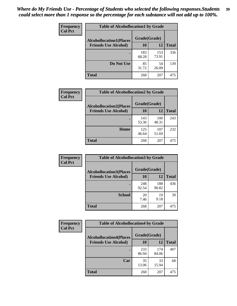| Frequency      | <b>Table of Alcohollocation1 by Grade</b> |              |              |              |
|----------------|-------------------------------------------|--------------|--------------|--------------|
| <b>Col Pct</b> | <b>Alcohollocation1(Places</b>            | Grade(Grade) |              |              |
|                | <b>Friends Use Alcohol)</b>               | 10           | 12           | <b>Total</b> |
|                |                                           | 183<br>68.28 | 153<br>73.91 | 336          |
|                | Do Not Use                                | 85<br>31.72  | 54<br>26.09  | 139          |
|                | <b>Total</b>                              | 268          | 207          | 475          |

| <b>Frequency</b> | <b>Table of Alcohollocation2 by Grade</b>                     |                    |              |              |
|------------------|---------------------------------------------------------------|--------------------|--------------|--------------|
| <b>Col Pct</b>   | <b>Alcohollocation2(Places</b><br><b>Friends Use Alcohol)</b> | Grade(Grade)<br>10 | 12           | <b>Total</b> |
|                  |                                                               | 143<br>53.36       | 100<br>48.31 | 243          |
|                  | Home                                                          | 125<br>46.64       | 107<br>51.69 | 232          |
|                  | <b>Total</b>                                                  | 268                | 207          | 475          |

| Frequency<br><b>Col Pct</b> | <b>Table of Alcohollocation 3 by Grade</b>                    |                    |              |              |  |
|-----------------------------|---------------------------------------------------------------|--------------------|--------------|--------------|--|
|                             | <b>Alcohollocation3(Places</b><br><b>Friends Use Alcohol)</b> | Grade(Grade)<br>10 | 12           | <b>Total</b> |  |
|                             |                                                               | 248<br>92.54       | 188<br>90.82 | 436          |  |
|                             | <b>School</b>                                                 | 20<br>7.46         | 19<br>9.18   | 39           |  |
|                             | Total                                                         | 268                | 207          | 475          |  |

| <b>Frequency</b> | <b>Table of Alcohollocation4 by Grade</b> |              |              |              |  |
|------------------|-------------------------------------------|--------------|--------------|--------------|--|
| <b>Col Pct</b>   | <b>Alcohollocation4(Places</b>            | Grade(Grade) |              |              |  |
|                  | <b>Friends Use Alcohol)</b>               | 10           | 12           | <b>Total</b> |  |
|                  |                                           | 233<br>86.94 | 174<br>84.06 | 407          |  |
|                  | Car                                       | 35<br>13.06  | 33<br>15.94  | 68           |  |
|                  | <b>Total</b>                              | 268          | 207          | 475          |  |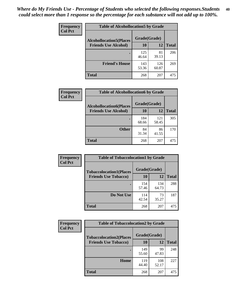| Frequency<br><b>Col Pct</b> | <b>Table of Alcohollocation5 by Grade</b>      |              |              |              |  |
|-----------------------------|------------------------------------------------|--------------|--------------|--------------|--|
|                             | Grade(Grade)<br><b>Alcohollocation5(Places</b> |              |              |              |  |
|                             | <b>Friends Use Alcohol)</b>                    | 10           | 12           | <b>Total</b> |  |
|                             |                                                | 125<br>46.64 | 81<br>39.13  | 206          |  |
|                             | <b>Friend's House</b>                          | 143<br>53.36 | 126<br>60.87 | 269          |  |
|                             | <b>Total</b>                                   | 268          | 207          | 475          |  |

| <b>Frequency</b> | <b>Table of Alcohollocation6 by Grade</b> |              |              |              |
|------------------|-------------------------------------------|--------------|--------------|--------------|
| <b>Col Pct</b>   | <b>Alcohollocation6(Places</b>            | Grade(Grade) |              |              |
|                  | <b>Friends Use Alcohol)</b>               | 10           | 12           | <b>Total</b> |
|                  |                                           | 184<br>68.66 | 121<br>58.45 | 305          |
|                  | <b>Other</b>                              | 84<br>31.34  | 86<br>41.55  | 170          |
|                  | <b>Total</b>                              | 268          | 207          | 475          |

| Frequency      | <b>Table of Tobaccolocation1 by Grade</b> |              |              |              |
|----------------|-------------------------------------------|--------------|--------------|--------------|
| <b>Col Pct</b> | <b>Tobaccolocation1(Places</b>            | Grade(Grade) |              |              |
|                | <b>Friends Use Tobacco)</b>               | 10           | <b>12</b>    | <b>Total</b> |
|                |                                           | 154<br>57.46 | 134<br>64.73 | 288          |
|                | Do Not Use                                | 114<br>42.54 | 73<br>35.27  | 187          |
|                | <b>Total</b>                              | 268          | 207          | 475          |

| Frequency      | <b>Table of Tobaccolocation2 by Grade</b> |              |              |              |  |
|----------------|-------------------------------------------|--------------|--------------|--------------|--|
| <b>Col Pct</b> | <b>Tobaccolocation2(Places</b>            | Grade(Grade) |              |              |  |
|                | <b>Friends Use Tobacco)</b>               | 10           | 12           | <b>Total</b> |  |
|                |                                           | 149<br>55.60 | 99<br>47.83  | 248          |  |
|                | Home                                      | 119<br>44.40 | 108<br>52.17 | 227          |  |
|                | <b>Total</b>                              | 268          | 207          | 475          |  |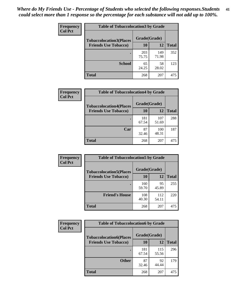| Frequency      | <b>Table of Tobaccolocation 3 by Grade</b> |              |              |              |
|----------------|--------------------------------------------|--------------|--------------|--------------|
| <b>Col Pct</b> | <b>Tobaccolocation3(Places</b>             | Grade(Grade) |              |              |
|                | <b>Friends Use Tobacco)</b>                | 10           | 12           | <b>Total</b> |
|                |                                            | 203<br>75.75 | 149<br>71.98 | 352          |
|                | <b>School</b>                              | 65<br>24.25  | 58<br>28.02  | 123          |
|                | <b>Total</b>                               | 268          | 207          | 475          |

| Frequency      | <b>Table of Tobaccolocation4 by Grade</b> |              |              |              |
|----------------|-------------------------------------------|--------------|--------------|--------------|
| <b>Col Pct</b> | <b>Tobaccolocation4(Places</b>            | Grade(Grade) |              |              |
|                | <b>Friends Use Tobacco)</b>               | 10           | 12           | <b>Total</b> |
|                |                                           | 181<br>67.54 | 107<br>51.69 | 288          |
|                | Car                                       | 87<br>32.46  | 100<br>48.31 | 187          |
|                | <b>Total</b>                              | 268          | 207          | 475          |

| Frequency      | <b>Table of Tobaccolocation5 by Grade</b>                     |                    |              |              |
|----------------|---------------------------------------------------------------|--------------------|--------------|--------------|
| <b>Col Pct</b> | <b>Tobaccolocation5(Places</b><br><b>Friends Use Tobacco)</b> | Grade(Grade)<br>10 | 12           | <b>Total</b> |
|                |                                                               | 160<br>59.70       | 95<br>45.89  | 255          |
|                | <b>Friend's House</b>                                         | 108<br>40.30       | 112<br>54.11 | 220          |
|                | <b>Total</b>                                                  | 268                | 207          | 475          |

| <b>Frequency</b> | <b>Table of Tobaccolocation6 by Grade</b> |              |              |              |  |
|------------------|-------------------------------------------|--------------|--------------|--------------|--|
| <b>Col Pct</b>   | <b>Tobaccolocation6(Places</b>            | Grade(Grade) |              |              |  |
|                  | <b>Friends Use Tobacco)</b>               | 10           | 12           | <b>Total</b> |  |
|                  |                                           | 181<br>67.54 | 115<br>55.56 | 296          |  |
|                  | <b>Other</b>                              | 87<br>32.46  | 92<br>44.44  | 179          |  |
|                  | <b>Total</b>                              | 268          | 207          | 475          |  |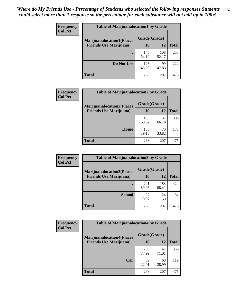| <b>Frequency</b> | <b>Table of Marijuanalocation1 by Grade</b> |              |              |              |
|------------------|---------------------------------------------|--------------|--------------|--------------|
| <b>Col Pct</b>   | <b>Marijuanalocation1(Places</b>            | Grade(Grade) |              |              |
|                  | <b>Friends Use Marijuana</b> )              | 10           | 12           | <b>Total</b> |
|                  |                                             | 145<br>54.10 | 108<br>52.17 | 253          |
|                  | Do Not Use                                  | 123<br>45.90 | 99<br>47.83  | 222          |
|                  | <b>Total</b>                                | 268          | 207          | 475          |

| <b>Frequency</b> | <b>Table of Marijuanalocation2 by Grade</b>                        |                    |              |              |
|------------------|--------------------------------------------------------------------|--------------------|--------------|--------------|
| <b>Col Pct</b>   | <b>Marijuanalocation2(Places</b><br><b>Friends Use Marijuana</b> ) | Grade(Grade)<br>10 | 12           | <b>Total</b> |
|                  |                                                                    | 163<br>60.82       | 137<br>66.18 | 300          |
|                  | Home                                                               | 105<br>39.18       | 70<br>33.82  | 175          |
|                  | <b>Total</b>                                                       | 268                | 207          | 475          |

| Frequency<br><b>Col Pct</b> | <b>Table of Marijuanalocation3 by Grade</b> |              |              |              |
|-----------------------------|---------------------------------------------|--------------|--------------|--------------|
|                             | <b>Marijuanalocation3(Places</b>            | Grade(Grade) |              |              |
|                             | <b>Friends Use Marijuana</b> )              | 10           | 12           | <b>Total</b> |
|                             |                                             | 241<br>89.93 | 183<br>88.41 | 424          |
|                             | <b>School</b>                               | 27<br>10.07  | 24<br>11.59  | 51           |
|                             | <b>Total</b>                                | 268          | 207          | 475          |

| Frequency      | <b>Table of Marijuanalocation4 by Grade</b> |              |              |              |  |
|----------------|---------------------------------------------|--------------|--------------|--------------|--|
| <b>Col Pct</b> | <b>Marijuanalocation4(Places</b>            | Grade(Grade) |              |              |  |
|                | <b>Friends Use Marijuana</b> )              | <b>10</b>    | 12           | <b>Total</b> |  |
|                |                                             | 209<br>77.99 | 147<br>71.01 | 356          |  |
|                | Car                                         | 59<br>22.01  | 60<br>28.99  | 119          |  |
|                | <b>Total</b>                                | 268          | 207          | 475          |  |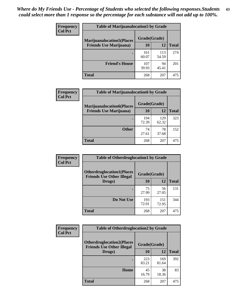| <b>Frequency</b> | <b>Table of Marijuanalocation5 by Grade</b> |              |              |              |
|------------------|---------------------------------------------|--------------|--------------|--------------|
| <b>Col Pct</b>   | <b>Marijuanalocation5</b> (Places           | Grade(Grade) |              |              |
|                  | <b>Friends Use Marijuana</b> )              | 10           | 12           | <b>Total</b> |
|                  |                                             | 161<br>60.07 | 113<br>54.59 | 274          |
|                  | <b>Friend's House</b>                       | 107<br>39.93 | 94<br>45.41  | 201          |
|                  | <b>Total</b>                                | 268          | 207          | 475          |

| <b>Frequency</b> | <b>Table of Marijuanalocation6 by Grade</b>                        |                    |              |              |
|------------------|--------------------------------------------------------------------|--------------------|--------------|--------------|
| <b>Col Pct</b>   | <b>Marijuanalocation6(Places</b><br><b>Friends Use Marijuana</b> ) | Grade(Grade)<br>10 | 12           | <b>Total</b> |
|                  |                                                                    | 194<br>72.39       | 129<br>62.32 | 323          |
|                  | <b>Other</b>                                                       | 74<br>27.61        | 78<br>37.68  | 152          |
|                  | <b>Total</b>                                                       | 268                | 207          | 475          |

| <b>Frequency</b> | <b>Table of Otherdruglocation1 by Grade</b>                          |              |              |              |
|------------------|----------------------------------------------------------------------|--------------|--------------|--------------|
| <b>Col Pct</b>   | <b>Otherdruglocation1(Places</b><br><b>Friends Use Other Illegal</b> | Grade(Grade) |              |              |
|                  | Drugs)                                                               | 10           | 12           | <b>Total</b> |
|                  |                                                                      | 75<br>27.99  | 56<br>27.05  | 131          |
|                  | Do Not Use                                                           | 193<br>72.01 | 151<br>72.95 | 344          |
|                  | <b>Total</b>                                                         | 268          | 207          | 475          |

| <b>Frequency</b> | <b>Table of Otherdruglocation2 by Grade</b>                           |              |              |              |
|------------------|-----------------------------------------------------------------------|--------------|--------------|--------------|
| <b>Col Pct</b>   | <b>Otherdruglocation2(Places)</b><br><b>Friends Use Other Illegal</b> | Grade(Grade) |              |              |
|                  | Drugs)                                                                | 10           | 12           | <b>Total</b> |
|                  |                                                                       | 223<br>83.21 | 169<br>81.64 | 392          |
|                  | <b>Home</b>                                                           | 45<br>16.79  | 38<br>18.36  | 83           |
|                  | <b>Total</b>                                                          | 268          | 207          | 475          |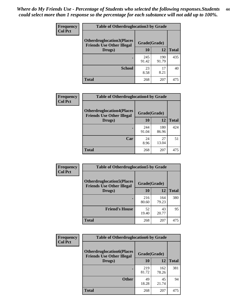| <b>Frequency</b> | <b>Table of Otherdruglocation 3 by Grade</b>                         |              |              |              |
|------------------|----------------------------------------------------------------------|--------------|--------------|--------------|
| <b>Col Pct</b>   | <b>Otherdruglocation3(Places</b><br><b>Friends Use Other Illegal</b> | Grade(Grade) |              |              |
|                  | Drugs)                                                               | 10           | 12           | <b>Total</b> |
|                  |                                                                      | 245<br>91.42 | 190<br>91.79 | 435          |
|                  | <b>School</b>                                                        | 23<br>8.58   | 17<br>8.21   | 40           |
|                  | <b>Total</b>                                                         | 268          | 207          | 475          |

| <b>Frequency</b> | <b>Table of Otherdruglocation4 by Grade</b>                          |              |              |              |
|------------------|----------------------------------------------------------------------|--------------|--------------|--------------|
| <b>Col Pct</b>   | <b>Otherdruglocation4(Places</b><br><b>Friends Use Other Illegal</b> | Grade(Grade) |              |              |
|                  | Drugs)                                                               | 10           | 12           | <b>Total</b> |
|                  |                                                                      | 244<br>91.04 | 180<br>86.96 | 424          |
|                  | Car                                                                  | 24<br>8.96   | 27<br>13.04  | 51           |
|                  | <b>Total</b>                                                         | 268          | 207          | 475          |

| Frequency<br><b>Col Pct</b> | <b>Table of Otherdruglocation5 by Grade</b>                          |              |              |              |
|-----------------------------|----------------------------------------------------------------------|--------------|--------------|--------------|
|                             | <b>Otherdruglocation5(Places</b><br><b>Friends Use Other Illegal</b> | Grade(Grade) |              |              |
|                             | Drugs)                                                               | 10           | 12           | <b>Total</b> |
|                             |                                                                      | 216<br>80.60 | 164<br>79.23 | 380          |
|                             | <b>Friend's House</b>                                                | 52<br>19.40  | 43<br>20.77  | 95           |
|                             | Total                                                                | 268          | 207          | 475          |

| <b>Frequency</b> | <b>Table of Otherdruglocation6 by Grade</b>                          |              |              |              |
|------------------|----------------------------------------------------------------------|--------------|--------------|--------------|
| <b>Col Pct</b>   | <b>Otherdruglocation6(Places</b><br><b>Friends Use Other Illegal</b> | Grade(Grade) |              |              |
|                  | Drugs)                                                               | 10           | 12           | <b>Total</b> |
|                  |                                                                      | 219<br>81.72 | 162<br>78.26 | 381          |
|                  | <b>Other</b>                                                         | 49<br>18.28  | 45<br>21.74  | 94           |
|                  | <b>Total</b>                                                         | 268          | 207          | 475          |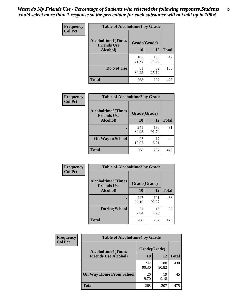| Frequency      | <b>Table of Alcoholtime1 by Grade</b>           |              |              |              |
|----------------|-------------------------------------------------|--------------|--------------|--------------|
| <b>Col Pct</b> | <b>Alcoholtime1(Times</b><br><b>Friends Use</b> | Grade(Grade) |              |              |
|                | Alcohol)                                        | 10           | 12           | <b>Total</b> |
|                |                                                 | 187<br>69.78 | 155<br>74.88 | 342          |
|                | Do Not Use                                      | 81<br>30.22  | 52<br>25.12  | 133          |
|                | <b>Total</b>                                    | 268          | 207          | 475          |

| Frequency      | <b>Table of Alcoholtime2 by Grade</b>           |              |              |              |
|----------------|-------------------------------------------------|--------------|--------------|--------------|
| <b>Col Pct</b> | <b>Alcoholtime2(Times</b><br><b>Friends Use</b> | Grade(Grade) |              |              |
|                | Alcohol)                                        | 10           | 12           | <b>Total</b> |
|                |                                                 | 241<br>89.93 | 190<br>91.79 | 431          |
|                | <b>On Way to School</b>                         | 27<br>10.07  | 17<br>8.21   | 44           |
|                | <b>Total</b>                                    | 268          | 207          | 475          |

| Frequency<br><b>Col Pct</b> | <b>Table of Alcoholtime3 by Grade</b>           |              |              |              |
|-----------------------------|-------------------------------------------------|--------------|--------------|--------------|
|                             | <b>Alcoholtime3(Times</b><br><b>Friends Use</b> | Grade(Grade) |              |              |
|                             | Alcohol)                                        | 10           | 12           | <b>Total</b> |
|                             |                                                 | 247<br>92.16 | 191<br>92.27 | 438          |
|                             | <b>During School</b>                            | 21<br>7.84   | 16<br>7.73   | 37           |
|                             | <b>Total</b>                                    | 268          | 207          | 475          |

| <b>Frequency</b><br><b>Col Pct</b> | <b>Table of Alcoholtime4 by Grade</b> |              |              |              |
|------------------------------------|---------------------------------------|--------------|--------------|--------------|
|                                    | <b>Alcoholtime4(Times</b>             | Grade(Grade) |              |              |
|                                    | <b>Friends Use Alcohol)</b>           | 10           | 12           | <b>Total</b> |
|                                    |                                       | 242<br>90.30 | 188<br>90.82 | 430          |
|                                    | <b>On Way Home From School</b>        | 26<br>9.70   | 19<br>9.18   | 45           |
|                                    | <b>Total</b>                          | 268          | 207          | 475          |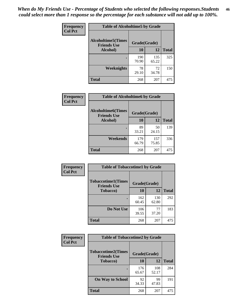*When do My Friends Use - Percentage of Students who selected the following responses.Students could select more than 1 response so the percentage for each substance will not add up to 100%.* **46**

| Frequency      | <b>Table of Alcoholtime5 by Grade</b>            |              |              |              |
|----------------|--------------------------------------------------|--------------|--------------|--------------|
| <b>Col Pct</b> | <b>Alcoholtime5</b> (Times<br><b>Friends Use</b> | Grade(Grade) |              |              |
|                | Alcohol)                                         | 10           | 12           | <b>Total</b> |
|                |                                                  | 190<br>70.90 | 135<br>65.22 | 325          |
|                | Weeknights                                       | 78<br>29.10  | 72<br>34.78  | 150          |
|                | <b>Total</b>                                     | 268          | 207          | 475          |

| Frequency      | <b>Table of Alcoholtime6 by Grade</b>           |              |              |              |
|----------------|-------------------------------------------------|--------------|--------------|--------------|
| <b>Col Pct</b> | <b>Alcoholtime6(Times</b><br><b>Friends Use</b> | Grade(Grade) |              |              |
|                | Alcohol)                                        | 10           | 12           | <b>Total</b> |
|                |                                                 | 89<br>33.21  | 50<br>24.15  | 139          |
|                | Weekends                                        | 179<br>66.79 | 157<br>75.85 | 336          |
|                | <b>Total</b>                                    | 268          | 207          | 475          |

| Frequency<br><b>Col Pct</b> | <b>Table of Tobaccotime1 by Grade</b><br><b>Tobaccotime1(Times</b><br>Grade(Grade)<br><b>Friends Use</b> |              |              |              |
|-----------------------------|----------------------------------------------------------------------------------------------------------|--------------|--------------|--------------|
|                             |                                                                                                          |              |              |              |
|                             | <b>Tobacco</b> )                                                                                         | 10           | 12           | <b>Total</b> |
|                             |                                                                                                          | 162<br>60.45 | 130<br>62.80 | 292          |
|                             | Do Not Use                                                                                               | 106<br>39.55 | 77<br>37.20  | 183          |
|                             | <b>Total</b>                                                                                             | 268          | 207          | 475          |

| <b>Frequency</b> | <b>Table of Tobaccotime2 by Grade</b>           |              |              |              |
|------------------|-------------------------------------------------|--------------|--------------|--------------|
| <b>Col Pct</b>   | <b>Tobaccotime2(Times</b><br><b>Friends Use</b> | Grade(Grade) |              |              |
|                  | <b>Tobacco</b> )                                | 10           | 12           | <b>Total</b> |
|                  |                                                 | 176<br>65.67 | 108<br>52.17 | 284          |
|                  | <b>On Way to School</b>                         | 92<br>34.33  | 99<br>47.83  | 191          |
|                  | <b>Total</b>                                    | 268          | 207          | 475          |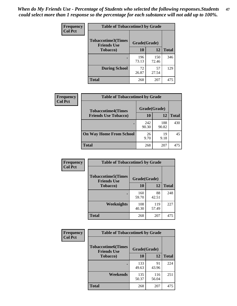*When do My Friends Use - Percentage of Students who selected the following responses.Students could select more than 1 response so the percentage for each substance will not add up to 100%.* **47**

| <b>Frequency</b> | <b>Table of Tobaccotime3 by Grade</b>           |              |              |              |  |
|------------------|-------------------------------------------------|--------------|--------------|--------------|--|
| <b>Col Pct</b>   | <b>Tobaccotime3(Times</b><br><b>Friends Use</b> | Grade(Grade) |              |              |  |
|                  | <b>Tobacco</b> )                                | 10           | 12           | <b>Total</b> |  |
|                  | $\bullet$                                       | 196<br>73.13 | 150<br>72.46 | 346          |  |
|                  | <b>During School</b>                            | 72<br>26.87  | 57<br>27.54  | 129          |  |
|                  | <b>Total</b>                                    | 268          | 207          | 475          |  |

| Frequency<br><b>Col Pct</b> | <b>Table of Tobaccotime4 by Grade</b> |              |              |              |
|-----------------------------|---------------------------------------|--------------|--------------|--------------|
|                             | <b>Tobaccotime4(Times</b>             | Grade(Grade) |              |              |
|                             | <b>Friends Use Tobacco)</b>           | 10           | 12           | <b>Total</b> |
|                             |                                       | 242<br>90.30 | 188<br>90.82 | 430          |
|                             | <b>On Way Home From School</b>        | 26<br>9.70   | 19<br>9.18   | 45           |
|                             | Total                                 | 268          | 207          | 475          |

| <b>Frequency</b> | <b>Table of Tobaccotime5 by Grade</b>           |              |              |              |
|------------------|-------------------------------------------------|--------------|--------------|--------------|
| <b>Col Pct</b>   | <b>Tobaccotime5(Times</b><br><b>Friends Use</b> | Grade(Grade) |              |              |
|                  | <b>Tobacco</b> )                                | 10           | 12           | <b>Total</b> |
|                  |                                                 | 160<br>59.70 | 88<br>42.51  | 248          |
|                  | Weeknights                                      | 108<br>40.30 | 119<br>57.49 | 227          |
|                  | <b>Total</b>                                    | 268          | 207          | 475          |

| <b>Frequency</b> | <b>Table of Tobaccotime6 by Grade</b>           |              |              |              |
|------------------|-------------------------------------------------|--------------|--------------|--------------|
| <b>Col Pct</b>   | <b>Tobaccotime6(Times</b><br><b>Friends Use</b> | Grade(Grade) |              |              |
|                  | <b>Tobacco</b> )                                | 10           | 12           | <b>Total</b> |
|                  | ٠                                               | 133<br>49.63 | 91<br>43.96  | 224          |
|                  | Weekends                                        | 135<br>50.37 | 116<br>56.04 | 251          |
|                  | <b>Total</b>                                    | 268          | 207          | 475          |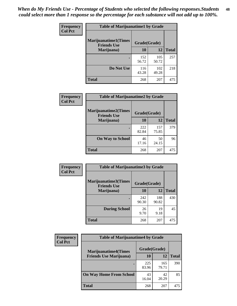| Frequency      | <b>Table of Marijuanatime1 by Grade</b>           |              |              |              |
|----------------|---------------------------------------------------|--------------|--------------|--------------|
| <b>Col Pct</b> | <b>Marijuanatime1(Times</b><br><b>Friends Use</b> | Grade(Grade) |              |              |
|                | Marijuana)                                        | 10           | 12           | <b>Total</b> |
|                |                                                   | 152<br>56.72 | 105<br>50.72 | 257          |
|                | Do Not Use                                        | 116<br>43.28 | 102<br>49.28 | 218          |
|                | <b>Total</b>                                      | 268          | 207          | 475          |

| Frequency      | <b>Table of Marijuanatime2 by Grade</b>           |              |              |              |
|----------------|---------------------------------------------------|--------------|--------------|--------------|
| <b>Col Pct</b> | <b>Marijuanatime2(Times</b><br><b>Friends Use</b> | Grade(Grade) |              |              |
|                | Marijuana)                                        | 10           | 12           | <b>Total</b> |
|                |                                                   | 222<br>82.84 | 157<br>75.85 | 379          |
|                | <b>On Way to School</b>                           | 46<br>17.16  | 50<br>24.15  | 96           |
|                | <b>Total</b>                                      | 268          | 207          | 475          |

| Frequency      | <b>Table of Marijuanatime3 by Grade</b>            |              |              |              |
|----------------|----------------------------------------------------|--------------|--------------|--------------|
| <b>Col Pct</b> | <b>Marijuanatime3</b> (Times<br><b>Friends Use</b> | Grade(Grade) |              |              |
|                | Marijuana)                                         | 10           | 12           | <b>Total</b> |
|                |                                                    | 242<br>90.30 | 188<br>90.82 | 430          |
|                | <b>During School</b>                               | 26<br>9.70   | 19<br>9.18   | 45           |
|                | <b>Total</b>                                       | 268          | 207          | 475          |

| <b>Frequency</b><br><b>Col Pct</b> | <b>Table of Marijuanatime4 by Grade</b> |              |              |              |
|------------------------------------|-----------------------------------------|--------------|--------------|--------------|
|                                    | <b>Marijuanatime4</b> (Times            | Grade(Grade) |              |              |
|                                    | <b>Friends Use Marijuana</b> )          | 10           | 12           | <b>Total</b> |
|                                    |                                         | 225<br>83.96 | 165<br>79.71 | 390          |
|                                    | <b>On Way Home From School</b>          | 43<br>16.04  | 42<br>20.29  | 85           |
|                                    | <b>Total</b>                            | 268          | 207          | 475          |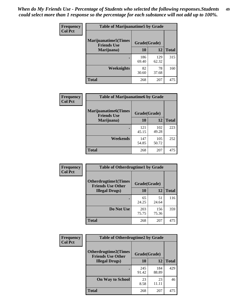| Frequency      | <b>Table of Marijuanatime5 by Grade</b>            |              |              |              |
|----------------|----------------------------------------------------|--------------|--------------|--------------|
| <b>Col Pct</b> | <b>Marijuanatime5</b> (Times<br><b>Friends Use</b> | Grade(Grade) |              |              |
|                | Marijuana)                                         | 10           | 12           | <b>Total</b> |
|                |                                                    | 186<br>69.40 | 129<br>62.32 | 315          |
|                | Weeknights                                         | 82<br>30.60  | 78<br>37.68  | 160          |
|                | <b>Total</b>                                       | 268          | 207          | 475          |

| <b>Frequency</b> | <b>Table of Marijuanatime6 by Grade</b>            |              |              |              |
|------------------|----------------------------------------------------|--------------|--------------|--------------|
| <b>Col Pct</b>   | <b>Marijuanatime6</b> (Times<br><b>Friends Use</b> | Grade(Grade) |              |              |
|                  | Marijuana)                                         | <b>10</b>    | 12           | <b>Total</b> |
|                  |                                                    | 121<br>45.15 | 102<br>49.28 | 223          |
|                  | Weekends                                           | 147<br>54.85 | 105<br>50.72 | 252          |
|                  | <b>Total</b>                                       | 268          | 207          | 475          |

| Frequency      | <b>Table of Otherdrugtime1 by Grade</b>                 |              |              |              |
|----------------|---------------------------------------------------------|--------------|--------------|--------------|
| <b>Col Pct</b> | <b>Otherdrugtime1(Times</b><br><b>Friends Use Other</b> | Grade(Grade) |              |              |
|                | <b>Illegal Drugs</b> )                                  | 10           | 12           | <b>Total</b> |
|                |                                                         | 65<br>24.25  | 51<br>24.64  | 116          |
|                | Do Not Use                                              | 203<br>75.75 | 156<br>75.36 | 359          |
|                | Total                                                   | 268          | 207          | 475          |

| <b>Frequency</b> | <b>Table of Otherdrugtime2 by Grade</b>                 |              |              |              |  |  |
|------------------|---------------------------------------------------------|--------------|--------------|--------------|--|--|
| <b>Col Pct</b>   | <b>Otherdrugtime2(Times</b><br><b>Friends Use Other</b> | Grade(Grade) |              |              |  |  |
|                  | <b>Illegal Drugs</b> )                                  | 10           | 12           | <b>Total</b> |  |  |
|                  |                                                         | 245<br>91.42 | 184<br>88.89 | 429          |  |  |
|                  | <b>On Way to School</b>                                 | 23<br>8.58   | 23<br>11.11  | 46           |  |  |
|                  | Total                                                   | 268          | 207          | 475          |  |  |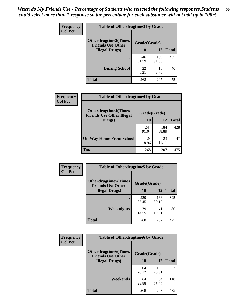| <b>Frequency</b>       | <b>Table of Otherdrugtime3 by Grade</b>          |              |              |              |  |  |
|------------------------|--------------------------------------------------|--------------|--------------|--------------|--|--|
| <b>Col Pct</b>         | Otherdrugtime3(Times<br><b>Friends Use Other</b> | Grade(Grade) |              |              |  |  |
| <b>Illegal Drugs</b> ) |                                                  | 10           | 12           | <b>Total</b> |  |  |
|                        |                                                  | 246<br>91.79 | 189<br>91.30 | 435          |  |  |
|                        | <b>During School</b>                             | 22<br>8.21   | 18<br>8.70   | 40           |  |  |
|                        | Total                                            | 268          | 207          | 475          |  |  |

| <b>Frequency</b> | <b>Table of Otherdrugtime4 by Grade</b>                         |              |              |              |  |  |
|------------------|-----------------------------------------------------------------|--------------|--------------|--------------|--|--|
| <b>Col Pct</b>   | <b>Otherdrugtime4(Times</b><br><b>Friends Use Other Illegal</b> | Grade(Grade) |              |              |  |  |
|                  | Drugs)                                                          | 10           | 12           | <b>Total</b> |  |  |
|                  |                                                                 | 244<br>91.04 | 184<br>88.89 | 428          |  |  |
|                  | <b>On Way Home From School</b>                                  | 24<br>8.96   | 23<br>11.11  | 47           |  |  |
|                  | <b>Total</b>                                                    | 268          | 207          | 475          |  |  |

| <b>Frequency</b> | <b>Table of Otherdrugtime5 by Grade</b>                  |              |              |              |  |  |
|------------------|----------------------------------------------------------|--------------|--------------|--------------|--|--|
| <b>Col Pct</b>   | <b>Otherdrugtime5</b> (Times<br><b>Friends Use Other</b> | Grade(Grade) |              |              |  |  |
|                  | <b>Illegal Drugs</b> )                                   | 10           | 12           | <b>Total</b> |  |  |
|                  |                                                          | 229<br>85.45 | 166<br>80.19 | 395          |  |  |
|                  | Weeknights                                               | 39<br>14.55  | 41<br>19.81  | 80           |  |  |
|                  | Total                                                    | 268          | 207          | 475          |  |  |

| <b>Frequency</b> | <b>Table of Otherdrugtime6 by Grade</b>                 |              |              |              |  |  |
|------------------|---------------------------------------------------------|--------------|--------------|--------------|--|--|
| <b>Col Pct</b>   | <b>Otherdrugtime6(Times</b><br><b>Friends Use Other</b> | Grade(Grade) |              |              |  |  |
|                  | <b>Illegal Drugs</b> )                                  | 10           | 12           | <b>Total</b> |  |  |
|                  |                                                         | 204<br>76.12 | 153<br>73.91 | 357          |  |  |
|                  | Weekends                                                | 64<br>23.88  | 54<br>26.09  | 118          |  |  |
|                  | <b>Total</b>                                            | 268          | 207          | 475          |  |  |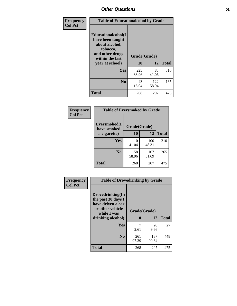| Frequency      | <b>Table of Educationalcohol by Grade</b>                                                                  |              |              |              |  |  |
|----------------|------------------------------------------------------------------------------------------------------------|--------------|--------------|--------------|--|--|
| <b>Col Pct</b> | Educationalcohol(I<br>have been taught<br>about alcohol,<br>tobacco,<br>and other drugs<br>within the last | Grade(Grade) |              |              |  |  |
|                | year at school)                                                                                            | 10           | 12           | <b>Total</b> |  |  |
|                | <b>Yes</b>                                                                                                 | 225<br>83.96 | 85<br>41.06  | 310          |  |  |
|                | N <sub>0</sub>                                                                                             | 43<br>16.04  | 122<br>58.94 | 165          |  |  |
|                | <b>Total</b>                                                                                               | 268          | 207          | 475          |  |  |

| Frequency      | <b>Table of Eversmoked by Grade</b>         |              |              |              |  |  |
|----------------|---------------------------------------------|--------------|--------------|--------------|--|--|
| <b>Col Pct</b> | Eversmoked(I<br>Grade(Grade)<br>have smoked |              |              |              |  |  |
|                | a cigarette)                                | 10           | 12           | <b>Total</b> |  |  |
|                | Yes                                         | 110<br>41.04 | 100<br>48.31 | 210          |  |  |
|                | N <sub>0</sub>                              | 158<br>58.96 | 107<br>51.69 | 265          |  |  |
|                | <b>Total</b>                                | 268          | 207          | 475          |  |  |

| Frequency      | <b>Table of Drovedrinking by Grade</b>                                                                              |                    |              |              |  |  |
|----------------|---------------------------------------------------------------------------------------------------------------------|--------------------|--------------|--------------|--|--|
| <b>Col Pct</b> | Drovedrinking(In<br>the past 30 days I<br>have driven a car<br>or other vehicle<br>while I was<br>drinking alcohol) | Grade(Grade)<br>10 | 12           | <b>Total</b> |  |  |
|                |                                                                                                                     |                    |              |              |  |  |
|                | Yes                                                                                                                 | 7<br>2.61          | 20<br>9.66   | 27           |  |  |
|                |                                                                                                                     |                    |              |              |  |  |
|                | N <sub>0</sub>                                                                                                      | 261<br>97.39       | 187<br>90.34 | 448          |  |  |
|                | <b>Total</b>                                                                                                        | 268                | 207          | 475          |  |  |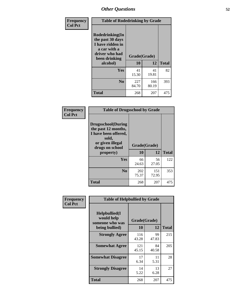| Frequency<br><b>Col Pct</b> | <b>Table of Rodedrinking by Grade</b>                                                                      |              |              |              |  |  |
|-----------------------------|------------------------------------------------------------------------------------------------------------|--------------|--------------|--------------|--|--|
|                             | Rodedrinking(In<br>the past 30 days<br>I have ridden in<br>a car with a<br>driver who had<br>been drinking | Grade(Grade) |              |              |  |  |
|                             | alcohol)                                                                                                   | 10           | 12           | <b>Total</b> |  |  |
|                             | <b>Yes</b>                                                                                                 | 41<br>15.30  | 41<br>19.81  | 82           |  |  |
|                             | N <sub>0</sub>                                                                                             | 227<br>84.70 | 166<br>80.19 | 393          |  |  |
|                             | <b>Total</b>                                                                                               | 268          | 207          | 475          |  |  |

#### **Frequency Col Pct**

| <b>Table of Drugsschool by Grade</b>                                                                                      |              |              |              |  |  |  |  |
|---------------------------------------------------------------------------------------------------------------------------|--------------|--------------|--------------|--|--|--|--|
| <b>Drugsschool</b> (During<br>the past 12 months,<br>I have been offered,<br>sold,<br>or given illegal<br>drugs on school | Grade(Grade) |              |              |  |  |  |  |
|                                                                                                                           |              |              |              |  |  |  |  |
| property)                                                                                                                 | 10           | 12           | <b>Total</b> |  |  |  |  |
| Yes                                                                                                                       | 66<br>24.63  | 56<br>27.05  | 122          |  |  |  |  |
| N <sub>0</sub>                                                                                                            | 202<br>75.37 | 151<br>72.95 | 353          |  |  |  |  |

| Frequency      | <b>Table of Helpbullied by Grade</b>           |              |             |              |  |  |  |
|----------------|------------------------------------------------|--------------|-------------|--------------|--|--|--|
| <b>Col Pct</b> | Helpbullied(I<br>would help<br>someone who was | Grade(Grade) |             |              |  |  |  |
|                | being bullied)                                 | 10           | 12          | <b>Total</b> |  |  |  |
|                | <b>Strongly Agree</b>                          | 116<br>43.28 | 99<br>47.83 | 215          |  |  |  |
|                | <b>Somewhat Agree</b>                          | 121<br>45.15 | 84<br>40.58 | 205          |  |  |  |
|                | <b>Somewhat Disagree</b>                       | 17<br>6.34   | 11<br>5.31  | 28           |  |  |  |
|                | <b>Strongly Disagree</b>                       | 14<br>5.22   | 13<br>6.28  | 27           |  |  |  |
|                | <b>Total</b>                                   | 268          | 207         | 475          |  |  |  |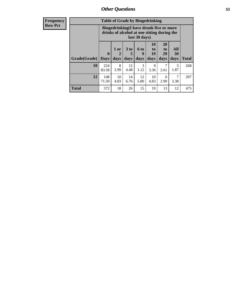| <b>Frequency</b> | <b>Table of Grade by Bingedrinking</b> |                                                                                                         |                                |                              |                   |                        |                               |                   |              |
|------------------|----------------------------------------|---------------------------------------------------------------------------------------------------------|--------------------------------|------------------------------|-------------------|------------------------|-------------------------------|-------------------|--------------|
| <b>Row Pct</b>   |                                        | Bingedrinking(I have drunk five or more<br>drinks of alcohol at one sitting during the<br>last 30 days) |                                |                              |                   |                        |                               |                   |              |
|                  | Grade(Grade)   Days                    | $\boldsymbol{0}$                                                                                        | 1 or<br>$\overline{2}$<br>days | 3 <sub>to</sub><br>5<br>days | 6 to<br>9<br>days | 10<br>to<br>19<br>days | <b>20</b><br>to<br>29<br>days | All<br>30<br>days | <b>Total</b> |
|                  | 10                                     | 224<br>83.58                                                                                            | 8<br>2.99                      | 12<br>4.48                   | 3<br>1.12         | 9<br>3.36              | 7<br>2.61                     | 5<br>1.87         | 268          |
|                  | 12                                     | 148<br>71.50                                                                                            | 10<br>4.83                     | 14<br>6.76                   | 12<br>5.80        | 10<br>4.83             | 6<br>2.90                     | 7<br>3.38         | 207          |
|                  | <b>Total</b>                           | 372                                                                                                     | 18                             | 26                           | 15                | 19                     | 13                            | 12                | 475          |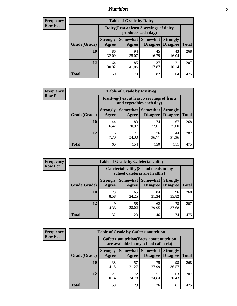#### *Nutrition* **54**

| <b>Frequency</b> |
|------------------|
| <b>Row Pct</b>   |

| <b>Table of Grade by Dairy</b> |                          |                                                                                                                      |             |             |     |  |  |  |
|--------------------------------|--------------------------|----------------------------------------------------------------------------------------------------------------------|-------------|-------------|-----|--|--|--|
|                                |                          | Dairy (I eat at least 3 servings of dairy<br>products each day)                                                      |             |             |     |  |  |  |
| Grade(Grade)                   | <b>Strongly</b><br>Agree | <b>Somewhat</b><br><b>Somewhat</b><br><b>Strongly</b><br><b>Disagree</b><br><b>Disagree</b><br><b>Total</b><br>Agree |             |             |     |  |  |  |
| 10                             | 86<br>32.09              | 94<br>35.07                                                                                                          | 45<br>16.79 | 43<br>16.04 | 268 |  |  |  |
| 12                             | 64<br>30.92              | 85<br>41.06                                                                                                          | 37<br>17.87 | 21<br>10.14 | 207 |  |  |  |
| <b>Total</b>                   | 150                      | 179                                                                                                                  | 82          | 64          | 475 |  |  |  |

| <b>Frequency</b> |
|------------------|
| <b>Row Pct</b>   |

| V | <b>Table of Grade by Fruitveg</b> |                          |                                                                                              |             |             |     |  |  |
|---|-----------------------------------|--------------------------|----------------------------------------------------------------------------------------------|-------------|-------------|-----|--|--|
|   |                                   |                          | Fruitveg(I eat at least 5 servings of fruits<br>and vegetables each day)                     |             |             |     |  |  |
|   | Grade(Grade)                      | <b>Strongly</b><br>Agree | Somewhat Somewhat<br><b>Strongly</b><br><b>Disagree</b><br><b>Total</b><br>Disagree<br>Agree |             |             |     |  |  |
|   | 10                                | 44<br>16.42              | 83<br>30.97                                                                                  | 74<br>27.61 | 67<br>25.00 | 268 |  |  |
|   | 12                                | 16<br>7.73               | 71<br>34.30                                                                                  | 76<br>36.71 | 44<br>21.26 | 207 |  |  |
|   | <b>Total</b>                      | 60                       | 154                                                                                          | 150         | 111         | 475 |  |  |

| <b>Frequency</b> | <b>Table of Grade by Cafeteriahealthy</b> |                                                                       |                     |                             |                                    |              |  |
|------------------|-------------------------------------------|-----------------------------------------------------------------------|---------------------|-----------------------------|------------------------------------|--------------|--|
| <b>Row Pct</b>   |                                           | Cafeteriahealthy (School meals in my<br>school cafeteria are healthy) |                     |                             |                                    |              |  |
|                  | Grade(Grade)                              | <b>Strongly</b><br>Agree                                              | Somewhat  <br>Agree | Somewhat<br><b>Disagree</b> | <b>Strongly</b><br><b>Disagree</b> | <b>Total</b> |  |
|                  | 10                                        | 23<br>8.58                                                            | 65<br>24.25         | 84<br>31.34                 | 96<br>35.82                        | 268          |  |
|                  | 12                                        | Q<br>4.35                                                             | 58<br>28.02         | 62<br>29.95                 | 78<br>37.68                        | 207          |  |
|                  | Total                                     | 32                                                                    | 123                 | 146                         | 174                                | 475          |  |

| <b>Frequency</b> |
|------------------|
| <b>Row Pct</b>   |

| <b>Table of Grade by Cafeterianutrition</b>                                                                                     |             |             |             |             |              |  |
|---------------------------------------------------------------------------------------------------------------------------------|-------------|-------------|-------------|-------------|--------------|--|
| <b>Cafeterianutrition</b> (Facts about nutrition<br>are available in my school cafeteria)                                       |             |             |             |             |              |  |
| Somewhat Somewhat<br><b>Strongly</b><br><b>Strongly</b><br><b>Disagree</b><br>Grade(Grade)<br>Agree<br><b>Disagree</b><br>Agree |             |             |             |             | <b>Total</b> |  |
| 10                                                                                                                              | 38<br>14.18 | 57<br>21.27 | 75<br>27.99 | 98<br>36.57 | 268          |  |
| 12                                                                                                                              | 21<br>10.14 | 72<br>34.78 | 51<br>24.64 | 63<br>30.43 | 207          |  |
| <b>Total</b>                                                                                                                    | 59          | 129         | 126         | 161         | 475          |  |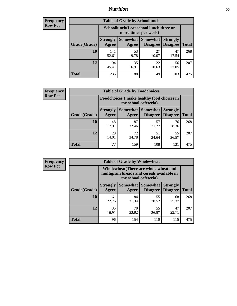### *Nutrition* **55**

| Frequency |
|-----------|
| Row Pct   |

| <b>Table of Grade by Schoollunch</b> |                          |                                                                                                          |             |             |     |  |  |  |
|--------------------------------------|--------------------------|----------------------------------------------------------------------------------------------------------|-------------|-------------|-----|--|--|--|
|                                      |                          | Schoollunch(I eat school lunch three or<br>more times per week)                                          |             |             |     |  |  |  |
| Grade(Grade)                         | <b>Strongly</b><br>Agree | Somewhat  <br><b>Somewhat</b><br><b>Strongly</b><br><b>Disagree</b><br>Disagree<br><b>Total</b><br>Agree |             |             |     |  |  |  |
| 10                                   | 141<br>52.61             | 53<br>19.78                                                                                              | 27<br>10.07 | 47<br>17.54 | 268 |  |  |  |
| 12                                   | 94<br>45.41              | 35<br>16.91                                                                                              | 22<br>10.63 | 56<br>27.05 | 207 |  |  |  |
| <b>Total</b>                         | 235                      | 88                                                                                                       | 49          | 103         | 475 |  |  |  |

| <b>Frequency</b> |  |
|------------------|--|
| <b>Row Pct</b>   |  |

| y | <b>Table of Grade by Foodchoices</b>                                                                                                |                                                                     |             |             |             |              |  |  |  |
|---|-------------------------------------------------------------------------------------------------------------------------------------|---------------------------------------------------------------------|-------------|-------------|-------------|--------------|--|--|--|
|   |                                                                                                                                     | Foodchoices (I make healthy food choices in<br>my school cafeteria) |             |             |             |              |  |  |  |
|   | Somewhat   Somewhat  <br><b>Strongly</b><br><b>Strongly</b><br><b>Disagree</b><br>Grade(Grade)<br>Agree<br><b>Disagree</b><br>Agree |                                                                     |             |             |             | <b>Total</b> |  |  |  |
|   | 10                                                                                                                                  | 48<br>17.91                                                         | 87<br>32.46 | 57<br>21.27 | 76<br>28.36 | 268          |  |  |  |
|   | 12                                                                                                                                  | 29<br>14.01                                                         | 72<br>34.78 | 51<br>24.64 | 55<br>26.57 | 207          |  |  |  |
|   | <b>Total</b>                                                                                                                        | 77                                                                  | 159         | 108         | 131         | 475          |  |  |  |

| <b>Frequency</b> | <b>Table of Grade by Wholewheat</b> |                                                                                                             |             |                                   |                                    |              |  |  |
|------------------|-------------------------------------|-------------------------------------------------------------------------------------------------------------|-------------|-----------------------------------|------------------------------------|--------------|--|--|
| <b>Row Pct</b>   |                                     | Wholewheat (There are whole wheat and<br>multigrain breads and cereals available in<br>my school cafeteria) |             |                                   |                                    |              |  |  |
|                  | Grade(Grade)                        | <b>Strongly</b><br>Agree                                                                                    | Agree       | Somewhat   Somewhat  <br>Disagree | <b>Strongly</b><br><b>Disagree</b> | <b>Total</b> |  |  |
|                  | 10                                  | 61<br>22.76                                                                                                 | 84<br>31.34 | 55<br>20.52                       | 68<br>25.37                        | 268          |  |  |
|                  | 12                                  | 35<br>16.91                                                                                                 | 70<br>33.82 | 55<br>26.57                       | 47<br>22.71                        | 207          |  |  |
|                  | <b>Total</b>                        | 96                                                                                                          | 154         | 110                               | 115                                | 475          |  |  |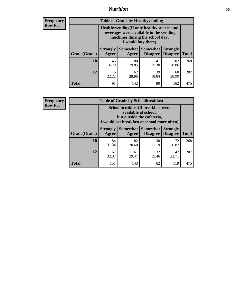#### *Nutrition* **56**

**Frequency Row Pct**

| <b>Table of Grade by Healthyvending</b> |                                                                                                                                               |                          |                                    |                                    |              |  |
|-----------------------------------------|-----------------------------------------------------------------------------------------------------------------------------------------------|--------------------------|------------------------------------|------------------------------------|--------------|--|
|                                         | Healthyvending (If only healthy snacks and<br>beverages were available in the vending<br>machines during the school day,<br>I would buy them) |                          |                                    |                                    |              |  |
| Grade(Grade)                            | <b>Strongly</b><br>Agree                                                                                                                      | <b>Somewhat</b><br>Agree | <b>Somewhat</b><br><b>Disagree</b> | <b>Strongly</b><br><b>Disagree</b> | <b>Total</b> |  |
| 10                                      | 45<br>16.79                                                                                                                                   | 80<br>29.85              | 41<br>15.30                        | 102<br>38.06                       | 268          |  |
| 12                                      | 46<br>22.22                                                                                                                                   | 62<br>29.95              | 39<br>18.84                        | 60<br>28.99                        | 207          |  |
| <b>Total</b>                            | 91                                                                                                                                            | 142                      | 80                                 | 162                                | 475          |  |

**Frequency Row Pct**

| <b>Table of Grade by Schoolbreakfast</b> |                                                                                                                                         |                                           |                                        |                                    |              |  |  |
|------------------------------------------|-----------------------------------------------------------------------------------------------------------------------------------------|-------------------------------------------|----------------------------------------|------------------------------------|--------------|--|--|
|                                          | Schoolbreakfast (If breakfast were<br>available at school,<br>but outside the cafeteria,<br>I would eat breakfast at school more often) |                                           |                                        |                                    |              |  |  |
| Grade(Grade)                             | <b>Strongly</b><br>Agree                                                                                                                | Agree                                     | Somewhat   Somewhat<br><b>Disagree</b> | <b>Strongly</b><br><b>Disagree</b> | <b>Total</b> |  |  |
| 10                                       | 84<br>31.34                                                                                                                             | 82<br>30.60                               | 30<br>11.19                            | 72<br>26.87                        | 268          |  |  |
| 12                                       | 67<br>32.37                                                                                                                             | 32<br>47<br>61<br>29.47<br>22.71<br>15.46 |                                        |                                    |              |  |  |
| <b>Total</b>                             | 151                                                                                                                                     | 143                                       | 62                                     | 119                                | 475          |  |  |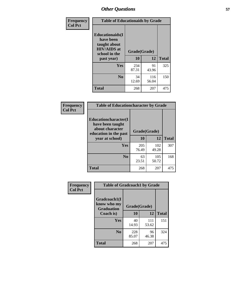| Frequency<br><b>Col Pct</b> | <b>Table of Educationaids by Grade</b>                                                                    |                    |              |              |
|-----------------------------|-----------------------------------------------------------------------------------------------------------|--------------------|--------------|--------------|
|                             | <b>Educationaids</b> (I<br>have been<br>taught about<br><b>HIV/AIDS</b> at<br>school in the<br>past year) | Grade(Grade)<br>10 | 12           | <b>Total</b> |
|                             | Yes                                                                                                       | 234<br>87.31       | 91<br>43.96  | 325          |
|                             | N <sub>0</sub>                                                                                            | 34<br>12.69        | 116<br>56.04 | 150          |
|                             | <b>Total</b>                                                                                              | 268                | 207          | 475          |

| Frequency      | <b>Table of Educationcharacter by Grade</b>                 |              |              |              |  |
|----------------|-------------------------------------------------------------|--------------|--------------|--------------|--|
| <b>Col Pct</b> | Educationcharacter(I<br>have been taught<br>about character | Grade(Grade) |              |              |  |
|                | education in the past<br>year at school)                    | 10           | 12           | <b>Total</b> |  |
|                | Yes                                                         | 205<br>76.49 | 102<br>49.28 | 307          |  |
|                | N <sub>0</sub>                                              | 63<br>23.51  | 105<br>50.72 | 168          |  |
|                | <b>Total</b>                                                | 268          | 207          | 475          |  |

| Frequency<br><b>Col Pct</b> | <b>Table of Gradcoach1 by Grade</b> |              |              |              |
|-----------------------------|-------------------------------------|--------------|--------------|--------------|
|                             | Gradcoach1(I<br>know who my         |              |              |              |
|                             | <b>Graduation</b>                   | Grade(Grade) |              |              |
|                             | Coach is)                           | 10           | 12           | <b>Total</b> |
|                             | Yes                                 | 40<br>14.93  | 111<br>53.62 | 151          |
|                             | N <sub>0</sub>                      | 228<br>85.07 | 96<br>46.38  | 324          |
|                             | <b>Total</b>                        | 268          | 207          | 475          |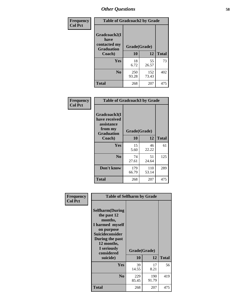| Frequency      | <b>Table of Gradcoach2 by Grade</b> |              |              |              |
|----------------|-------------------------------------|--------------|--------------|--------------|
| <b>Col Pct</b> | Gradcoach2(I<br>have                |              |              |              |
|                | contacted my<br><b>Graduation</b>   | Grade(Grade) |              |              |
|                | Coach)                              | 10           | 12           | <b>Total</b> |
|                | Yes                                 | 18<br>6.72   | 55<br>26.57  | 73           |
|                | N <sub>0</sub>                      | 250<br>93.28 | 152<br>73.43 | 402          |
|                | <b>Total</b>                        | 268          | 207          | 475          |

| <b>Frequency</b><br><b>Col Pct</b> | <b>Table of Gradcoach3 by Grade</b>                                         |              |              |              |
|------------------------------------|-----------------------------------------------------------------------------|--------------|--------------|--------------|
|                                    | Gradcoach3(I<br>have received<br>assistance<br>from my<br><b>Graduation</b> | Grade(Grade) |              |              |
|                                    | Coach)                                                                      | 10           | 12           | <b>Total</b> |
|                                    | Yes                                                                         | 15<br>5.60   | 46<br>22.22  | 61           |
|                                    | N <sub>0</sub>                                                              | 74<br>27.61  | 51<br>24.64  | 125          |
|                                    | Don't know                                                                  | 179<br>66.79 | 110<br>53.14 | 289          |
|                                    | <b>Total</b>                                                                | 268          | 207          | 475          |

| Frequency      | <b>Table of Selfharm by Grade</b>                                                                                                                                          |              |              |              |
|----------------|----------------------------------------------------------------------------------------------------------------------------------------------------------------------------|--------------|--------------|--------------|
| <b>Col Pct</b> | <b>Selfharm</b> (During<br>the past 12<br>months,<br>I harmed myself<br>on purpose<br><b>Suicideconsider</b><br>During the past<br>12 months,<br>I seriously<br>considered | Grade(Grade) |              |              |
|                | suicide)                                                                                                                                                                   | 10           | 12           | <b>Total</b> |
|                | <b>Yes</b>                                                                                                                                                                 | 39<br>14.55  | 17<br>8.21   | 56           |
|                | N <sub>0</sub>                                                                                                                                                             | 229<br>85.45 | 190<br>91.79 | 419          |
|                | <b>Total</b>                                                                                                                                                               | 268          | 207          | 475          |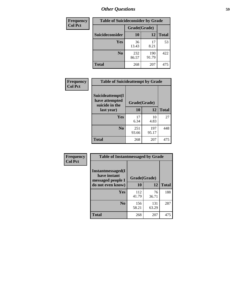| <b>Frequency</b> | <b>Table of Suicideconsider by Grade</b> |              |              |              |
|------------------|------------------------------------------|--------------|--------------|--------------|
| <b>Col Pct</b>   |                                          | Grade(Grade) |              |              |
|                  | <b>Suicideconsider</b>                   | <b>10</b>    | 12           | <b>Total</b> |
|                  | <b>Yes</b>                               | 36<br>13.43  | 17<br>8.21   | 53           |
|                  | N <sub>0</sub>                           | 232<br>86.57 | 190<br>91.79 | 422          |
|                  | <b>Total</b>                             | 268          | 207          | 475          |

| Frequency      | <b>Table of Suicideattempt by Grade</b>              |              |              |              |
|----------------|------------------------------------------------------|--------------|--------------|--------------|
| <b>Col Pct</b> | Suicideattempt(I<br>have attempted<br>suicide in the | Grade(Grade) |              |              |
|                | last year)                                           | 10           | 12           | <b>Total</b> |
|                | Yes                                                  | 17<br>6.34   | 10<br>4.83   | 27           |
|                | N <sub>0</sub>                                       | 251<br>93.66 | 197<br>95.17 | 448          |
|                | <b>Total</b>                                         | 268          | 207          | 475          |

| Frequency      | <b>Table of Instantmessaged by Grade</b>               |              |              |              |
|----------------|--------------------------------------------------------|--------------|--------------|--------------|
| <b>Col Pct</b> | Instantmessaged(I<br>have instant<br>messaged people I | Grade(Grade) |              |              |
|                | do not even know)                                      | 10           | 12           | <b>Total</b> |
|                | Yes                                                    | 112<br>41.79 | 76<br>36.71  | 188          |
|                | N <sub>0</sub>                                         | 156<br>58.21 | 131<br>63.29 | 287          |
|                | <b>Total</b>                                           | 268          | 207          | 475          |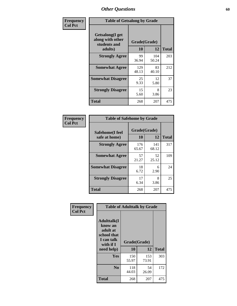| Frequency      | <b>Table of Getsalong by Grade</b>                          |              |              |              |
|----------------|-------------------------------------------------------------|--------------|--------------|--------------|
| <b>Col Pct</b> | <b>Getsalong</b> (I get<br>along with other<br>students and |              | Grade(Grade) |              |
|                | adults)                                                     | 10           | 12           | <b>Total</b> |
|                | <b>Strongly Agree</b>                                       | 99<br>36.94  | 104<br>50.24 | 203          |
|                | <b>Somewhat Agree</b>                                       | 129<br>48.13 | 83<br>40.10  | 212          |
|                | <b>Somewhat Disagree</b>                                    | 25<br>9.33   | 12<br>5.80   | 37           |
|                | <b>Strongly Disagree</b>                                    | 15<br>5.60   | 8<br>3.86    | 23           |
|                | Total                                                       | 268          | 207          | 475          |

| Frequency      | <b>Table of Safehome by Grade</b> |                    |              |              |
|----------------|-----------------------------------|--------------------|--------------|--------------|
| <b>Col Pct</b> | Safehome(I feel<br>safe at home)  | Grade(Grade)<br>10 | 12           | <b>Total</b> |
|                | <b>Strongly Agree</b>             | 176<br>65.67       | 141<br>68.12 | 317          |
|                | <b>Somewhat Agree</b>             | 57<br>21.27        | 52<br>25.12  | 109          |
|                | <b>Somewhat Disagree</b>          | 18<br>6.72         | 6<br>2.90    | 24           |
|                | <b>Strongly Disagree</b>          | 17<br>6.34         | 8<br>3.86    | 25           |
|                | <b>Total</b>                      | 268                | 207          | 475          |

| Frequency      |                                                                                     | <b>Table of Adulttalk by Grade</b> |              |              |
|----------------|-------------------------------------------------------------------------------------|------------------------------------|--------------|--------------|
| <b>Col Pct</b> | <b>Adulttalk(I</b><br>know an<br>adult at<br>school that<br>I can talk<br>with if I | Grade(Grade)                       |              |              |
|                | need help)                                                                          | 10                                 | 12           | <b>Total</b> |
|                | <b>Yes</b>                                                                          | 150<br>55.97                       | 153<br>73.91 | 303          |
|                | N <sub>0</sub>                                                                      | 118<br>44.03                       | 54<br>26.09  | 172          |
|                | <b>Total</b>                                                                        | 268                                | 207          | 475          |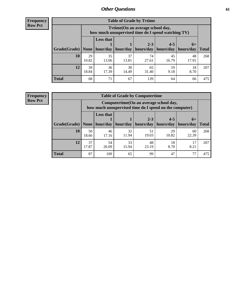**Frequency Row Pct**

| <b>Table of Grade by Tytime</b> |             |                                                                                        |             |                                                                    |             |             |              |  |  |  |
|---------------------------------|-------------|----------------------------------------------------------------------------------------|-------------|--------------------------------------------------------------------|-------------|-------------|--------------|--|--|--|
|                                 |             | Tvtime(On an average school day,<br>how much unsupervised time do I spend watching TV) |             |                                                                    |             |             |              |  |  |  |
| Grade(Grade)   None             |             | <b>Less that</b>                                                                       |             | $2 - 3$<br>hour/day   hour/day   hours/day   hours/day   hours/day | $4 - 5$     | $6+$        | <b>Total</b> |  |  |  |
| 10                              | 29<br>10.82 | 35<br>13.06                                                                            | 37<br>13.81 | 74<br>27.61                                                        | 45<br>16.79 | 48<br>17.91 | 268          |  |  |  |
| 12                              | 39<br>18.84 | 36<br>17.39                                                                            | 30<br>14.49 | 65<br>31.40                                                        | 19<br>9.18  | 18<br>8.70  | 207          |  |  |  |
| <b>Total</b>                    | 68          | 71                                                                                     | 67          | 139                                                                | 64          | 66          | 475          |  |  |  |

**Frequency Row Pct**

| <b>Table of Grade by Computertime</b> |             |                                                                                                   |             |                      |                      |                   |              |  |  |
|---------------------------------------|-------------|---------------------------------------------------------------------------------------------------|-------------|----------------------|----------------------|-------------------|--------------|--|--|
|                                       |             | Computertime (On an average school day,<br>how much unsupervised time do I spend on the computer) |             |                      |                      |                   |              |  |  |
| Grade(Grade)                          | None $ $    | <b>Less that</b><br>hour/day                                                                      | hour/day    | $2 - 3$<br>hours/day | $4 - 5$<br>hours/day | $6+$<br>hours/day | <b>Total</b> |  |  |
| 10                                    | 50<br>18.66 | 46<br>17.16                                                                                       | 32<br>11.94 | 51<br>19.03          | 29<br>10.82          | 60<br>22.39       | 268          |  |  |
| 12                                    | 37<br>17.87 | 54<br>26.09                                                                                       | 33<br>15.94 | 48<br>23.19          | 18<br>8.70           | 17<br>8.21        | 207          |  |  |
| <b>Total</b>                          | 87          | 100                                                                                               | 65          | 99                   | 47                   | 77                | 475          |  |  |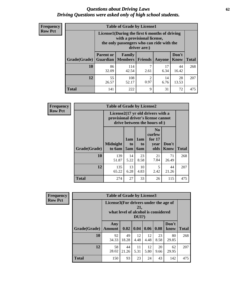#### *Questions about Driving Laws* **62** *Driving Questions were asked only of high school students.*

| <b>Frequency</b> |
|------------------|
| <b>Row Pct</b>   |

| <b>Table of Grade by License1</b> |                                                                                    |                                                                                                                                           |           |            |               |              |  |  |  |
|-----------------------------------|------------------------------------------------------------------------------------|-------------------------------------------------------------------------------------------------------------------------------------------|-----------|------------|---------------|--------------|--|--|--|
|                                   |                                                                                    | License1(During the first 6 months of driving<br>with a provisional license,<br>the only passengers who can ride with the<br>driver are:) |           |            |               |              |  |  |  |
| Grade(Grade)                      | <b>Parent or</b>                                                                   | Family<br><b>Guardian</b>   Members                                                                                                       | Friends   | Anyone     | Don't<br>Know | <b>Total</b> |  |  |  |
| 10                                | 86<br>32.09                                                                        | 114<br>42.54                                                                                                                              | 7<br>2.61 | 17<br>6.34 | 44<br>16.42   | 268          |  |  |  |
| 12                                | 55<br>108<br>28<br>$\overline{2}$<br>14<br>0.97<br>26.57<br>52.17<br>6.76<br>13.53 |                                                                                                                                           |           |            |               |              |  |  |  |
| Total                             | 141                                                                                | 222                                                                                                                                       | 9         | 31         | 72            | 475          |  |  |  |

| <b>Frequency</b> | <b>Table of Grade by License2</b> |                                                                                                          |                              |                  |                                                      |               |              |  |
|------------------|-----------------------------------|----------------------------------------------------------------------------------------------------------|------------------------------|------------------|------------------------------------------------------|---------------|--------------|--|
| <b>Row Pct</b>   |                                   | License2(17 yr old drivers with a<br>provisional driver's license cannot<br>drive between the hours of:) |                              |                  |                                                      |               |              |  |
|                  | Grade(Grade)                      | <b>Midnight</b><br>to 6am                                                                                | 1am<br>t <sub>0</sub><br>5am | 1am<br>to<br>6am | N <sub>0</sub><br>curfew<br>for $17$<br>vear<br>olds | Don't<br>Know | <b>Total</b> |  |
|                  | 10                                | 139<br>51.87                                                                                             | 14<br>5.22                   | 23<br>8.58       | 21<br>7.84                                           | 71<br>26.49   | 268          |  |
|                  | 12                                | 135<br>65.22                                                                                             | 13<br>6.28                   | 10<br>4.83       | 5<br>2.42                                            | 44<br>21.26   | 207          |  |
|                  | <b>Total</b>                      | 274                                                                                                      | 27                           | 33               | 26                                                   | 115           | 475          |  |

| Frequency      | <b>Table of Grade by License3</b> |                                       |                                     |              |            |            |               |              |
|----------------|-----------------------------------|---------------------------------------|-------------------------------------|--------------|------------|------------|---------------|--------------|
| <b>Row Pct</b> |                                   | License3(For drivers under the age of | what level of alcohol is considered | 21,<br>DUI?) |            |            |               |              |
|                | Grade(Grade)                      | Any<br><b>Amount</b>                  | 0.02                                | $\vert$ 0.04 | 0.06       | 0.08       | Don't<br>know | <b>Total</b> |
|                | 10                                | 92<br>34.33                           | 49<br>18.28                         | 12<br>4.48   | 12<br>4.48 | 23<br>8.58 | 80<br>29.85   | 268          |
|                | 12                                | 58<br>28.02                           | 44<br>21.26                         | 11<br>5.31   | 12<br>5.80 | 20<br>9.66 | 62<br>29.95   | 207          |
|                | <b>Total</b>                      | 150                                   | 93                                  | 23           | 24         | 43         | 142           | 475          |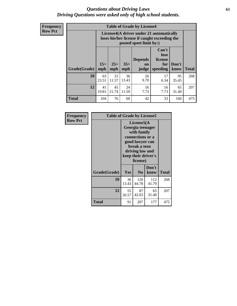#### *Questions about Driving Laws* **63** *Driving Questions were asked only of high school students.*

**Frequency Row Pct**

| <b>Table of Grade by License4</b> |              |                                                                                                                                                      |             |            |            |             |     |  |
|-----------------------------------|--------------|------------------------------------------------------------------------------------------------------------------------------------------------------|-------------|------------|------------|-------------|-----|--|
|                                   |              | License4(A driver under 21 automatically<br>loses his/her license if caught exceeding the<br>posted speet limit by:)                                 |             |            |            |             |     |  |
| Grade(Grade)                      | $15+$<br>mph | Can't<br>lose<br><b>Depends</b><br>license<br>$25+$<br>$35+$<br>Don't<br>for<br><b>on</b><br><b>Total</b><br>mph<br>speeding<br>know<br>mph<br>judge |             |            |            |             |     |  |
| 10                                | 63<br>23.51  | 31<br>11.57                                                                                                                                          | 36<br>13.43 | 26<br>9.70 | 17<br>6.34 | 95<br>35.45 | 268 |  |
| 12                                | 41<br>19.81  | 45<br>21.74                                                                                                                                          | 24<br>11.59 | 16<br>7.73 | 16<br>7.73 | 65<br>31.40 | 207 |  |
| <b>Total</b>                      | 104          | 76                                                                                                                                                   | 60          | 42         | 33         | 160         | 475 |  |

| Frequency      |              | <b>Table of Grade by License5</b> |                                                                                                                                                             |               |       |  |  |
|----------------|--------------|-----------------------------------|-------------------------------------------------------------------------------------------------------------------------------------------------------------|---------------|-------|--|--|
| <b>Row Pct</b> |              |                                   | License5(A)<br>Georgia teenager<br>with family<br>connections or a<br>good lawyer can<br>break a teen<br>driving law and<br>keep their driver's<br>license) |               |       |  |  |
|                | Grade(Grade) | <b>Yes</b>                        | N <sub>0</sub>                                                                                                                                              | Don't<br>know | Total |  |  |
|                | 10           | 36<br>13.43                       | 120<br>44.78                                                                                                                                                | 112<br>41.79  | 268   |  |  |
|                | 12           | 55<br>26.57                       | 87<br>42.03                                                                                                                                                 | 65<br>31.40   | 207   |  |  |
|                | Total        | 91                                | 207                                                                                                                                                         | 177           | 475   |  |  |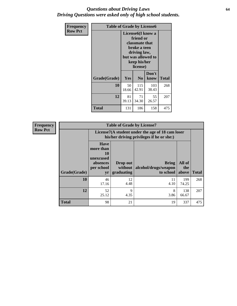#### *Questions about Driving Laws* **64** *Driving Questions were asked only of high school students.*

| <b>Frequency</b> | <b>Table of Grade by License6</b> |             |                                                                                                                           |                    |              |  |  |
|------------------|-----------------------------------|-------------|---------------------------------------------------------------------------------------------------------------------------|--------------------|--------------|--|--|
| <b>Row Pct</b>   |                                   |             | License <sub>6</sub> (I know a<br>friend or<br>classmate that<br>broke a teen<br>driving law,<br>keep his/her<br>license) | but was allowed to |              |  |  |
|                  | Grade(Grade)                      | <b>Yes</b>  | N <sub>0</sub>                                                                                                            | Don't<br>know      | <b>Total</b> |  |  |
|                  | 10                                | 50<br>18.66 | 115<br>42.91                                                                                                              | 103<br>38.43       | 268          |  |  |
|                  | 12                                | 81<br>39.13 | 71<br>34.30                                                                                                               | 55<br>26.57        | 207          |  |  |
|                  | <b>Total</b>                      | 131         | 186                                                                                                                       | 158                | 475          |  |  |

| <b>Frequency</b> |              |                                                                             | <b>Table of Grade by License7</b>   |                                                                                               |                        |              |
|------------------|--------------|-----------------------------------------------------------------------------|-------------------------------------|-----------------------------------------------------------------------------------------------|------------------------|--------------|
| <b>Row Pct</b>   |              |                                                                             |                                     | License7(A student under the age of 18 cam loser<br>his/her driving privileges if he or she:) |                        |              |
|                  | Grade(Grade) | <b>Have</b><br>more than<br>10<br>unexcused<br>absences<br>per school<br>yr | Drop out<br>without  <br>graduating | <b>Bring</b><br>alcohol/drugs/weapon<br>to school                                             | All of<br>the<br>above | <b>Total</b> |
|                  | 10           | 46<br>17.16                                                                 | 12<br>4.48                          | 11<br>4.10                                                                                    | 199<br>74.25           | 268          |
|                  | 12           | 52<br>25.12                                                                 | 9<br>4.35                           | 8<br>3.86                                                                                     | 138<br>66.67           | 207          |
|                  | <b>Total</b> | 98                                                                          | 21                                  | 19                                                                                            | 337                    | 475          |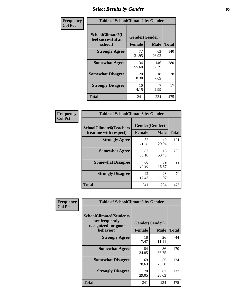# *Select Results by Gender* **65**

| Frequency      | <b>Table of SchoolClimate2 by Gender</b>          |                                 |              |              |  |
|----------------|---------------------------------------------------|---------------------------------|--------------|--------------|--|
| <b>Col Pct</b> | SchoolClimate2(I<br>feel successful at<br>school) | Gender(Gender)<br><b>Female</b> | <b>Male</b>  | <b>Total</b> |  |
|                | <b>Strongly Agree</b>                             | 77<br>31.95                     | 63<br>26.92  | 140          |  |
|                | <b>Somewhat Agree</b>                             | 134<br>55.60                    | 146<br>62.39 | 280          |  |
|                | <b>Somewhat Disagree</b>                          | 20<br>8.30                      | 18<br>7.69   | 38           |  |
|                | <b>Strongly Disagree</b>                          | 10<br>4.15                      | 2.99         | 17           |  |
|                | <b>Total</b>                                      | 241                             | 234          | 475          |  |

| Frequency      | <b>Table of SchoolClimate6 by Gender</b>                 |                                 |              |              |  |
|----------------|----------------------------------------------------------|---------------------------------|--------------|--------------|--|
| <b>Col Pct</b> | <b>SchoolClimate6(Teachers</b><br>treat me with respect) | Gender(Gender)<br><b>Female</b> | <b>Male</b>  | <b>Total</b> |  |
|                | <b>Strongly Agree</b>                                    | 52<br>21.58                     | 49<br>20.94  | 101          |  |
|                | <b>Somewhat Agree</b>                                    | 87<br>36.10                     | 118<br>50.43 | 205          |  |
|                | <b>Somewhat Disagree</b>                                 | 60<br>24.90                     | 39<br>16.67  | 99           |  |
|                | <b>Strongly Disagree</b>                                 | 42<br>17.43                     | 28<br>11.97  | 70           |  |
|                | <b>Total</b>                                             | 241                             | 234          | 475          |  |

| Frequency      | <b>Table of SchoolClimate8 by Gender</b>                                |                |             |              |
|----------------|-------------------------------------------------------------------------|----------------|-------------|--------------|
| <b>Col Pct</b> | <b>SchoolClimate8(Students</b><br>are frequently<br>recognized for good | Gender(Gender) |             |              |
|                | behavior)                                                               | <b>Female</b>  | <b>Male</b> | <b>Total</b> |
|                | <b>Strongly Agree</b>                                                   | 18<br>7.47     | 26<br>11.11 | 44           |
|                | <b>Somewhat Agree</b>                                                   | 84<br>34.85    | 86<br>36.75 | 170          |
|                | <b>Somewhat Disagree</b>                                                | 69<br>28.63    | 55<br>23.50 | 124          |
|                | <b>Strongly Disagree</b>                                                | 70<br>29.05    | 67<br>28.63 | 137          |
|                | Total                                                                   | 241            | 234         | 475          |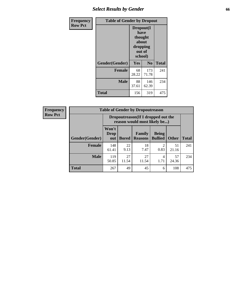## *Select Results by Gender* **66**

| <b>Frequency</b> | <b>Table of Gender by Dropout</b> |                                                                               |                |              |
|------------------|-----------------------------------|-------------------------------------------------------------------------------|----------------|--------------|
| <b>Row Pct</b>   |                                   | Dropout(I<br>have<br>thought<br><b>about</b><br>dropping<br>out of<br>school) |                |              |
|                  | Gender(Gender)                    | Yes                                                                           | N <sub>0</sub> | <b>Total</b> |
|                  | <b>Female</b>                     | 68<br>28.22                                                                   | 173<br>71.78   | 241          |
|                  | <b>Male</b>                       | 88<br>37.61                                                                   | 146<br>62.39   | 234          |
|                  | <b>Total</b>                      | 156                                                                           | 319            | 475          |

| <b>Frequency</b> | <b>Table of Gender by Dropoutreason</b> |                                                                    |              |                          |                                |              |              |
|------------------|-----------------------------------------|--------------------------------------------------------------------|--------------|--------------------------|--------------------------------|--------------|--------------|
| <b>Row Pct</b>   |                                         | Dropoutreason(If I dropped out the<br>reason would most likely be) |              |                          |                                |              |              |
|                  | Gender(Gender)                          | Won't<br><b>Drop</b><br>out                                        | <b>Bored</b> | Family<br><b>Reasons</b> | <b>Being</b><br><b>Bullied</b> | <b>Other</b> | <b>Total</b> |
|                  | Female                                  | 148<br>61.41                                                       | 22<br>9.13   | 18<br>7.47               | $\mathfrak{D}$<br>0.83         | 51<br>21.16  | 241          |
|                  | <b>Male</b>                             | 119<br>50.85                                                       | 27<br>11.54  | 27<br>11.54              | 4<br>1.71                      | 57<br>24.36  | 234          |
|                  | <b>Total</b>                            | 267                                                                | 49           | 45                       | 6                              | 108          | 475          |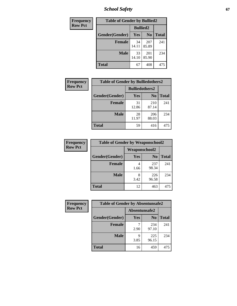*School Safety* **67**

| Frequency      | <b>Table of Gender by Bullied2</b> |                 |                |              |
|----------------|------------------------------------|-----------------|----------------|--------------|
| <b>Row Pct</b> |                                    | <b>Bullied2</b> |                |              |
|                | Gender(Gender)                     | Yes             | N <sub>0</sub> | <b>Total</b> |
|                | <b>Female</b>                      | 34<br>14.11     | 207<br>85.89   | 241          |
|                | <b>Male</b>                        | 33<br>14.10     | 201<br>85.90   | 234          |
|                | <b>Total</b>                       | 67              | 408            | 475          |

| Frequency      | <b>Table of Gender by Bulliedothers2</b> |                       |                |              |
|----------------|------------------------------------------|-----------------------|----------------|--------------|
| <b>Row Pct</b> |                                          | <b>Bulliedothers2</b> |                |              |
|                | Gender(Gender)                           | <b>Yes</b>            | N <sub>0</sub> | <b>Total</b> |
|                | <b>Female</b>                            | 31<br>12.86           | 210<br>87.14   | 241          |
|                | <b>Male</b>                              | 28<br>11.97           | 206<br>88.03   | 234          |
|                | <b>Total</b>                             | 59                    | 416            | 475          |

| Frequency      | <b>Table of Gender by Weaponschool2</b> |                      |                |              |
|----------------|-----------------------------------------|----------------------|----------------|--------------|
| <b>Row Pct</b> |                                         | <b>Weaponschool2</b> |                |              |
|                | Gender(Gender)                          | Yes                  | N <sub>0</sub> | <b>Total</b> |
|                | <b>Female</b>                           | 1.66                 | 237<br>98.34   | 241          |
|                | <b>Male</b>                             | 8<br>3.42            | 226<br>96.58   | 234          |
|                | <b>Total</b>                            | 12                   | 463            | 475          |

| Frequency      | <b>Table of Gender by Absentunsafe2</b> |               |                |              |
|----------------|-----------------------------------------|---------------|----------------|--------------|
| <b>Row Pct</b> |                                         | Absentunsafe2 |                |              |
|                | Gender(Gender)                          | <b>Yes</b>    | N <sub>0</sub> | <b>Total</b> |
|                | <b>Female</b>                           | 2.90          | 234<br>97.10   | 241          |
|                | <b>Male</b>                             | q<br>3.85     | 225<br>96.15   | 234          |
|                | <b>Total</b>                            | 16            | 459            | 475          |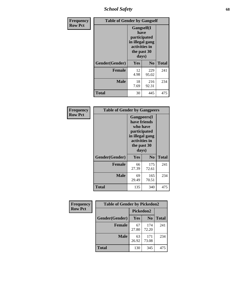*School Safety* **68**

| Frequency      | <b>Table of Gender by Gangself</b> |                                                                                                |              |              |
|----------------|------------------------------------|------------------------------------------------------------------------------------------------|--------------|--------------|
| <b>Row Pct</b> |                                    | Gangself(I<br>have<br>participated<br>in illegal gang<br>activities in<br>the past 30<br>days) |              |              |
|                | Gender(Gender)                     | Yes                                                                                            | $\bf No$     | <b>Total</b> |
|                | <b>Female</b>                      | 12<br>4.98                                                                                     | 229<br>95.02 | 241          |
|                | <b>Male</b>                        | 18<br>7.69                                                                                     | 216<br>92.31 | 234          |
|                | <b>Total</b>                       | 30                                                                                             | 445          | 475          |

| Frequency      |                | <b>Table of Gender by Gangpeers</b>                                                                                         |                |              |
|----------------|----------------|-----------------------------------------------------------------------------------------------------------------------------|----------------|--------------|
| <b>Row Pct</b> |                | <b>Gangpeers</b> (I<br>have friends<br>who have<br>participated<br>in illegal gang<br>activities in<br>the past 30<br>days) |                |              |
|                | Gender(Gender) | <b>Yes</b>                                                                                                                  | N <sub>0</sub> | <b>Total</b> |
|                | <b>Female</b>  | 66<br>27.39                                                                                                                 | 175<br>72.61   | 241          |
|                | <b>Male</b>    | 69<br>29.49                                                                                                                 | 165<br>70.51   | 234          |
|                | Total          | 135                                                                                                                         | 340            | 475          |

| Frequency      | <b>Table of Gender by Pickedon2</b> |             |                |              |
|----------------|-------------------------------------|-------------|----------------|--------------|
| <b>Row Pct</b> |                                     | Pickedon2   |                |              |
|                | Gender(Gender)                      | <b>Yes</b>  | N <sub>0</sub> | <b>Total</b> |
|                | <b>Female</b>                       | 67<br>27.80 | 174<br>72.20   | 241          |
|                | <b>Male</b>                         | 63<br>26.92 | 171<br>73.08   | 234          |
|                | <b>Total</b>                        | 130         | 345            | 475          |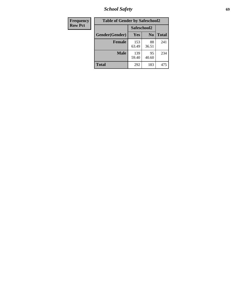*School Safety* **69**

| Frequency      | <b>Table of Gender by Safeschool2</b> |              |                |              |  |
|----------------|---------------------------------------|--------------|----------------|--------------|--|
| <b>Row Pct</b> |                                       |              | Safeschool2    |              |  |
|                | Gender(Gender)                        | <b>Yes</b>   | N <sub>0</sub> | <b>Total</b> |  |
|                | <b>Female</b>                         | 153<br>63.49 | 88<br>36.51    | 241          |  |
|                | Male                                  | 139<br>59.40 | 95<br>40.60    | 234          |  |
|                | <b>Total</b>                          | 292          | 183            | 475          |  |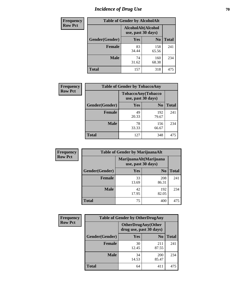# *Incidence of Drug Use* **70**

| <b>Frequency</b> | <b>Table of Gender by AlcoholAlt</b>     |             |                |              |
|------------------|------------------------------------------|-------------|----------------|--------------|
| <b>Row Pct</b>   | AlcoholAlt(Alcohol<br>use, past 30 days) |             |                |              |
|                  | Gender(Gender)                           | Yes         | N <sub>0</sub> | <b>Total</b> |
|                  | <b>Female</b>                            | 83<br>34.44 | 158<br>65.56   | 241          |
|                  | <b>Male</b>                              | 74<br>31.62 | 160<br>68.38   | 234          |
|                  | <b>Total</b>                             | 157         | 318            | 475          |

| Frequency      | <b>Table of Gender by TobaccoAny</b> |                                          |                |              |  |
|----------------|--------------------------------------|------------------------------------------|----------------|--------------|--|
| <b>Row Pct</b> |                                      | TobaccoAny(Tobacco<br>use, past 30 days) |                |              |  |
|                | Gender(Gender)                       | Yes                                      | N <sub>0</sub> | <b>Total</b> |  |
|                | <b>Female</b>                        | 49<br>20.33                              | 192<br>79.67   | 241          |  |
|                | <b>Male</b>                          | 78<br>33.33                              | 156<br>66.67   | 234          |  |
|                | Total                                | 127                                      | 348            | 475          |  |

| <b>Frequency</b> | <b>Table of Gender by MarijuanaAlt</b> |                                              |                |              |
|------------------|----------------------------------------|----------------------------------------------|----------------|--------------|
| <b>Row Pct</b>   |                                        | MarijuanaAlt(Marijuana<br>use, past 30 days) |                |              |
|                  | Gender(Gender)                         | <b>Yes</b>                                   | N <sub>0</sub> | <b>Total</b> |
|                  | <b>Female</b>                          | 33<br>13.69                                  | 208<br>86.31   | 241          |
|                  | <b>Male</b>                            | 42<br>17.95                                  | 192<br>82.05   | 234          |
|                  | <b>Total</b>                           | 75                                           | 400            | 475          |

| <b>Frequency</b> | <b>Table of Gender by OtherDrugAny</b> |                                                       |                     |              |  |
|------------------|----------------------------------------|-------------------------------------------------------|---------------------|--------------|--|
| <b>Row Pct</b>   |                                        | <b>OtherDrugAny</b> (Other<br>drug use, past 30 days) |                     |              |  |
|                  | Gender(Gender)                         | <b>Yes</b>                                            | N <sub>0</sub>      | <b>Total</b> |  |
|                  | <b>Female</b>                          | 30<br>12.45                                           | 211<br>87.55        | 241          |  |
|                  | <b>Male</b>                            | 34<br>14.53                                           | <b>200</b><br>85.47 | 234          |  |
|                  | <b>Total</b>                           | 64                                                    | 411                 | 475          |  |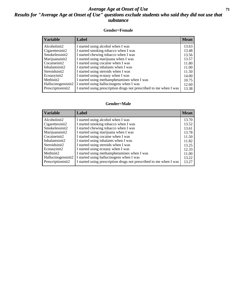#### *Average Age at Onset of Use* **71** *Results for "Average Age at Onset of Use" questions exclude students who said they did not use that substance*

#### **Gender=Female**

| <b>Variable</b>    | <b>Label</b>                                                       | <b>Mean</b> |
|--------------------|--------------------------------------------------------------------|-------------|
| Alcoholinit2       | I started using alcohol when I was                                 | 13.63       |
| Cigarettesinit2    | I started smoking tobacco when I was                               | 13.48       |
| Smokelessinit2     | I started chewing tobacco when I was                               | 13.56       |
| Marijuanainit2     | I started using marijuana when I was                               | 13.57       |
| Cocaineinit2       | I started using cocaine when I was                                 | 11.80       |
| Inhalantsinit2     | I started using inhalants when I was                               | 11.00       |
| Steroidsinit2      | I started using steroids when I was                                | 11.50       |
| Ecstasyinit2       | I started using ecstasy when I was                                 | 14.00       |
| Methinit2          | I started using methamphetamines when I was                        | 10.75       |
| Hallucinogensinit2 | I started using hallucinogens when I was                           | 12.60       |
| Prescription in t2 | I started using prescription drugs not prescribed to me when I was | 13.38       |

#### **Gender=Male**

| <b>Variable</b>     | Label                                                              | <b>Mean</b> |
|---------------------|--------------------------------------------------------------------|-------------|
| Alcoholinit2        | I started using alcohol when I was                                 | 13.70       |
| Cigarettesinit2     | I started smoking tobacco when I was                               | 13.52       |
| Smokelessinit2      | I started chewing tobacco when I was                               | 13.61       |
| Marijuanainit2      | I started using marijuana when I was                               | 13.78       |
| Cocaineinit2        | I started using cocaine when I was                                 | 11.50       |
| Inhalantsinit2      | I started using inhalants when I was                               | 11.82       |
| Steroidsinit2       | I started using steroids when I was                                | 13.25       |
| Ecstasyinit2        | I started using ecstasy when I was                                 | 12.33       |
| Methinit2           | I started using methamphetamines when I was                        | 11.00       |
| Hallucinogensinit2  | I started using hallucinogens when I was                           | 13.22       |
| Prescription in it2 | I started using prescription drugs not prescribed to me when I was | 13.27       |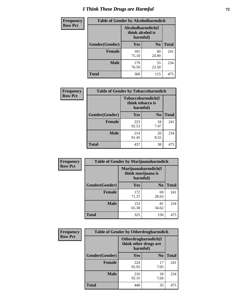## *I Think These Drugs are Harmful* **72**

| <b>Frequency</b> | <b>Table of Gender by Alcoholharmdich</b> |                                                   |                |              |  |
|------------------|-------------------------------------------|---------------------------------------------------|----------------|--------------|--|
| <b>Row Pct</b>   |                                           | Alcoholharmdich(I<br>think alcohol is<br>harmful) |                |              |  |
|                  | Gender(Gender)                            | Yes                                               | N <sub>0</sub> | <b>Total</b> |  |
|                  | <b>Female</b>                             | 181<br>75.10                                      | 60<br>24.90    | 241          |  |
|                  | <b>Male</b>                               | 179<br>76.50                                      | 55<br>23.50    | 234          |  |
|                  | <b>Total</b>                              | 360                                               | 115            | 475          |  |

| Frequency      | <b>Table of Gender by Tobaccoharmdich</b> |                  |                               |              |
|----------------|-------------------------------------------|------------------|-------------------------------|--------------|
| <b>Row Pct</b> |                                           | think tobacco is | Tobaccoharmdich(I<br>harmful) |              |
|                | Gender(Gender)                            | Yes              | N <sub>0</sub>                | <b>Total</b> |
|                | <b>Female</b>                             | 223<br>92.53     | 18<br>7.47                    | 241          |
|                | <b>Male</b>                               | 214<br>91.45     | 20<br>8.55                    | 234          |
|                | Total                                     | 437              | 38                            | 475          |

| Frequency      | <b>Table of Gender by Marijuanaharmdich</b> |                                                       |                |              |  |
|----------------|---------------------------------------------|-------------------------------------------------------|----------------|--------------|--|
| <b>Row Pct</b> |                                             | Marijuanaharmdich(I<br>think marijuana is<br>harmful) |                |              |  |
|                | Gender(Gender)                              | <b>Yes</b>                                            | N <sub>0</sub> | <b>Total</b> |  |
|                | <b>Female</b>                               | 172<br>71.37                                          | 69<br>28.63    | 241          |  |
|                | <b>Male</b>                                 | 153<br>65.38                                          | 81<br>34.62    | 234          |  |
|                | <b>Total</b>                                | 325                                                   | 150            | 475          |  |

| Frequency      | <b>Table of Gender by Otherdrugharmdich</b> |                                                          |                |              |  |
|----------------|---------------------------------------------|----------------------------------------------------------|----------------|--------------|--|
| <b>Row Pct</b> |                                             | Otherdrugharmdich(I<br>think other drugs are<br>harmful) |                |              |  |
|                | Gender(Gender)                              | <b>Yes</b>                                               | N <sub>0</sub> | <b>Total</b> |  |
|                | <b>Female</b>                               | 224<br>92.95                                             | 17<br>7.05     | 241          |  |
|                | <b>Male</b>                                 | 216<br>92.31                                             | 18<br>7.69     | 234          |  |
|                | <b>Total</b>                                | 440                                                      | 35             | 475          |  |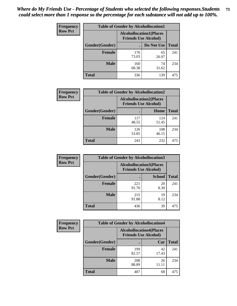| <b>Frequency</b> | <b>Table of Gender by Alcohollocation1</b> |                                                               |             |              |
|------------------|--------------------------------------------|---------------------------------------------------------------|-------------|--------------|
| <b>Row Pct</b>   |                                            | <b>Alcohollocation1(Places</b><br><b>Friends Use Alcohol)</b> |             |              |
|                  | Gender(Gender)                             |                                                               | Do Not Use  | <b>Total</b> |
|                  | <b>Female</b>                              | 176<br>73.03                                                  | 65<br>26.97 | 241          |
|                  | <b>Male</b>                                | 160<br>68.38                                                  | 74<br>31.62 | 234          |
|                  | <b>Total</b>                               | 336                                                           | 139         | 475          |

| <b>Frequency</b> | <b>Table of Gender by Alcohollocation2</b> |              |                                                               |              |
|------------------|--------------------------------------------|--------------|---------------------------------------------------------------|--------------|
| <b>Row Pct</b>   |                                            |              | <b>Alcohollocation2(Places</b><br><b>Friends Use Alcohol)</b> |              |
|                  | Gender(Gender)                             |              | Home                                                          | <b>Total</b> |
|                  | <b>Female</b>                              | 117<br>48.55 | 124<br>51.45                                                  | 241          |
|                  | <b>Male</b>                                | 126<br>53.85 | 108<br>46.15                                                  | 234          |
|                  | <b>Total</b>                               | 243          | 232                                                           | 475          |

| Frequency      | <b>Table of Gender by Alcohollocation3</b> |              |                                                               |              |
|----------------|--------------------------------------------|--------------|---------------------------------------------------------------|--------------|
| <b>Row Pct</b> |                                            |              | <b>Alcohollocation3(Places</b><br><b>Friends Use Alcohol)</b> |              |
|                | Gender(Gender)                             |              | <b>School</b>                                                 | <b>Total</b> |
|                | <b>Female</b>                              | 221<br>91.70 | 20<br>8.30                                                    | 241          |
|                | <b>Male</b>                                | 215<br>91.88 | 19<br>8.12                                                    | 234          |
|                | <b>Total</b>                               | 436          | 39                                                            | 475          |

| <b>Frequency</b> | <b>Table of Gender by Alcohollocation4</b> |                                                               |             |              |
|------------------|--------------------------------------------|---------------------------------------------------------------|-------------|--------------|
| <b>Row Pct</b>   |                                            | <b>Alcohollocation4(Places</b><br><b>Friends Use Alcohol)</b> |             |              |
|                  | <b>Gender</b> (Gender)                     |                                                               | Car         | <b>Total</b> |
|                  | <b>Female</b>                              | 199<br>82.57                                                  | 42<br>17.43 | 241          |
|                  | <b>Male</b>                                | 208<br>88.89                                                  | 26<br>11.11 | 234          |
|                  | <b>Total</b>                               | 407                                                           | 68          | 475          |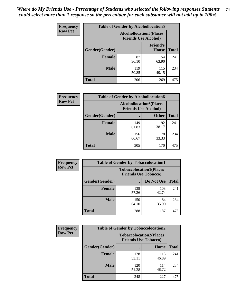| <b>Frequency</b> | <b>Table of Gender by Alcohollocation5</b> |                                                                |                                 |              |
|------------------|--------------------------------------------|----------------------------------------------------------------|---------------------------------|--------------|
| <b>Row Pct</b>   |                                            | <b>Alcohollocation5</b> (Places<br><b>Friends Use Alcohol)</b> |                                 |              |
|                  | Gender(Gender)                             |                                                                | <b>Friend's</b><br><b>House</b> | <b>Total</b> |
|                  | <b>Female</b>                              | 87<br>36.10                                                    | 154<br>63.90                    | 241          |
|                  | <b>Male</b>                                | 119<br>50.85                                                   | 115<br>49.15                    | 234          |
|                  | <b>Total</b>                               | 206                                                            | 269                             | 475          |

| <b>Frequency</b> | <b>Table of Gender by Alcohollocation6</b> |                                                               |              |              |
|------------------|--------------------------------------------|---------------------------------------------------------------|--------------|--------------|
| <b>Row Pct</b>   |                                            | <b>Alcohollocation6(Places</b><br><b>Friends Use Alcohol)</b> |              |              |
|                  | Gender(Gender)                             |                                                               | <b>Other</b> | <b>Total</b> |
|                  | <b>Female</b>                              | 149<br>61.83                                                  | 92<br>38.17  | 241          |
|                  | <b>Male</b>                                | 156<br>66.67                                                  | 78<br>33.33  | 234          |
|                  | <b>Total</b>                               | 305                                                           | 170          | 475          |

| Frequency      | <b>Table of Gender by Tobaccolocation1</b> |                                                               |              |              |  |
|----------------|--------------------------------------------|---------------------------------------------------------------|--------------|--------------|--|
| <b>Row Pct</b> |                                            | <b>Tobaccolocation1(Places</b><br><b>Friends Use Tobacco)</b> |              |              |  |
|                | Gender(Gender)                             |                                                               | Do Not Use   | <b>Total</b> |  |
|                | Female                                     | 138<br>57.26                                                  | 103<br>42.74 | 241          |  |
|                | <b>Male</b>                                | 150<br>64.10                                                  | 84<br>35.90  | 234          |  |
|                | <b>Total</b>                               | 288                                                           | 187          | 475          |  |

| <b>Frequency</b> | <b>Table of Gender by Tobaccolocation2</b> |                                                               |              |              |
|------------------|--------------------------------------------|---------------------------------------------------------------|--------------|--------------|
| <b>Row Pct</b>   |                                            | <b>Tobaccolocation2(Places</b><br><b>Friends Use Tobacco)</b> |              |              |
|                  | Gender(Gender)                             |                                                               | Home         | <b>Total</b> |
|                  | Female                                     | 128<br>53.11                                                  | 113<br>46.89 | 241          |
|                  | <b>Male</b>                                | 120<br>51.28                                                  | 114<br>48.72 | 234          |
|                  | <b>Total</b>                               | 248                                                           | 227          | 475          |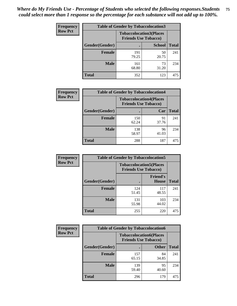| <b>Frequency</b> | <b>Table of Gender by Tobaccolocation3</b> |              |                                                               |              |
|------------------|--------------------------------------------|--------------|---------------------------------------------------------------|--------------|
| <b>Row Pct</b>   |                                            |              | <b>Tobaccolocation3(Places</b><br><b>Friends Use Tobacco)</b> |              |
|                  | Gender(Gender)                             |              | <b>School</b>                                                 | <b>Total</b> |
|                  | <b>Female</b>                              | 191<br>79.25 | 50<br>20.75                                                   | 241          |
|                  | <b>Male</b>                                | 161<br>68.80 | 73<br>31.20                                                   | 234          |
|                  | Total                                      | 352          | 123                                                           | 475          |

| <b>Frequency</b> | <b>Table of Gender by Tobaccolocation4</b> |                             |                                |              |
|------------------|--------------------------------------------|-----------------------------|--------------------------------|--------------|
| <b>Row Pct</b>   |                                            | <b>Friends Use Tobacco)</b> | <b>Tobaccolocation4(Places</b> |              |
|                  | Gender(Gender)                             |                             | Car                            | <b>Total</b> |
|                  | <b>Female</b>                              | 150<br>62.24                | 91<br>37.76                    | 241          |
|                  | <b>Male</b>                                | 138<br>58.97                | 96<br>41.03                    | 234          |
|                  | <b>Total</b>                               | 288                         | 187                            | 475          |

| <b>Frequency</b> | <b>Table of Gender by Tobaccolocation5</b> |                             |                                 |              |
|------------------|--------------------------------------------|-----------------------------|---------------------------------|--------------|
| <b>Row Pct</b>   |                                            | <b>Friends Use Tobacco)</b> | <b>Tobaccolocation5(Places</b>  |              |
|                  | Gender(Gender)                             |                             | <b>Friend's</b><br><b>House</b> | <b>Total</b> |
|                  | <b>Female</b>                              | 124<br>51.45                | 117<br>48.55                    | 241          |
|                  | <b>Male</b>                                | 131<br>55.98                | 103<br>44.02                    | 234          |
|                  | <b>Total</b>                               | 255                         | 220                             | 475          |

| <b>Frequency</b> | <b>Table of Gender by Tobaccolocation6</b> |                                                               |              |              |
|------------------|--------------------------------------------|---------------------------------------------------------------|--------------|--------------|
| <b>Row Pct</b>   |                                            | <b>Tobaccolocation6(Places</b><br><b>Friends Use Tobacco)</b> |              |              |
|                  | Gender(Gender)                             |                                                               | <b>Other</b> | <b>Total</b> |
|                  | <b>Female</b>                              | 157<br>65.15                                                  | 84<br>34.85  | 241          |
|                  | <b>Male</b>                                | 139<br>59.40                                                  | 95<br>40.60  | 234          |
|                  | <b>Total</b>                               | 296                                                           | 179          | 475          |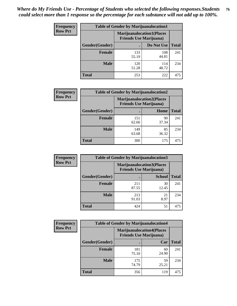| <b>Frequency</b> | <b>Table of Gender by Marijuanalocation1</b> |                                                                    |              |              |
|------------------|----------------------------------------------|--------------------------------------------------------------------|--------------|--------------|
| <b>Row Pct</b>   |                                              | <b>Marijuanalocation1(Places</b><br><b>Friends Use Marijuana</b> ) |              |              |
|                  | Gender(Gender)                               |                                                                    | Do Not Use   | <b>Total</b> |
|                  | <b>Female</b>                                | 133<br>55.19                                                       | 108<br>44.81 | 241          |
|                  | <b>Male</b>                                  | 120<br>51.28                                                       | 114<br>48.72 | 234          |
|                  | <b>Total</b>                                 | 253                                                                | 222          | 475          |

| <b>Frequency</b> | <b>Table of Gender by Marijuanalocation2</b> |                                                                    |             |              |
|------------------|----------------------------------------------|--------------------------------------------------------------------|-------------|--------------|
| <b>Row Pct</b>   |                                              | <b>Marijuanalocation2(Places</b><br><b>Friends Use Marijuana</b> ) |             |              |
|                  | Gender(Gender)                               |                                                                    | Home        | <b>Total</b> |
|                  | <b>Female</b>                                | 151<br>62.66                                                       | 90<br>37.34 | 241          |
|                  | <b>Male</b>                                  | 149<br>63.68                                                       | 85<br>36.32 | 234          |
|                  | <b>Total</b>                                 | 300                                                                | 175         | 475          |

| Frequency      |                | <b>Table of Gender by Marijuanalocation3</b>                       |               |              |
|----------------|----------------|--------------------------------------------------------------------|---------------|--------------|
| <b>Row Pct</b> |                | <b>Marijuanalocation3(Places</b><br><b>Friends Use Marijuana</b> ) |               |              |
|                | Gender(Gender) |                                                                    | <b>School</b> | <b>Total</b> |
|                | Female         | 211<br>87.55                                                       | 30<br>12.45   | 241          |
|                | <b>Male</b>    | 213<br>91.03                                                       | 21<br>8.97    | 234          |
|                | <b>Total</b>   | 424                                                                | 51            | 475          |

| Frequency      | <b>Table of Gender by Marijuanalocation4</b> |                                |                                  |              |
|----------------|----------------------------------------------|--------------------------------|----------------------------------|--------------|
| <b>Row Pct</b> |                                              | <b>Friends Use Marijuana</b> ) | <b>Marijuanalocation4(Places</b> |              |
|                | <b>Gender</b> (Gender)                       |                                | Car                              | <b>Total</b> |
|                | <b>Female</b>                                | 181<br>75.10                   | 60<br>24.90                      | 241          |
|                | <b>Male</b>                                  | 175<br>74.79                   | 59<br>25.21                      | 234          |
|                | <b>Total</b>                                 | 356                            | 119                              | 475          |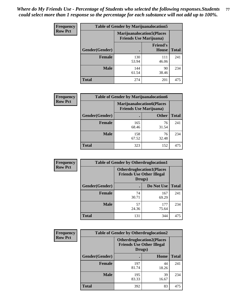| <b>Frequency</b> | <b>Table of Gender by Marijuanalocation5</b> |                                                                     |                          |              |
|------------------|----------------------------------------------|---------------------------------------------------------------------|--------------------------|--------------|
| <b>Row Pct</b>   |                                              | <b>Marijuanalocation5</b> (Places<br><b>Friends Use Marijuana</b> ) |                          |              |
|                  | Gender(Gender)                               |                                                                     | <b>Friend's</b><br>House | <b>Total</b> |
|                  | <b>Female</b>                                | 130<br>53.94                                                        | 111<br>46.06             | 241          |
|                  | <b>Male</b>                                  | 144<br>61.54                                                        | 90<br>38.46              | 234          |
|                  | <b>Total</b>                                 | 274                                                                 | 201                      | 475          |

| <b>Frequency</b> | <b>Table of Gender by Marijuanalocation6</b> |                                |                                  |              |
|------------------|----------------------------------------------|--------------------------------|----------------------------------|--------------|
| <b>Row Pct</b>   |                                              | <b>Friends Use Marijuana</b> ) | <b>Marijuanalocation6(Places</b> |              |
|                  | <b>Gender</b> (Gender)                       |                                | <b>Other</b>                     | <b>Total</b> |
|                  | <b>Female</b>                                | 165<br>68.46                   | 76<br>31.54                      | 241          |
|                  | <b>Male</b>                                  | 158<br>67.52                   | 76<br>32.48                      | 234          |
|                  | Total                                        | 323                            | 152                              | 475          |

| <b>Frequency</b> | <b>Table of Gender by Otherdruglocation1</b> |                                                                                |              |              |
|------------------|----------------------------------------------|--------------------------------------------------------------------------------|--------------|--------------|
| <b>Row Pct</b>   |                                              | <b>Otherdruglocation1(Places</b><br><b>Friends Use Other Illegal</b><br>Drugs) |              |              |
|                  | Gender(Gender)                               |                                                                                | Do Not Use   | <b>Total</b> |
|                  | Female                                       | 74<br>30.71                                                                    | 167<br>69.29 | 241          |
|                  | <b>Male</b>                                  | 57<br>24.36                                                                    | 177<br>75.64 | 234          |
|                  | <b>Total</b>                                 | 131                                                                            | 344          | 475          |

| <b>Frequency</b> | <b>Table of Gender by Otherdruglocation2</b> |                                            |                                   |              |
|------------------|----------------------------------------------|--------------------------------------------|-----------------------------------|--------------|
| <b>Row Pct</b>   |                                              | <b>Friends Use Other Illegal</b><br>Drugs) | <b>Otherdruglocation2(Places)</b> |              |
|                  | Gender(Gender)                               |                                            | <b>Home</b>                       | <b>Total</b> |
|                  | Female                                       | 197<br>81.74                               | 44<br>18.26                       | 241          |
|                  | <b>Male</b>                                  | 195<br>83.33                               | 39<br>16.67                       | 234          |
|                  | <b>Total</b>                                 | 392                                        | 83                                | 475          |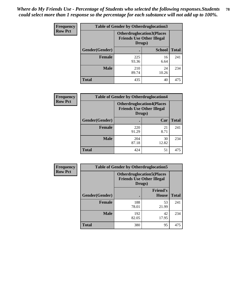| Frequency      | <b>Table of Gender by Otherdruglocation3</b> |                                                                                |               |              |
|----------------|----------------------------------------------|--------------------------------------------------------------------------------|---------------|--------------|
| <b>Row Pct</b> |                                              | <b>Otherdruglocation3(Places</b><br><b>Friends Use Other Illegal</b><br>Drugs) |               |              |
|                | Gender(Gender)                               |                                                                                | <b>School</b> | <b>Total</b> |
|                | <b>Female</b>                                | 225<br>93.36                                                                   | 16<br>6.64    | 241          |
|                | <b>Male</b>                                  | 210<br>89.74                                                                   | 24<br>10.26   | 234          |
|                | <b>Total</b>                                 | 435                                                                            | 40            | 475          |

| Frequency      | <b>Table of Gender by Otherdruglocation4</b> |                                                                                |             |              |
|----------------|----------------------------------------------|--------------------------------------------------------------------------------|-------------|--------------|
| <b>Row Pct</b> |                                              | <b>Otherdruglocation4(Places</b><br><b>Friends Use Other Illegal</b><br>Drugs) |             |              |
|                | Gender(Gender)                               |                                                                                | Car         | <b>Total</b> |
|                | Female                                       | 220<br>91.29                                                                   | 21<br>8.71  | 241          |
|                | <b>Male</b>                                  | 204<br>87.18                                                                   | 30<br>12.82 | 234          |
|                | <b>Total</b>                                 | 424                                                                            | 51          | 475          |

| Frequency      | <b>Table of Gender by Otherdruglocation5</b> |                                            |                                  |              |
|----------------|----------------------------------------------|--------------------------------------------|----------------------------------|--------------|
| <b>Row Pct</b> |                                              | <b>Friends Use Other Illegal</b><br>Drugs) | <b>Otherdruglocation5(Places</b> |              |
|                | Gender(Gender)                               |                                            | <b>Friend's</b><br><b>House</b>  | <b>Total</b> |
|                | <b>Female</b>                                | 188<br>78.01                               | 53<br>21.99                      | 241          |
|                | <b>Male</b>                                  | 192<br>82.05                               | 42<br>17.95                      | 234          |
|                | <b>Total</b>                                 | 380                                        | 95                               | 475          |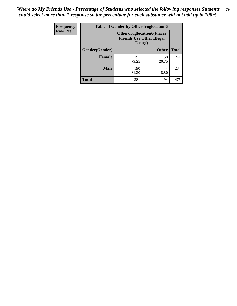| Frequency      | <b>Table of Gender by Otherdruglocation6</b> |                                            |                                  |              |
|----------------|----------------------------------------------|--------------------------------------------|----------------------------------|--------------|
| <b>Row Pct</b> |                                              | <b>Friends Use Other Illegal</b><br>Drugs) | <b>Otherdruglocation6(Places</b> |              |
|                | Gender(Gender)                               |                                            | <b>Other</b>                     | <b>Total</b> |
|                | <b>Female</b>                                | 191<br>79.25                               | 50<br>20.75                      | 241          |
|                | <b>Male</b>                                  | 190<br>81.20                               | 44<br>18.80                      | 234          |
|                | <b>Total</b>                                 | 381                                        | 94                               | 475          |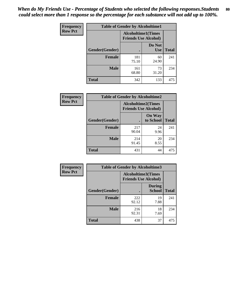| <b>Frequency</b> | <b>Table of Gender by Alcoholtime1</b> |                                                          |                      |              |
|------------------|----------------------------------------|----------------------------------------------------------|----------------------|--------------|
| <b>Row Pct</b>   |                                        | <b>Alcoholtime1(Times</b><br><b>Friends Use Alcohol)</b> |                      |              |
|                  | Gender(Gender)                         | ٠                                                        | Do Not<br><b>Use</b> | <b>Total</b> |
|                  | <b>Female</b>                          | 181<br>75.10                                             | 60<br>24.90          | 241          |
|                  | <b>Male</b>                            | 161<br>68.80                                             | 73<br>31.20          | 234          |
|                  | <b>Total</b>                           | 342                                                      | 133                  | 475          |

| Frequency      | <b>Table of Gender by Alcoholtime2</b> |                                                          |                            |              |
|----------------|----------------------------------------|----------------------------------------------------------|----------------------------|--------------|
| <b>Row Pct</b> |                                        | <b>Alcoholtime2(Times</b><br><b>Friends Use Alcohol)</b> |                            |              |
|                | Gender(Gender)                         |                                                          | <b>On Way</b><br>to School | <b>Total</b> |
|                | <b>Female</b>                          | 217<br>90.04                                             | 24<br>9.96                 | 241          |
|                | <b>Male</b>                            | 214<br>91.45                                             | 20<br>8.55                 | 234          |
|                | Total                                  | 431                                                      | 44                         | 475          |

| <b>Frequency</b> | <b>Table of Gender by Alcoholtime3</b> |                                                          |                                |              |
|------------------|----------------------------------------|----------------------------------------------------------|--------------------------------|--------------|
| <b>Row Pct</b>   |                                        | <b>Alcoholtime3(Times</b><br><b>Friends Use Alcohol)</b> |                                |              |
|                  | Gender(Gender)                         |                                                          | <b>During</b><br><b>School</b> | <b>Total</b> |
|                  | Female                                 | 222<br>92.12                                             | 19<br>7.88                     | 241          |
|                  | <b>Male</b>                            | 216<br>92.31                                             | 18<br>7.69                     | 234          |
|                  | <b>Total</b>                           | 438                                                      | 37                             | 475          |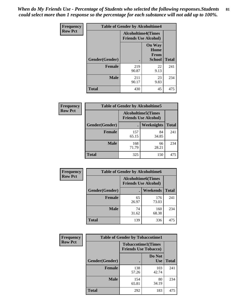*When do My Friends Use - Percentage of Students who selected the following responses.Students could select more than 1 response so the percentage for each substance will not add up to 100%.* **81**

| <b>Frequency</b> | <b>Table of Gender by Alcoholtime4</b> |                                                          |                                                |              |
|------------------|----------------------------------------|----------------------------------------------------------|------------------------------------------------|--------------|
| <b>Row Pct</b>   |                                        | <b>Alcoholtime4(Times</b><br><b>Friends Use Alcohol)</b> |                                                |              |
|                  | Gender(Gender)                         |                                                          | <b>On Way</b><br>Home<br>From<br><b>School</b> | <b>Total</b> |
|                  | <b>Female</b>                          | 219<br>90.87                                             | 22<br>9.13                                     | 241          |
|                  | <b>Male</b>                            | 211<br>90.17                                             | 23<br>9.83                                     | 234          |
|                  | <b>Total</b>                           | 430                                                      | 45                                             | 475          |

| <b>Frequency</b> | <b>Table of Gender by Alcoholtime5</b> |                                                          |             |              |
|------------------|----------------------------------------|----------------------------------------------------------|-------------|--------------|
| <b>Row Pct</b>   |                                        | <b>Alcoholtime5(Times</b><br><b>Friends Use Alcohol)</b> |             |              |
|                  | Gender(Gender)                         |                                                          | Weeknights  | <b>Total</b> |
|                  | <b>Female</b>                          | 157<br>65.15                                             | 84<br>34.85 | 241          |
|                  | <b>Male</b>                            | 168<br>71.79                                             | 66<br>28.21 | 234          |
|                  | <b>Total</b>                           | 325                                                      | 150         | 475          |

| <b>Frequency</b> | <b>Table of Gender by Alcoholtime6</b> |             |                                                           |              |
|------------------|----------------------------------------|-------------|-----------------------------------------------------------|--------------|
| <b>Row Pct</b>   |                                        |             | <b>Alcoholtime6</b> (Times<br><b>Friends Use Alcohol)</b> |              |
|                  | Gender(Gender)                         |             | Weekends                                                  | <b>Total</b> |
|                  | Female                                 | 65<br>26.97 | 176<br>73.03                                              | 241          |
|                  | <b>Male</b>                            | 74<br>31.62 | 160<br>68.38                                              | 234          |
|                  | <b>Total</b>                           | 139         | 336                                                       | 475          |

| Frequency      | <b>Table of Gender by Tobaccotime1</b> |                                                          |                      |              |
|----------------|----------------------------------------|----------------------------------------------------------|----------------------|--------------|
| <b>Row Pct</b> |                                        | <b>Tobaccotime1(Times</b><br><b>Friends Use Tobacco)</b> |                      |              |
|                | Gender(Gender)                         |                                                          | Do Not<br><b>Use</b> | <b>Total</b> |
|                | <b>Female</b>                          | 138<br>57.26                                             | 103<br>42.74         | 241          |
|                | <b>Male</b>                            | 154<br>65.81                                             | 80<br>34.19          | 234          |
|                | <b>Total</b>                           | 292                                                      | 183                  | 475          |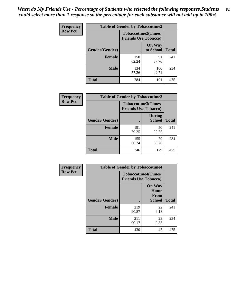*When do My Friends Use - Percentage of Students who selected the following responses.Students could select more than 1 response so the percentage for each substance will not add up to 100%.* **82**

| Frequency      | <b>Table of Gender by Tobaccotime2</b> |                                                          |                            |              |
|----------------|----------------------------------------|----------------------------------------------------------|----------------------------|--------------|
| <b>Row Pct</b> |                                        | <b>Tobaccotime2(Times</b><br><b>Friends Use Tobacco)</b> |                            |              |
|                | Gender(Gender)                         | $\bullet$                                                | <b>On Way</b><br>to School | <b>Total</b> |
|                | Female                                 | 150<br>62.24                                             | 91<br>37.76                | 241          |
|                | <b>Male</b>                            | 134<br>57.26                                             | 100<br>42.74               | 234          |
|                | Total                                  | 284                                                      | 191                        | 475          |

| Frequency      | <b>Table of Gender by Tobaccotime3</b> |                                                          |                                |              |
|----------------|----------------------------------------|----------------------------------------------------------|--------------------------------|--------------|
| <b>Row Pct</b> |                                        | <b>Tobaccotime3(Times</b><br><b>Friends Use Tobacco)</b> |                                |              |
|                | Gender(Gender)                         |                                                          | <b>During</b><br><b>School</b> | <b>Total</b> |
|                | <b>Female</b>                          | 191<br>79.25                                             | 50<br>20.75                    | 241          |
|                | <b>Male</b>                            | 155<br>66.24                                             | 79<br>33.76                    | 234          |
|                | <b>Total</b>                           | 346                                                      | 129                            | 475          |

| <b>Frequency</b> | <b>Table of Gender by Tobaccotime4</b> |                                                          |                                                       |              |
|------------------|----------------------------------------|----------------------------------------------------------|-------------------------------------------------------|--------------|
| <b>Row Pct</b>   |                                        | <b>Tobaccotime4(Times</b><br><b>Friends Use Tobacco)</b> |                                                       |              |
|                  | Gender(Gender)                         |                                                          | <b>On Way</b><br>Home<br><b>From</b><br><b>School</b> | <b>Total</b> |
|                  | <b>Female</b>                          | 219<br>90.87                                             | 22<br>9.13                                            | 241          |
|                  | <b>Male</b>                            | 211<br>90.17                                             | 23<br>9.83                                            | 234          |
|                  | <b>Total</b>                           | 430                                                      | 45                                                    | 475          |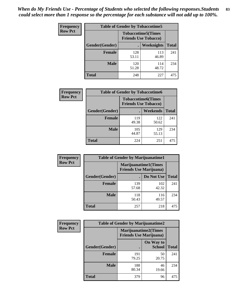| <b>Frequency</b> | <b>Table of Gender by Tobaccotime5</b> |              |                                                          |              |  |
|------------------|----------------------------------------|--------------|----------------------------------------------------------|--------------|--|
| <b>Row Pct</b>   |                                        |              | <b>Tobaccotime5(Times</b><br><b>Friends Use Tobacco)</b> |              |  |
|                  | Gender(Gender)                         |              | Weeknights                                               | <b>Total</b> |  |
|                  | <b>Female</b>                          | 128<br>53.11 | 113<br>46.89                                             | 241          |  |
|                  | <b>Male</b>                            | 120<br>51.28 | 114<br>48.72                                             | 234          |  |
|                  | <b>Total</b>                           | 248          | 227                                                      | 475          |  |

| Frequency      | <b>Table of Gender by Tobaccotime6</b> |                                                          |              |              |
|----------------|----------------------------------------|----------------------------------------------------------|--------------|--------------|
| <b>Row Pct</b> |                                        | <b>Tobaccotime6(Times</b><br><b>Friends Use Tobacco)</b> |              |              |
|                | Gender(Gender)                         |                                                          | Weekends     | <b>Total</b> |
|                | Female                                 | 119<br>49.38                                             | 122<br>50.62 | 241          |
|                | <b>Male</b>                            | 105<br>44.87                                             | 129<br>55.13 | 234          |
|                | <b>Total</b>                           | 224                                                      | 251          | 475          |

| <b>Frequency</b> | <b>Table of Gender by Marijuanatime1</b> |                                |                             |              |
|------------------|------------------------------------------|--------------------------------|-----------------------------|--------------|
| <b>Row Pct</b>   |                                          | <b>Friends Use Marijuana</b> ) | <b>Marijuanatime1(Times</b> |              |
|                  | Gender(Gender)                           |                                | Do Not Use                  | <b>Total</b> |
|                  | <b>Female</b>                            | 139<br>57.68                   | 102<br>42.32                | 241          |
|                  | <b>Male</b>                              | 118<br>50.43                   | 116<br>49.57                | 234          |
|                  | <b>Total</b>                             | 257                            | 218                         | 475          |

| <b>Frequency</b> | <b>Table of Gender by Marijuanatime2</b> |                                                               |                            |              |
|------------------|------------------------------------------|---------------------------------------------------------------|----------------------------|--------------|
| <b>Row Pct</b>   |                                          | <b>Marijuanatime2(Times</b><br><b>Friends Use Marijuana</b> ) |                            |              |
|                  | Gender(Gender)                           |                                                               | On Way to<br><b>School</b> | <b>Total</b> |
|                  | Female                                   | 191<br>79.25                                                  | 50<br>20.75                | 241          |
|                  | <b>Male</b>                              | 188<br>80.34                                                  | 46<br>19.66                | 234          |
|                  | <b>Total</b>                             | 379                                                           | 96                         | 475          |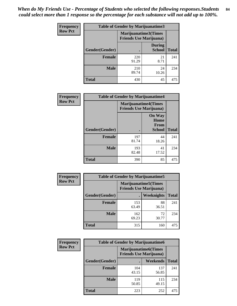*When do My Friends Use - Percentage of Students who selected the following responses.Students could select more than 1 response so the percentage for each substance will not add up to 100%.* **84**

| <b>Frequency</b> | Table of Gender by Marijuanatime3 |                                                        |                                |              |
|------------------|-----------------------------------|--------------------------------------------------------|--------------------------------|--------------|
| <b>Row Pct</b>   |                                   | Marijuanatime3(Times<br><b>Friends Use Marijuana</b> ) |                                |              |
|                  | Gender(Gender)                    |                                                        | <b>During</b><br><b>School</b> | <b>Total</b> |
|                  | <b>Female</b>                     | 220<br>91.29                                           | 21<br>8.71                     | 241          |
|                  | <b>Male</b>                       | 210<br>89.74                                           | 24<br>10.26                    | 234          |
|                  | <b>Total</b>                      | 430                                                    | 45                             | 475          |

| Frequency      | <b>Table of Gender by Marijuanatime4</b> |                                                               |                                                |              |
|----------------|------------------------------------------|---------------------------------------------------------------|------------------------------------------------|--------------|
| <b>Row Pct</b> |                                          | <b>Marijuanatime4(Times</b><br><b>Friends Use Marijuana</b> ) |                                                |              |
|                | Gender(Gender)                           |                                                               | <b>On Way</b><br>Home<br>From<br><b>School</b> | <b>Total</b> |
|                | <b>Female</b>                            | 197<br>81.74                                                  | 44<br>18.26                                    | 241          |
|                | <b>Male</b>                              | 193<br>82.48                                                  | 41<br>17.52                                    | 234          |
|                | <b>Total</b>                             | 390                                                           | 85                                             | 475          |

| Frequency      | <b>Table of Gender by Marijuanatime5</b> |                                                                |             |              |
|----------------|------------------------------------------|----------------------------------------------------------------|-------------|--------------|
| <b>Row Pct</b> |                                          | <b>Marijuanatime5</b> (Times<br><b>Friends Use Marijuana</b> ) |             |              |
|                | Gender(Gender)                           | ٠                                                              | Weeknights  | <b>Total</b> |
|                | <b>Female</b>                            | 153<br>63.49                                                   | 88<br>36.51 | 241          |
|                | <b>Male</b>                              | 162<br>69.23                                                   | 72<br>30.77 | 234          |
|                | <b>Total</b>                             | 315                                                            | 160         | 475          |

| Frequency      | <b>Table of Gender by Marijuanatime6</b> |                                                               |                 |              |
|----------------|------------------------------------------|---------------------------------------------------------------|-----------------|--------------|
| <b>Row Pct</b> |                                          | <b>Marijuanatime6(Times</b><br><b>Friends Use Marijuana</b> ) |                 |              |
|                | Gender(Gender)                           |                                                               | <b>Weekends</b> | <b>Total</b> |
|                | <b>Female</b>                            | 104<br>43.15                                                  | 137<br>56.85    | 241          |
|                | <b>Male</b>                              | 119<br>50.85                                                  | 115<br>49.15    | 234          |
|                | <b>Total</b>                             | 223                                                           | 252             | 475          |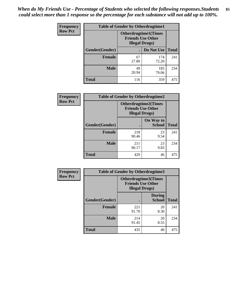*When do My Friends Use - Percentage of Students who selected the following responses.Students could select more than 1 response so the percentage for each substance will not add up to 100%.* **85**

| <b>Frequency</b> | <b>Table of Gender by Otherdrugtime1</b> |                                                                                    |              |              |
|------------------|------------------------------------------|------------------------------------------------------------------------------------|--------------|--------------|
| <b>Row Pct</b>   |                                          | <b>Otherdrugtime1</b> (Times<br><b>Friends Use Other</b><br><b>Illegal Drugs</b> ) |              |              |
|                  | Gender(Gender)                           |                                                                                    | Do Not Use   | <b>Total</b> |
|                  | <b>Female</b>                            | 67<br>27.80                                                                        | 174<br>72.20 | 241          |
|                  | <b>Male</b>                              | 49<br>20.94                                                                        | 185<br>79.06 | 234          |
|                  | <b>Total</b>                             | 116                                                                                | 359          | 475          |

| Frequency      | <b>Table of Gender by Otherdrugtime2</b> |                                                    |                             |              |
|----------------|------------------------------------------|----------------------------------------------------|-----------------------------|--------------|
| <b>Row Pct</b> |                                          | <b>Friends Use Other</b><br><b>Illegal Drugs</b> ) | <b>Otherdrugtime2(Times</b> |              |
|                | Gender(Gender)                           |                                                    | On Way to<br><b>School</b>  | <b>Total</b> |
|                | <b>Female</b>                            | 218<br>90.46                                       | 23<br>9.54                  | 241          |
|                | <b>Male</b>                              | 211<br>90.17                                       | 23<br>9.83                  | 234          |
|                | <b>Total</b>                             | 429                                                | 46                          | 475          |

| Frequency      | <b>Table of Gender by Otherdrugtime3</b> |                        |                                                         |              |
|----------------|------------------------------------------|------------------------|---------------------------------------------------------|--------------|
| <b>Row Pct</b> |                                          | <b>Illegal Drugs</b> ) | <b>Otherdrugtime3(Times</b><br><b>Friends Use Other</b> |              |
|                | Gender(Gender)                           |                        | <b>During</b><br><b>School</b>                          | <b>Total</b> |
|                | <b>Female</b>                            | 221<br>91.70           | 20<br>8.30                                              | 241          |
|                | <b>Male</b>                              | 214<br>91.45           | 20<br>8.55                                              | 234          |
|                | <b>Total</b>                             | 435                    | 40                                                      | 475          |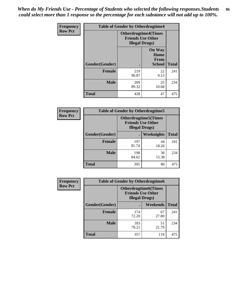*When do My Friends Use - Percentage of Students who selected the following responses.Students could select more than 1 response so the percentage for each substance will not add up to 100%.* **86**

| <b>Frequency</b> | <b>Table of Gender by Otherdrugtime4</b> |                                                    |                                                |              |
|------------------|------------------------------------------|----------------------------------------------------|------------------------------------------------|--------------|
| <b>Row Pct</b>   |                                          | <b>Friends Use Other</b><br><b>Illegal Drugs</b> ) | <b>Otherdrugtime4(Times</b>                    |              |
|                  | Gender(Gender)                           |                                                    | <b>On Way</b><br>Home<br>From<br><b>School</b> | <b>Total</b> |
|                  | Female                                   | 219<br>90.87                                       | 22<br>9.13                                     | 241          |
|                  | <b>Male</b>                              | 209<br>89.32                                       | 25<br>10.68                                    | 234          |
|                  | <b>Total</b>                             | 428                                                | 47                                             | 475          |

| Frequency      | <b>Table of Gender by Otherdrugtime5</b> |                                                                                    |             |              |
|----------------|------------------------------------------|------------------------------------------------------------------------------------|-------------|--------------|
| <b>Row Pct</b> |                                          | <b>Otherdrugtime5</b> (Times<br><b>Friends Use Other</b><br><b>Illegal Drugs</b> ) |             |              |
|                | Gender(Gender)                           |                                                                                    | Weeknights  | <b>Total</b> |
|                | <b>Female</b>                            | 197<br>81.74                                                                       | 44<br>18.26 | 241          |
|                | <b>Male</b>                              | 198<br>84.62                                                                       | 36<br>15.38 | 234          |
|                | <b>Total</b>                             | 395                                                                                | 80          | 475          |

| <b>Frequency</b> | <b>Table of Gender by Otherdrugtime6</b> |                                                                                   |             |              |
|------------------|------------------------------------------|-----------------------------------------------------------------------------------|-------------|--------------|
| <b>Row Pct</b>   |                                          | <b>Otherdrugtime6(Times</b><br><b>Friends Use Other</b><br><b>Illegal Drugs</b> ) |             |              |
|                  | Gender(Gender)                           |                                                                                   | Weekends    | <b>Total</b> |
|                  | <b>Female</b>                            | 174<br>72.20                                                                      | 67<br>27.80 | 241          |
|                  | <b>Male</b>                              | 183<br>78.21                                                                      | 51<br>21.79 | 234          |
|                  | <b>Total</b>                             | 357                                                                               | 118         | 475          |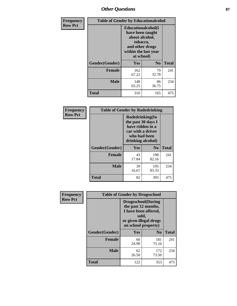# *Other Questions* **87**

| <b>Frequency</b> | <b>Table of Gender by Educationalcohol</b> |                                                                                                                                       |                |              |  |
|------------------|--------------------------------------------|---------------------------------------------------------------------------------------------------------------------------------------|----------------|--------------|--|
| <b>Row Pct</b>   |                                            | <b>Educationalcohol</b> (I<br>have been taught<br>about alcohol,<br>tobacco,<br>and other drugs<br>within the last year<br>at school) |                |              |  |
|                  | Gender(Gender)                             | <b>Yes</b>                                                                                                                            | N <sub>0</sub> | <b>Total</b> |  |
|                  | <b>Female</b>                              | 162<br>67.22                                                                                                                          | 79<br>32.78    | 241          |  |
|                  | <b>Male</b>                                | 148<br>63.25                                                                                                                          | 86<br>36.75    | 234          |  |
|                  | <b>Total</b>                               | 310                                                                                                                                   | 165            | 475          |  |

| Frequency      | <b>Table of Gender by Rodedrinking</b> |                                                                                                                     |                |              |  |
|----------------|----------------------------------------|---------------------------------------------------------------------------------------------------------------------|----------------|--------------|--|
| <b>Row Pct</b> |                                        | Rodedrinking(In<br>the past 30 days I<br>have ridden in a<br>car with a driver<br>who had been<br>drinking alcohol) |                |              |  |
|                | Gender(Gender)                         | Yes                                                                                                                 | N <sub>0</sub> | <b>Total</b> |  |
|                | <b>Female</b>                          | 43<br>17.84                                                                                                         | 198<br>82.16   | 241          |  |
|                | <b>Male</b>                            | 39<br>16.67                                                                                                         | 195<br>83.33   | 234          |  |
|                | <b>Total</b>                           | 82                                                                                                                  | 393            | 475          |  |

| Frequency      | <b>Table of Gender by Drugsschool</b> |                                                                                                                                     |                |              |  |
|----------------|---------------------------------------|-------------------------------------------------------------------------------------------------------------------------------------|----------------|--------------|--|
| <b>Row Pct</b> |                                       | <b>Drugsschool</b> (During<br>the past 12 months,<br>I have been offered,<br>sold,<br>or given illegal drugs<br>on school property) |                |              |  |
|                | Gender(Gender)                        | Yes                                                                                                                                 | N <sub>0</sub> | <b>Total</b> |  |
|                | <b>Female</b>                         | 60<br>24.90                                                                                                                         | 181<br>75.10   | 241          |  |
|                | <b>Male</b>                           | 62<br>26.50                                                                                                                         | 172<br>73.50   | 234          |  |
|                | <b>Total</b>                          | 122                                                                                                                                 | 353            | 475          |  |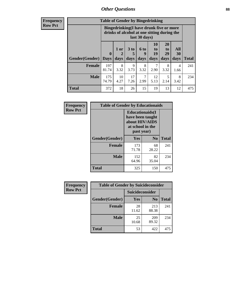## *Other Questions* **88**

**Frequency Row Pct**

| <b>Table of Gender by Bingedrinking</b> |                            |                                                                                                         |                   |                   |                        |                               |                   |              |
|-----------------------------------------|----------------------------|---------------------------------------------------------------------------------------------------------|-------------------|-------------------|------------------------|-------------------------------|-------------------|--------------|
|                                         |                            | Bingedrinking(I have drunk five or more<br>drinks of alcohol at one sitting during the<br>last 30 days) |                   |                   |                        |                               |                   |              |
| <b>Gender</b> (Gender)                  | $\mathbf 0$<br><b>Days</b> | 1 or<br>days                                                                                            | 3 to<br>5<br>days | 6 to<br>9<br>days | 10<br>to<br>19<br>days | <b>20</b><br>to<br>29<br>days | All<br>30<br>days | <b>Total</b> |
|                                         |                            |                                                                                                         |                   |                   |                        |                               |                   |              |
| <b>Female</b>                           | 197<br>81.74               | 8<br>3.32                                                                                               | 9<br>3.73         | 8<br>3.32         | 7<br>2.90              | 8<br>3.32                     | 4<br>1.66         | 241          |
| <b>Male</b>                             | 175<br>74.79               | 10<br>4.27                                                                                              | 17<br>7.26        | 2.99              | 12<br>5.13             | 5<br>2.14                     | 8<br>3.42         | 234          |

| Frequency      | <b>Table of Gender by Educationaids</b> |                                                                                                 |             |              |  |
|----------------|-----------------------------------------|-------------------------------------------------------------------------------------------------|-------------|--------------|--|
| <b>Row Pct</b> |                                         | <b>Educationaids</b> (I<br>have been taught<br>about HIV/AIDS<br>at school in the<br>past year) |             |              |  |
|                | Gender(Gender)                          | Yes                                                                                             | $\bf N_0$   | <b>Total</b> |  |
|                | <b>Female</b>                           | 173<br>71.78                                                                                    | 68<br>28.22 | 241          |  |
|                | <b>Male</b>                             | 152<br>64.96                                                                                    | 82<br>35.04 | 234          |  |
|                | <b>Total</b>                            | 325                                                                                             | 150         | 475          |  |

| <b>Frequency</b> | <b>Table of Gender by Suicideconsider</b> |                 |                |              |  |
|------------------|-------------------------------------------|-----------------|----------------|--------------|--|
| <b>Row Pct</b>   |                                           | Suicideconsider |                |              |  |
|                  | Gender(Gender)                            | Yes             | N <sub>0</sub> | <b>Total</b> |  |
|                  | <b>Female</b>                             | 28<br>11.62     | 213<br>88.38   | 241          |  |
|                  | <b>Male</b>                               | 25<br>10.68     | 209<br>89.32   | 234          |  |
|                  | <b>Total</b>                              | 53              | 422            | 475          |  |